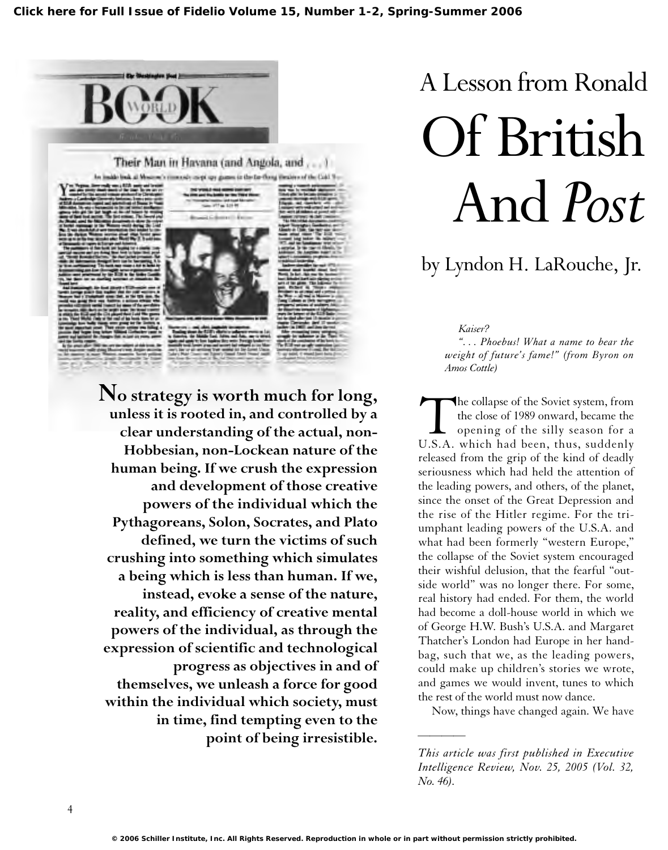

Their Man in Havana (and Angola, and ....) rimmed coopings game in the farthing theatern of the Calif. 9



**No strategy is worth much for long, unless it is rooted in, and controlled by a clear understanding of the actual, non-Hobbesian, non-Lockean nature of the human being. If we crush the expression and development of those creative powers of the individual which the Pythagoreans, Solon, Socrates, and Plato defined, we turn the victims of such crushing into something which simulates a being which is less than human. If we, instead, evoke a sense of the nature, reality, and efficiency of creative mental powers of the individual, as through the expression of scientific and technological progress as objectives in and of themselves, we unleash a force for good within the individual which society, must in time, find tempting even to the point of being irresistible.**

# A Lesson from Ronald Of British And *Post*

# by Lyndon H. LaRouche, Jr.

*Kaiser?*

*". . . Phoebus! What a name to bear the weight of future's fame!" (from Byron on Amos Cottle)*

The collapse of the Soviet system, from<br>the close of 1989 onward, became the<br>opening of the silly season for a<br>U.S.A. which had been, thus, suddenly the close of 1989 onward, became the opening of the silly season for a released from the grip of the kind of deadly seriousness which had held the attention of the leading powers, and others, of the planet, since the onset of the Great Depression and the rise of the Hitler regime. For the triumphant leading powers of the U.S.A. and what had been formerly "western Europe," the collapse of the Soviet system encouraged their wishful delusion, that the fearful "outside world" was no longer there. For some, real history had ended. For them, the world had become a doll-house world in which we of George H.W. Bush's U.S.A. and Margaret Thatcher's London had Europe in her handbag, such that we, as the leading powers, could make up children's stories we wrote, and games we would invent, tunes to which the rest of the world must now dance.

Now, things have changed again. We have

*This article was first published in Executive Intelligence Review, Nov. 25, 2005 (Vol. 32, No. 46).*

*————*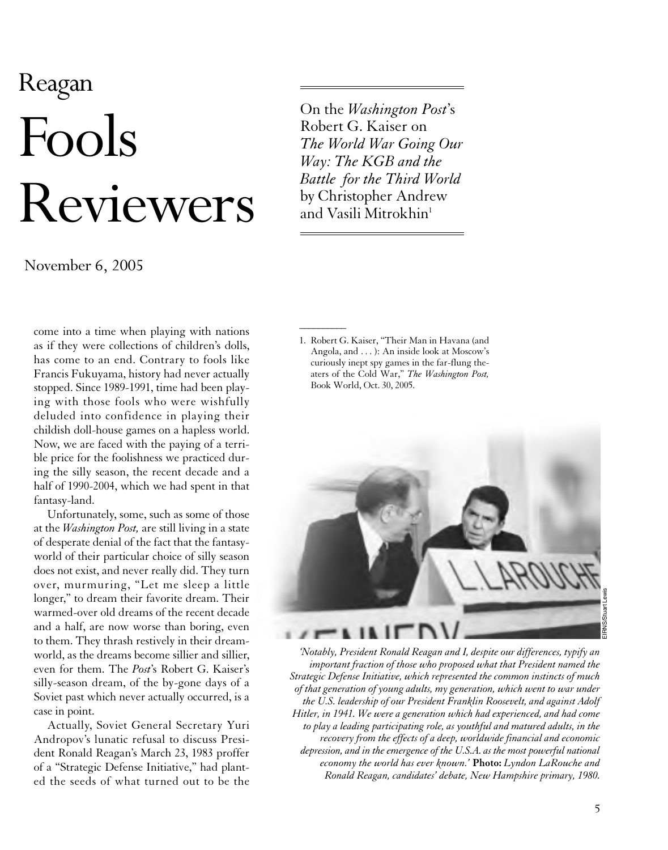# Reagan Fools Reviewers

November 6, 2005

come into a time when playing with nations as if they were collections of children's dolls, has come to an end. Contrary to fools like Francis Fukuyama, history had never actually stopped. Since 1989-1991, time had been playing with those fools who were wishfully deluded into confidence in playing their childish doll-house games on a hapless world. Now, we are faced with the paying of a terrible price for the foolishness we practiced during the silly season, the recent decade and a half of 1990-2004, which we had spent in that fantasy-land.

Unfortunately, some, such as some of those at the *Washington Post,* are still living in a state of desperate denial of the fact that the fantasyworld of their particular choice of silly season does not exist, and never really did. They turn over, murmuring, "Let me sleep a little longer," to dream their favorite dream. Their warmed-over old dreams of the recent decade and a half, are now worse than boring, even to them. They thrash restively in their dreamworld, as the dreams become sillier and sillier, even for them. The *Post*'s Robert G. Kaiser's silly-season dream, of the by-gone days of a Soviet past which never actually occurred, is a case in point.

Actually, Soviet General Secretary Yuri Andropov's lunatic refusal to discuss President Ronald Reagan's March 23, 1983 proffer of a "Strategic Defense Initiative," had planted the seeds of what turned out to be the On the *Washington Post*'s Robert G. Kaiser on *The World War Going Our Way: The KGB and the Battle for the Third World* by Christopher Andrew and Vasili Mitrokhin<sup>1</sup>

1. Robert G. Kaiser, "Their Man in Havana (and Angola, and . . . ): An inside look at Moscow's curiously inept spy games in the far-flung theaters of the Cold War," *The Washington Post,* Book World, Oct. 30, 2005.

 $\overline{\phantom{a}}$ 



*'Notably, President Ronald Reagan and I, despite our differences, typify an important fraction of those who proposed what that President named the Strategic Defense Initiative, which represented the common instincts of much of that generation of young adults, my generation, which went to war under the U.S. leadership of our President Franklin Roosevelt, and against Adolf Hitler, in 1941. We were a generation which had experienced, and had come to play a leading participating role, as youthful and matured adults, in the recovery from the effects of a deep, worldwide financial and economic depression, and in the emergence of the U.S.A. as the most powerful national economy the world has ever known.'* **Photo:** *Lyndon LaRouche and Ronald Reagan, candidates' debate, New Hampshire primary, 1980.*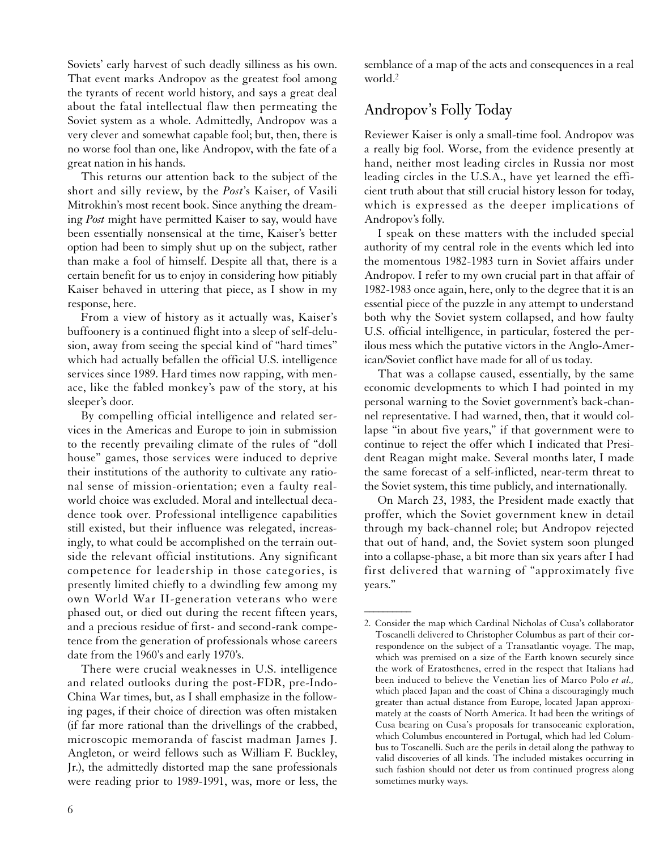Soviets' early harvest of such deadly silliness as his own. That event marks Andropov as the greatest fool among the tyrants of recent world history, and says a great deal about the fatal intellectual flaw then permeating the Soviet system as a whole. Admittedly, Andropov was a very clever and somewhat capable fool; but, then, there is no worse fool than one, like Andropov, with the fate of a great nation in his hands.

This returns our attention back to the subject of the short and silly review, by the *Post*'s Kaiser, of Vasili Mitrokhin's most recent book. Since anything the dreaming *Post* might have permitted Kaiser to say, would have been essentially nonsensical at the time, Kaiser's better option had been to simply shut up on the subject, rather than make a fool of himself. Despite all that, there is a certain benefit for us to enjoy in considering how pitiably Kaiser behaved in uttering that piece, as I show in my response, here.

From a view of history as it actually was, Kaiser's buffoonery is a continued flight into a sleep of self-delusion, away from seeing the special kind of "hard times" which had actually befallen the official U.S. intelligence services since 1989. Hard times now rapping, with menace, like the fabled monkey's paw of the story, at his sleeper's door.

By compelling official intelligence and related services in the Americas and Europe to join in submission to the recently prevailing climate of the rules of "doll house" games, those services were induced to deprive their institutions of the authority to cultivate any rational sense of mission-orientation; even a faulty realworld choice was excluded. Moral and intellectual decadence took over. Professional intelligence capabilities still existed, but their influence was relegated, increasingly, to what could be accomplished on the terrain outside the relevant official institutions. Any significant competence for leadership in those categories, is presently limited chiefly to a dwindling few among my own World War II-generation veterans who were phased out, or died out during the recent fifteen years, and a precious residue of first- and second-rank competence from the generation of professionals whose careers date from the 1960's and early 1970's.

There were crucial weaknesses in U.S. intelligence and related outlooks during the post-FDR, pre-Indo-China War times, but, as I shall emphasize in the following pages, if their choice of direction was often mistaken (if far more rational than the drivellings of the crabbed, microscopic memoranda of fascist madman James J. Angleton, or weird fellows such as William F. Buckley, Jr.), the admittedly distorted map the sane professionals were reading prior to 1989-1991, was, more or less, the

semblance of a map of the acts and consequences in a real world.2

# Andropov's Folly Today

Reviewer Kaiser is only a small-time fool. Andropov was a really big fool. Worse, from the evidence presently at hand, neither most leading circles in Russia nor most leading circles in the U.S.A., have yet learned the efficient truth about that still crucial history lesson for today, which is expressed as the deeper implications of Andropov's folly.

I speak on these matters with the included special authority of my central role in the events which led into the momentous 1982-1983 turn in Soviet affairs under Andropov. I refer to my own crucial part in that affair of 1982-1983 once again, here, only to the degree that it is an essential piece of the puzzle in any attempt to understand both why the Soviet system collapsed, and how faulty U.S. official intelligence, in particular, fostered the perilous mess which the putative victors in the Anglo-American/Soviet conflict have made for all of us today.

That was a collapse caused, essentially, by the same economic developments to which I had pointed in my personal warning to the Soviet government's back-channel representative. I had warned, then, that it would collapse "in about five years," if that government were to continue to reject the offer which I indicated that President Reagan might make. Several months later, I made the same forecast of a self-inflicted, near-term threat to the Soviet system, this time publicly, and internationally.

On March 23, 1983, the President made exactly that proffer, which the Soviet government knew in detail through my back-channel role; but Andropov rejected that out of hand, and, the Soviet system soon plunged into a collapse-phase, a bit more than six years after I had first delivered that warning of "approximately five years."

 $\overline{\phantom{a}}$ 

<sup>2.</sup> Consider the map which Cardinal Nicholas of Cusa's collaborator Toscanelli delivered to Christopher Columbus as part of their correspondence on the subject of a Transatlantic voyage. The map, which was premised on a size of the Earth known securely since the work of Eratosthenes, erred in the respect that Italians had been induced to believe the Venetian lies of Marco Polo *et al.,* which placed Japan and the coast of China a discouragingly much greater than actual distance from Europe, located Japan approximately at the coasts of North America. It had been the writings of Cusa bearing on Cusa's proposals for transoceanic exploration, which Columbus encountered in Portugal, which had led Columbus to Toscanelli. Such are the perils in detail along the pathway to valid discoveries of all kinds. The included mistakes occurring in such fashion should not deter us from continued progress along sometimes murky ways.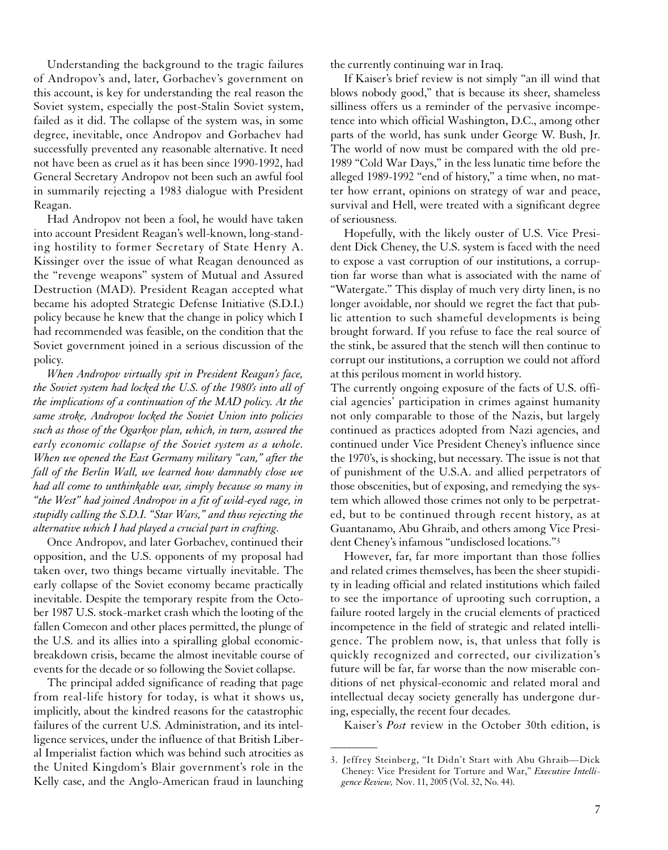Understanding the background to the tragic failures of Andropov's and, later, Gorbachev's government on this account, is key for understanding the real reason the Soviet system, especially the post-Stalin Soviet system, failed as it did. The collapse of the system was, in some degree, inevitable, once Andropov and Gorbachev had successfully prevented any reasonable alternative. It need not have been as cruel as it has been since 1990-1992, had General Secretary Andropov not been such an awful fool in summarily rejecting a 1983 dialogue with President Reagan.

Had Andropov not been a fool, he would have taken into account President Reagan's well-known, long-standing hostility to former Secretary of State Henry A. Kissinger over the issue of what Reagan denounced as the "revenge weapons" system of Mutual and Assured Destruction (MAD). President Reagan accepted what became his adopted Strategic Defense Initiative (S.D.I.) policy because he knew that the change in policy which I had recommended was feasible, on the condition that the Soviet government joined in a serious discussion of the policy.

*When Andropov virtually spit in President Reagan's face, the Soviet system had locked the U.S. of the 1980's into all of the implications of a continuation of the MAD policy. At the same stroke, Andropov locked the Soviet Union into policies such as those of the Ogarkov plan, which, in turn, assured the early economic collapse of the Soviet system as a whole. When we opened the East Germany military "can," after the fall of the Berlin Wall, we learned how damnably close we had all come to unthinkable war, simply because so many in "the West" had joined Andropov in a fit of wild-eyed rage, in stupidly calling the S.D.I. "Star Wars," and thus rejecting the alternative which I had played a crucial part in crafting.*

Once Andropov, and later Gorbachev, continued their opposition, and the U.S. opponents of my proposal had taken over, two things became virtually inevitable. The early collapse of the Soviet economy became practically inevitable. Despite the temporary respite from the October 1987 U.S. stock-market crash which the looting of the fallen Comecon and other places permitted, the plunge of the U.S. and its allies into a spiralling global economicbreakdown crisis, became the almost inevitable course of events for the decade or so following the Soviet collapse.

The principal added significance of reading that page from real-life history for today, is what it shows us, implicitly, about the kindred reasons for the catastrophic failures of the current U.S. Administration, and its intelligence services, under the influence of that British Liberal Imperialist faction which was behind such atrocities as the United Kingdom's Blair government's role in the Kelly case, and the Anglo-American fraud in launching the currently continuing war in Iraq.

If Kaiser's brief review is not simply "an ill wind that blows nobody good," that is because its sheer, shameless silliness offers us a reminder of the pervasive incompetence into which official Washington, D.C., among other parts of the world, has sunk under George W. Bush, Jr. The world of now must be compared with the old pre-1989 "Cold War Days," in the less lunatic time before the alleged 1989-1992 "end of history," a time when, no matter how errant, opinions on strategy of war and peace, survival and Hell, were treated with a significant degree of seriousness.

Hopefully, with the likely ouster of U.S. Vice President Dick Cheney, the U.S. system is faced with the need to expose a vast corruption of our institutions, a corruption far worse than what is associated with the name of "Watergate." This display of much very dirty linen, is no longer avoidable, nor should we regret the fact that public attention to such shameful developments is being brought forward. If you refuse to face the real source of the stink, be assured that the stench will then continue to corrupt our institutions, a corruption we could not afford at this perilous moment in world history.

The currently ongoing exposure of the facts of U.S. official agencies' participation in crimes against humanity not only comparable to those of the Nazis, but largely continued as practices adopted from Nazi agencies, and continued under Vice President Cheney's influence since the 1970's, is shocking, but necessary. The issue is not that of punishment of the U.S.A. and allied perpetrators of those obscenities, but of exposing, and remedying the system which allowed those crimes not only to be perpetrated, but to be continued through recent history, as at Guantanamo, Abu Ghraib, and others among Vice President Cheney's infamous "undisclosed locations."3

However, far, far more important than those follies and related crimes themselves, has been the sheer stupidity in leading official and related institutions which failed to see the importance of uprooting such corruption, a failure rooted largely in the crucial elements of practiced incompetence in the field of strategic and related intelligence. The problem now, is, that unless that folly is quickly recognized and corrected, our civilization's future will be far, far worse than the now miserable conditions of net physical-economic and related moral and intellectual decay society generally has undergone during, especially, the recent four decades.

Kaiser's *Post* review in the October 30th edition, is

 $\overline{\phantom{a}}$ 

<sup>3.</sup> Jeffrey Steinberg, "It Didn't Start with Abu Ghraib—Dick Cheney: Vice President for Torture and War," *Executive Intelligence Review,* Nov. 11, 2005 (Vol. 32, No. 44).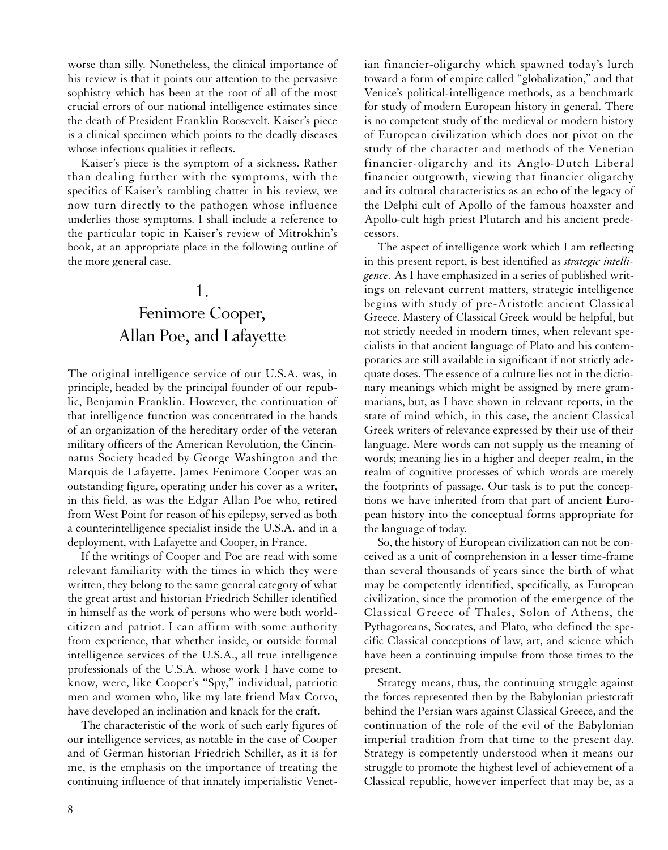worse than silly. Nonetheless, the clinical importance of his review is that it points our attention to the pervasive sophistry which has been at the root of all of the most crucial errors of our national intelligence estimates since the death of President Franklin Roosevelt. Kaiser's piece is a clinical specimen which points to the deadly diseases whose infectious qualities it reflects.

Kaiser's piece is the symptom of a sickness. Rather than dealing further with the symptoms, with the specifics of Kaiser's rambling chatter in his review, we now turn directly to the pathogen whose influence underlies those symptoms. I shall include a reference to the particular topic in Kaiser's review of Mitrokhin's book, at an appropriate place in the following outline of the more general case.

# 1. Fenimore Cooper, Allan Poe, and Lafayette

The original intelligence service of our U.S.A. was, in principle, headed by the principal founder of our republic, Benjamin Franklin. However, the continuation of that intelligence function was concentrated in the hands of an organization of the hereditary order of the veteran military officers of the American Revolution, the Cincinnatus Society headed by George Washington and the Marquis de Lafayette. James Fenimore Cooper was an outstanding figure, operating under his cover as a writer, in this field, as was the Edgar Allan Poe who, retired from West Point for reason of his epilepsy, served as both a counterintelligence specialist inside the U.S.A. and in a deployment, with Lafayette and Cooper, in France.

If the writings of Cooper and Poe are read with some relevant familiarity with the times in which they were written, they belong to the same general category of what the great artist and historian Friedrich Schiller identified in himself as the work of persons who were both worldcitizen and patriot. I can affirm with some authority from experience, that whether inside, or outside formal intelligence services of the U.S.A., all true intelligence professionals of the U.S.A. whose work I have come to know, were, like Cooper's "Spy," individual, patriotic men and women who, like my late friend Max Corvo, have developed an inclination and knack for the craft.

The characteristic of the work of such early figures of our intelligence services, as notable in the case of Cooper and of German historian Friedrich Schiller, as it is for me, is the emphasis on the importance of treating the continuing influence of that innately imperialistic Venetian financier-oligarchy which spawned today's lurch toward a form of empire called "globalization," and that Venice's political-intelligence methods, as a benchmark for study of modern European history in general. There is no competent study of the medieval or modern history of European civilization which does not pivot on the study of the character and methods of the Venetian financier-oligarchy and its Anglo-Dutch Liberal financier outgrowth, viewing that financier oligarchy and its cultural characteristics as an echo of the legacy of the Delphi cult of Apollo of the famous hoaxster and Apollo-cult high priest Plutarch and his ancient predecessors.

The aspect of intelligence work which I am reflecting in this present report, is best identified as *strategic intelligence.* As I have emphasized in a series of published writings on relevant current matters, strategic intelligence begins with study of pre-Aristotle ancient Classical Greece. Mastery of Classical Greek would be helpful, but not strictly needed in modern times, when relevant specialists in that ancient language of Plato and his contemporaries are still available in significant if not strictly adequate doses. The essence of a culture lies not in the dictionary meanings which might be assigned by mere grammarians, but, as I have shown in relevant reports, in the state of mind which, in this case, the ancient Classical Greek writers of relevance expressed by their use of their language. Mere words can not supply us the meaning of words; meaning lies in a higher and deeper realm, in the realm of cognitive processes of which words are merely the footprints of passage. Our task is to put the conceptions we have inherited from that part of ancient European history into the conceptual forms appropriate for the language of today.

So, the history of European civilization can not be conceived as a unit of comprehension in a lesser time-frame than several thousands of years since the birth of what may be competently identified, specifically, as European civilization, since the promotion of the emergence of the Classical Greece of Thales, Solon of Athens, the Pythagoreans, Socrates, and Plato, who defined the specific Classical conceptions of law, art, and science which have been a continuing impulse from those times to the present.

Strategy means, thus, the continuing struggle against the forces represented then by the Babylonian priestcraft behind the Persian wars against Classical Greece, and the continuation of the role of the evil of the Babylonian imperial tradition from that time to the present day. Strategy is competently understood when it means our struggle to promote the highest level of achievement of a Classical republic, however imperfect that may be, as a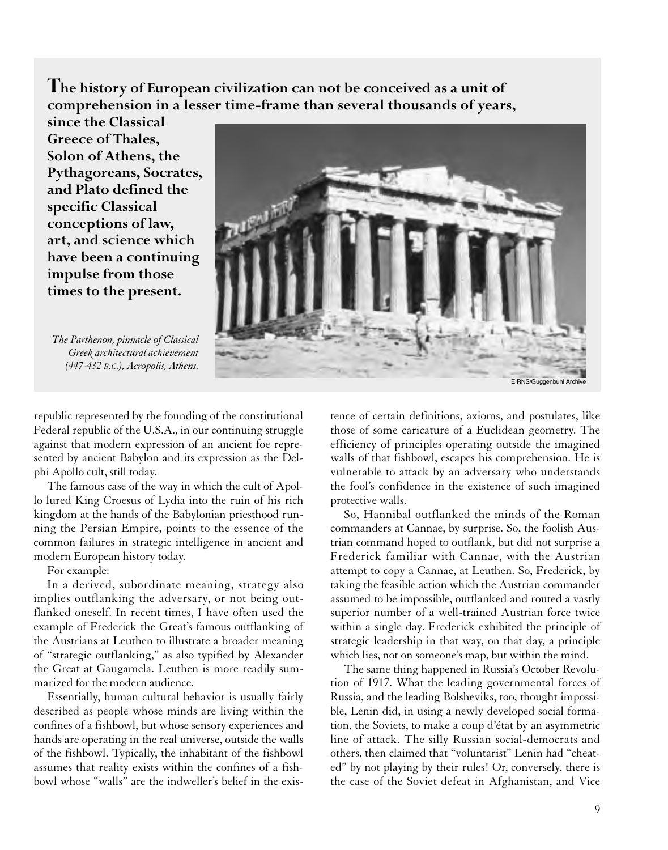**The history of European civilization can not be conceived as a unit of comprehension in a lesser time-frame than several thousands of years,**

**since the Classical Greece of Thales, Solon of Athens, the Pythagoreans, Socrates, and Plato defined the specific Classical conceptions of law, art, and science which have been a continuing impulse from those times to the present.**

*The Parthenon, pinnacle of Classical Greek architectural achievement (447-432 B.C.), Acropolis, Athens.*



republic represented by the founding of the constitutional Federal republic of the U.S.A., in our continuing struggle against that modern expression of an ancient foe represented by ancient Babylon and its expression as the Delphi Apollo cult, still today.

The famous case of the way in which the cult of Apollo lured King Croesus of Lydia into the ruin of his rich kingdom at the hands of the Babylonian priesthood running the Persian Empire, points to the essence of the common failures in strategic intelligence in ancient and modern European history today.

For example:

In a derived, subordinate meaning, strategy also implies outflanking the adversary, or not being outflanked oneself. In recent times, I have often used the example of Frederick the Great's famous outflanking of the Austrians at Leuthen to illustrate a broader meaning of "strategic outflanking," as also typified by Alexander the Great at Gaugamela. Leuthen is more readily summarized for the modern audience.

Essentially, human cultural behavior is usually fairly described as people whose minds are living within the confines of a fishbowl, but whose sensory experiences and hands are operating in the real universe, outside the walls of the fishbowl. Typically, the inhabitant of the fishbowl assumes that reality exists within the confines of a fishbowl whose "walls" are the indweller's belief in the existence of certain definitions, axioms, and postulates, like those of some caricature of a Euclidean geometry. The efficiency of principles operating outside the imagined walls of that fishbowl, escapes his comprehension. He is vulnerable to attack by an adversary who understands the fool's confidence in the existence of such imagined protective walls.

So, Hannibal outflanked the minds of the Roman commanders at Cannae, by surprise. So, the foolish Austrian command hoped to outflank, but did not surprise a Frederick familiar with Cannae, with the Austrian attempt to copy a Cannae, at Leuthen. So, Frederick, by taking the feasible action which the Austrian commander assumed to be impossible, outflanked and routed a vastly superior number of a well-trained Austrian force twice within a single day. Frederick exhibited the principle of strategic leadership in that way, on that day, a principle which lies, not on someone's map, but within the mind.

The same thing happened in Russia's October Revolution of 1917. What the leading governmental forces of Russia, and the leading Bolsheviks, too, thought impossible, Lenin did, in using a newly developed social formation, the Soviets, to make a coup d'état by an asymmetric line of attack. The silly Russian social-democrats and others, then claimed that "voluntarist" Lenin had "cheated" by not playing by their rules! Or, conversely, there is the case of the Soviet defeat in Afghanistan, and Vice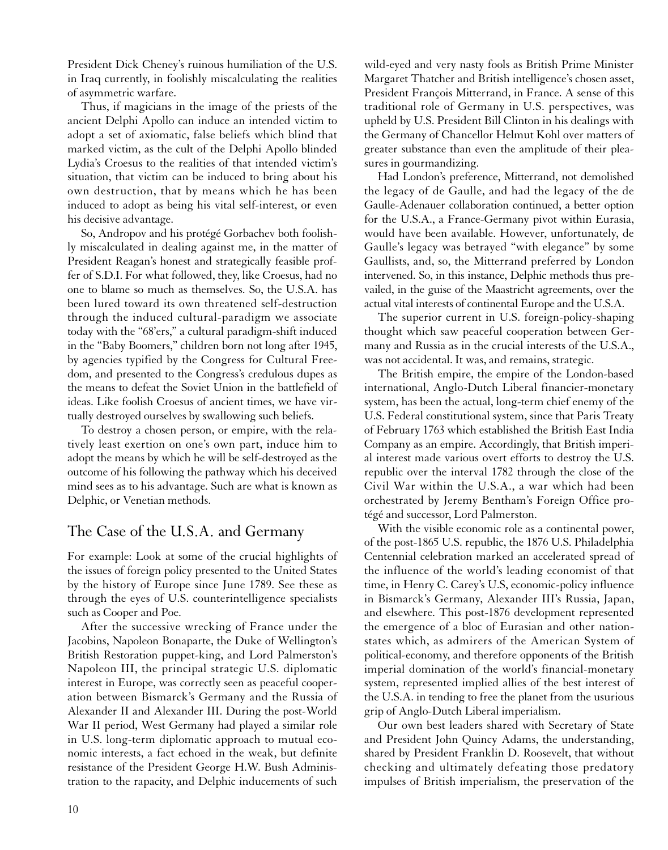President Dick Cheney's ruinous humiliation of the U.S. in Iraq currently, in foolishly miscalculating the realities of asymmetric warfare.

Thus, if magicians in the image of the priests of the ancient Delphi Apollo can induce an intended victim to adopt a set of axiomatic, false beliefs which blind that marked victim, as the cult of the Delphi Apollo blinded Lydia's Croesus to the realities of that intended victim's situation, that victim can be induced to bring about his own destruction, that by means which he has been induced to adopt as being his vital self-interest, or even his decisive advantage.

So, Andropov and his protégé Gorbachev both foolishly miscalculated in dealing against me, in the matter of President Reagan's honest and strategically feasible proffer of S.D.I. For what followed, they, like Croesus, had no one to blame so much as themselves. So, the U.S.A. has been lured toward its own threatened self-destruction through the induced cultural-paradigm we associate today with the "68'ers," a cultural paradigm-shift induced in the "Baby Boomers," children born not long after 1945, by agencies typified by the Congress for Cultural Freedom, and presented to the Congress's credulous dupes as the means to defeat the Soviet Union in the battlefield of ideas. Like foolish Croesus of ancient times, we have virtually destroyed ourselves by swallowing such beliefs.

To destroy a chosen person, or empire, with the relatively least exertion on one's own part, induce him to adopt the means by which he will be self-destroyed as the outcome of his following the pathway which his deceived mind sees as to his advantage. Such are what is known as Delphic, or Venetian methods.

## The Case of the U.S.A. and Germany

For example: Look at some of the crucial highlights of the issues of foreign policy presented to the United States by the history of Europe since June 1789. See these as through the eyes of U.S. counterintelligence specialists such as Cooper and Poe.

After the successive wrecking of France under the Jacobins, Napoleon Bonaparte, the Duke of Wellington's British Restoration puppet-king, and Lord Palmerston's Napoleon III, the principal strategic U.S. diplomatic interest in Europe, was correctly seen as peaceful cooperation between Bismarck's Germany and the Russia of Alexander II and Alexander III. During the post-World War II period, West Germany had played a similar role in U.S. long-term diplomatic approach to mutual economic interests, a fact echoed in the weak, but definite resistance of the President George H.W. Bush Administration to the rapacity, and Delphic inducements of such

wild-eyed and very nasty fools as British Prime Minister Margaret Thatcher and British intelligence's chosen asset, President François Mitterrand, in France. A sense of this traditional role of Germany in U.S. perspectives, was upheld by U.S. President Bill Clinton in his dealings with the Germany of Chancellor Helmut Kohl over matters of greater substance than even the amplitude of their pleasures in gourmandizing.

Had London's preference, Mitterrand, not demolished the legacy of de Gaulle, and had the legacy of the de Gaulle-Adenauer collaboration continued, a better option for the U.S.A., a France-Germany pivot within Eurasia, would have been available. However, unfortunately, de Gaulle's legacy was betrayed "with elegance" by some Gaullists, and, so, the Mitterrand preferred by London intervened. So, in this instance, Delphic methods thus prevailed, in the guise of the Maastricht agreements, over the actual vital interests of continental Europe and the U.S.A.

The superior current in U.S. foreign-policy-shaping thought which saw peaceful cooperation between Germany and Russia as in the crucial interests of the U.S.A., was not accidental. It was, and remains, strategic.

The British empire, the empire of the London-based international, Anglo-Dutch Liberal financier-monetary system, has been the actual, long-term chief enemy of the U.S. Federal constitutional system, since that Paris Treaty of February 1763 which established the British East India Company as an empire. Accordingly, that British imperial interest made various overt efforts to destroy the U.S. republic over the interval 1782 through the close of the Civil War within the U.S.A., a war which had been orchestrated by Jeremy Bentham's Foreign Office protégé and successor, Lord Palmerston.

With the visible economic role as a continental power, of the post-1865 U.S. republic, the 1876 U.S. Philadelphia Centennial celebration marked an accelerated spread of the influence of the world's leading economist of that time, in Henry C. Carey's U.S, economic-policy influence in Bismarck's Germany, Alexander III's Russia, Japan, and elsewhere. This post-1876 development represented the emergence of a bloc of Eurasian and other nationstates which, as admirers of the American System of political-economy, and therefore opponents of the British imperial domination of the world's financial-monetary system, represented implied allies of the best interest of the U.S.A. in tending to free the planet from the usurious grip of Anglo-Dutch Liberal imperialism.

Our own best leaders shared with Secretary of State and President John Quincy Adams, the understanding, shared by President Franklin D. Roosevelt, that without checking and ultimately defeating those predatory impulses of British imperialism, the preservation of the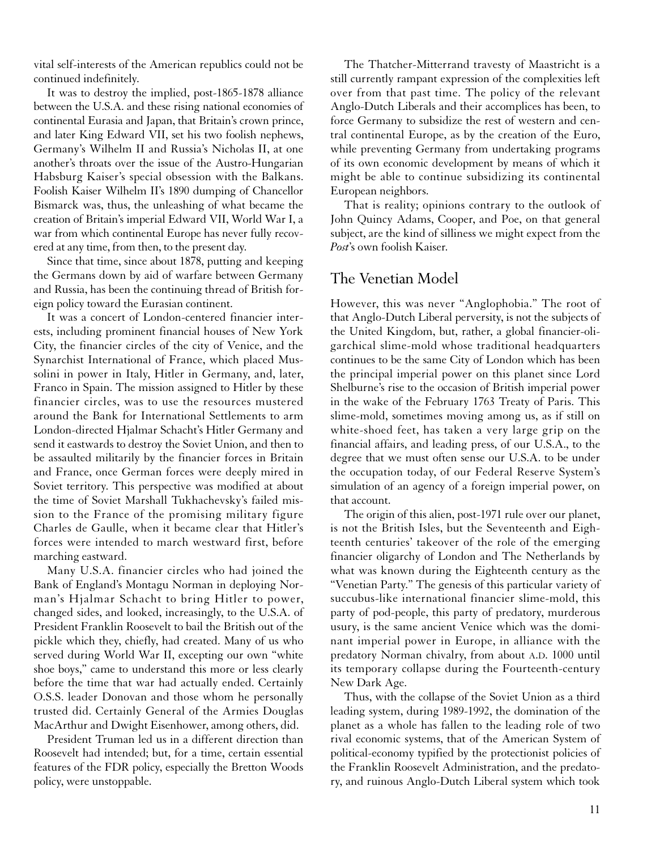vital self-interests of the American republics could not be continued indefinitely.

It was to destroy the implied, post-1865-1878 alliance between the U.S.A. and these rising national economies of continental Eurasia and Japan, that Britain's crown prince, and later King Edward VII, set his two foolish nephews, Germany's Wilhelm II and Russia's Nicholas II, at one another's throats over the issue of the Austro-Hungarian Habsburg Kaiser's special obsession with the Balkans. Foolish Kaiser Wilhelm II's 1890 dumping of Chancellor Bismarck was, thus, the unleashing of what became the creation of Britain's imperial Edward VII, World War I, a war from which continental Europe has never fully recovered at any time, from then, to the present day.

Since that time, since about 1878, putting and keeping the Germans down by aid of warfare between Germany and Russia, has been the continuing thread of British foreign policy toward the Eurasian continent.

It was a concert of London-centered financier interests, including prominent financial houses of New York City, the financier circles of the city of Venice, and the Synarchist International of France, which placed Mussolini in power in Italy, Hitler in Germany, and, later, Franco in Spain. The mission assigned to Hitler by these financier circles, was to use the resources mustered around the Bank for International Settlements to arm London-directed Hjalmar Schacht's Hitler Germany and send it eastwards to destroy the Soviet Union, and then to be assaulted militarily by the financier forces in Britain and France, once German forces were deeply mired in Soviet territory. This perspective was modified at about the time of Soviet Marshall Tukhachevsky's failed mission to the France of the promising military figure Charles de Gaulle, when it became clear that Hitler's forces were intended to march westward first, before marching eastward.

Many U.S.A. financier circles who had joined the Bank of England's Montagu Norman in deploying Norman's Hjalmar Schacht to bring Hitler to power, changed sides, and looked, increasingly, to the U.S.A. of President Franklin Roosevelt to bail the British out of the pickle which they, chiefly, had created. Many of us who served during World War II, excepting our own "white shoe boys," came to understand this more or less clearly before the time that war had actually ended. Certainly O.S.S. leader Donovan and those whom he personally trusted did. Certainly General of the Armies Douglas MacArthur and Dwight Eisenhower, among others, did.

President Truman led us in a different direction than Roosevelt had intended; but, for a time, certain essential features of the FDR policy, especially the Bretton Woods policy, were unstoppable.

The Thatcher-Mitterrand travesty of Maastricht is a still currently rampant expression of the complexities left over from that past time. The policy of the relevant Anglo-Dutch Liberals and their accomplices has been, to force Germany to subsidize the rest of western and central continental Europe, as by the creation of the Euro, while preventing Germany from undertaking programs of its own economic development by means of which it might be able to continue subsidizing its continental European neighbors.

That is reality; opinions contrary to the outlook of John Quincy Adams, Cooper, and Poe, on that general subject, are the kind of silliness we might expect from the *Post*'s own foolish Kaiser.

#### The Venetian Model

However, this was never "Anglophobia." The root of that Anglo-Dutch Liberal perversity, is not the subjects of the United Kingdom, but, rather, a global financier-oligarchical slime-mold whose traditional headquarters continues to be the same City of London which has been the principal imperial power on this planet since Lord Shelburne's rise to the occasion of British imperial power in the wake of the February 1763 Treaty of Paris. This slime-mold, sometimes moving among us, as if still on white-shoed feet, has taken a very large grip on the financial affairs, and leading press, of our U.S.A., to the degree that we must often sense our U.S.A. to be under the occupation today, of our Federal Reserve System's simulation of an agency of a foreign imperial power, on that account.

The origin of this alien, post-1971 rule over our planet, is not the British Isles, but the Seventeenth and Eighteenth centuries' takeover of the role of the emerging financier oligarchy of London and The Netherlands by what was known during the Eighteenth century as the "Venetian Party." The genesis of this particular variety of succubus-like international financier slime-mold, this party of pod-people, this party of predatory, murderous usury, is the same ancient Venice which was the dominant imperial power in Europe, in alliance with the predatory Norman chivalry, from about A.D. 1000 until its temporary collapse during the Fourteenth-century New Dark Age.

Thus, with the collapse of the Soviet Union as a third leading system, during 1989-1992, the domination of the planet as a whole has fallen to the leading role of two rival economic systems, that of the American System of political-economy typified by the protectionist policies of the Franklin Roosevelt Administration, and the predatory, and ruinous Anglo-Dutch Liberal system which took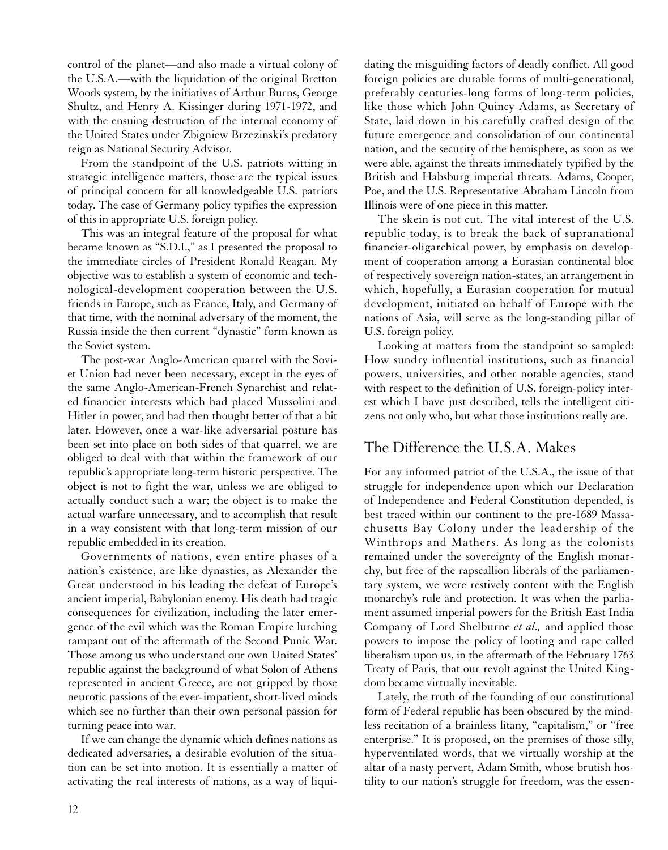control of the planet—and also made a virtual colony of the U.S.A.—with the liquidation of the original Bretton Woods system, by the initiatives of Arthur Burns, George Shultz, and Henry A. Kissinger during 1971-1972, and with the ensuing destruction of the internal economy of the United States under Zbigniew Brzezinski's predatory reign as National Security Advisor.

From the standpoint of the U.S. patriots witting in strategic intelligence matters, those are the typical issues of principal concern for all knowledgeable U.S. patriots today. The case of Germany policy typifies the expression of this in appropriate U.S. foreign policy.

This was an integral feature of the proposal for what became known as "S.D.I.," as I presented the proposal to the immediate circles of President Ronald Reagan. My objective was to establish a system of economic and technological-development cooperation between the U.S. friends in Europe, such as France, Italy, and Germany of that time, with the nominal adversary of the moment, the Russia inside the then current "dynastic" form known as the Soviet system.

The post-war Anglo-American quarrel with the Soviet Union had never been necessary, except in the eyes of the same Anglo-American-French Synarchist and related financier interests which had placed Mussolini and Hitler in power, and had then thought better of that a bit later. However, once a war-like adversarial posture has been set into place on both sides of that quarrel, we are obliged to deal with that within the framework of our republic's appropriate long-term historic perspective. The object is not to fight the war, unless we are obliged to actually conduct such a war; the object is to make the actual warfare unnecessary, and to accomplish that result in a way consistent with that long-term mission of our republic embedded in its creation.

Governments of nations, even entire phases of a nation's existence, are like dynasties, as Alexander the Great understood in his leading the defeat of Europe's ancient imperial, Babylonian enemy. His death had tragic consequences for civilization, including the later emergence of the evil which was the Roman Empire lurching rampant out of the aftermath of the Second Punic War. Those among us who understand our own United States' republic against the background of what Solon of Athens represented in ancient Greece, are not gripped by those neurotic passions of the ever-impatient, short-lived minds which see no further than their own personal passion for turning peace into war.

If we can change the dynamic which defines nations as dedicated adversaries, a desirable evolution of the situation can be set into motion. It is essentially a matter of activating the real interests of nations, as a way of liquidating the misguiding factors of deadly conflict. All good foreign policies are durable forms of multi-generational, preferably centuries-long forms of long-term policies, like those which John Quincy Adams, as Secretary of State, laid down in his carefully crafted design of the future emergence and consolidation of our continental nation, and the security of the hemisphere, as soon as we were able, against the threats immediately typified by the British and Habsburg imperial threats. Adams, Cooper, Poe, and the U.S. Representative Abraham Lincoln from Illinois were of one piece in this matter.

The skein is not cut. The vital interest of the U.S. republic today, is to break the back of supranational financier-oligarchical power, by emphasis on development of cooperation among a Eurasian continental bloc of respectively sovereign nation-states, an arrangement in which, hopefully, a Eurasian cooperation for mutual development, initiated on behalf of Europe with the nations of Asia, will serve as the long-standing pillar of U.S. foreign policy.

Looking at matters from the standpoint so sampled: How sundry influential institutions, such as financial powers, universities, and other notable agencies, stand with respect to the definition of U.S. foreign-policy interest which I have just described, tells the intelligent citizens not only who, but what those institutions really are.

## The Difference the U.S.A. Makes

For any informed patriot of the U.S.A., the issue of that struggle for independence upon which our Declaration of Independence and Federal Constitution depended, is best traced within our continent to the pre-1689 Massachusetts Bay Colony under the leadership of the Winthrops and Mathers. As long as the colonists remained under the sovereignty of the English monarchy, but free of the rapscallion liberals of the parliamentary system, we were restively content with the English monarchy's rule and protection. It was when the parliament assumed imperial powers for the British East India Company of Lord Shelburne *et al.,* and applied those powers to impose the policy of looting and rape called liberalism upon us, in the aftermath of the February 1763 Treaty of Paris, that our revolt against the United Kingdom became virtually inevitable.

Lately, the truth of the founding of our constitutional form of Federal republic has been obscured by the mindless recitation of a brainless litany, "capitalism," or "free enterprise." It is proposed, on the premises of those silly, hyperventilated words, that we virtually worship at the altar of a nasty pervert, Adam Smith, whose brutish hostility to our nation's struggle for freedom, was the essen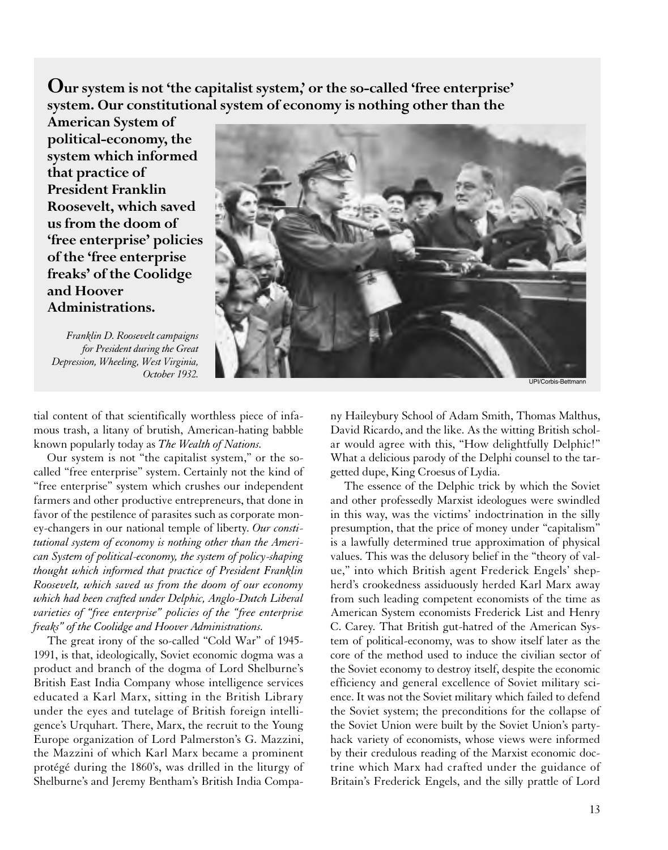**Our system is not 'the capitalist system,' or the so-called 'free enterprise' system. Our constitutional system of economy is nothing other than the**

**American System of political-economy, the system which informed that practice of President Franklin Roosevelt, which saved us from the doom of 'free enterprise' policies of the 'free enterprise freaks' of the Coolidge and Hoover Administrations.**

*Franklin D. Roosevelt campaigns for President during the Great Depression, Wheeling, West Virginia,* 



tial content of that scientifically worthless piece of infamous trash, a litany of brutish, American-hating babble known popularly today as *The Wealth of Nations.*

Our system is not "the capitalist system," or the socalled "free enterprise" system. Certainly not the kind of "free enterprise" system which crushes our independent farmers and other productive entrepreneurs, that done in favor of the pestilence of parasites such as corporate money-changers in our national temple of liberty. *Our constitutional system of economy is nothing other than the American System of political-economy, the system of policy-shaping thought which informed that practice of President Franklin Roosevelt, which saved us from the doom of our economy which had been crafted under Delphic, Anglo-Dutch Liberal varieties of "free enterprise" policies of the "free enterprise freaks" of the Coolidge and Hoover Administrations.*

The great irony of the so-called "Cold War" of 1945- 1991, is that, ideologically, Soviet economic dogma was a product and branch of the dogma of Lord Shelburne's British East India Company whose intelligence services educated a Karl Marx, sitting in the British Library under the eyes and tutelage of British foreign intelligence's Urquhart. There, Marx, the recruit to the Young Europe organization of Lord Palmerston's G. Mazzini, the Mazzini of which Karl Marx became a prominent protégé during the 1860's, was drilled in the liturgy of Shelburne's and Jeremy Bentham's British India Company Haileybury School of Adam Smith, Thomas Malthus, David Ricardo, and the like. As the witting British scholar would agree with this, "How delightfully Delphic!" What a delicious parody of the Delphi counsel to the targetted dupe, King Croesus of Lydia.

The essence of the Delphic trick by which the Soviet and other professedly Marxist ideologues were swindled in this way, was the victims' indoctrination in the silly presumption, that the price of money under "capitalism" is a lawfully determined true approximation of physical values. This was the delusory belief in the "theory of value," into which British agent Frederick Engels' shepherd's crookedness assiduously herded Karl Marx away from such leading competent economists of the time as American System economists Frederick List and Henry C. Carey. That British gut-hatred of the American System of political-economy, was to show itself later as the core of the method used to induce the civilian sector of the Soviet economy to destroy itself, despite the economic efficiency and general excellence of Soviet military science. It was not the Soviet military which failed to defend the Soviet system; the preconditions for the collapse of the Soviet Union were built by the Soviet Union's partyhack variety of economists, whose views were informed by their credulous reading of the Marxist economic doctrine which Marx had crafted under the guidance of Britain's Frederick Engels, and the silly prattle of Lord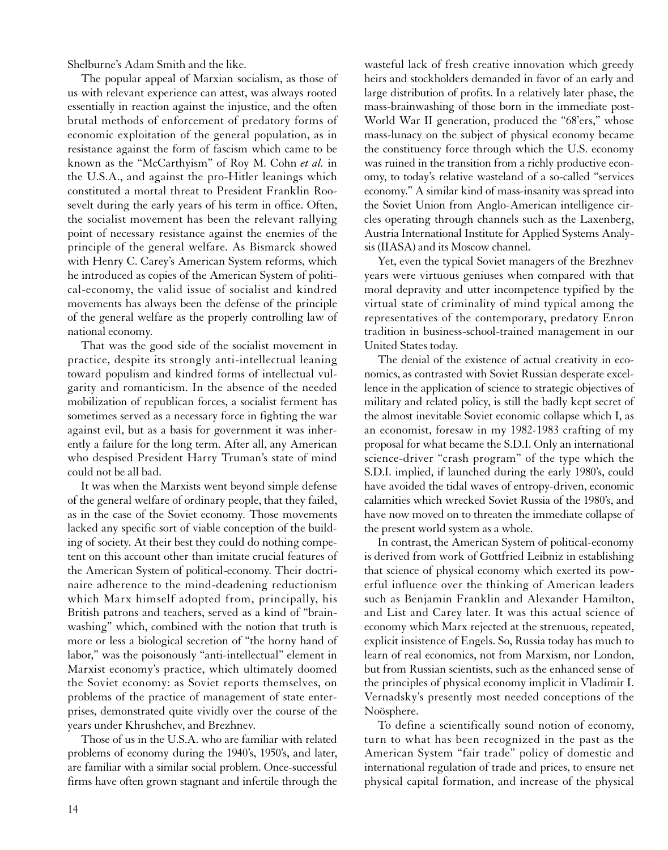Shelburne's Adam Smith and the like.

The popular appeal of Marxian socialism, as those of us with relevant experience can attest, was always rooted essentially in reaction against the injustice, and the often brutal methods of enforcement of predatory forms of economic exploitation of the general population, as in resistance against the form of fascism which came to be known as the "McCarthyism" of Roy M. Cohn *et al.* in the U.S.A., and against the pro-Hitler leanings which constituted a mortal threat to President Franklin Roosevelt during the early years of his term in office. Often, the socialist movement has been the relevant rallying point of necessary resistance against the enemies of the principle of the general welfare. As Bismarck showed with Henry C. Carey's American System reforms, which he introduced as copies of the American System of political-economy, the valid issue of socialist and kindred movements has always been the defense of the principle of the general welfare as the properly controlling law of national economy.

That was the good side of the socialist movement in practice, despite its strongly anti-intellectual leaning toward populism and kindred forms of intellectual vulgarity and romanticism. In the absence of the needed mobilization of republican forces, a socialist ferment has sometimes served as a necessary force in fighting the war against evil, but as a basis for government it was inherently a failure for the long term. After all, any American who despised President Harry Truman's state of mind could not be all bad.

It was when the Marxists went beyond simple defense of the general welfare of ordinary people, that they failed, as in the case of the Soviet economy. Those movements lacked any specific sort of viable conception of the building of society. At their best they could do nothing competent on this account other than imitate crucial features of the American System of political-economy. Their doctrinaire adherence to the mind-deadening reductionism which Marx himself adopted from, principally, his British patrons and teachers, served as a kind of "brainwashing" which, combined with the notion that truth is more or less a biological secretion of "the horny hand of labor," was the poisonously "anti-intellectual" element in Marxist economy's practice, which ultimately doomed the Soviet economy: as Soviet reports themselves, on problems of the practice of management of state enterprises, demonstrated quite vividly over the course of the years under Khrushchev, and Brezhnev.

Those of us in the U.S.A. who are familiar with related problems of economy during the 1940's, 1950's, and later, are familiar with a similar social problem. Once-successful firms have often grown stagnant and infertile through the

wasteful lack of fresh creative innovation which greedy heirs and stockholders demanded in favor of an early and large distribution of profits. In a relatively later phase, the mass-brainwashing of those born in the immediate post-World War II generation, produced the "68'ers," whose mass-lunacy on the subject of physical economy became the constituency force through which the U.S. economy was ruined in the transition from a richly productive economy, to today's relative wasteland of a so-called "services economy." A similar kind of mass-insanity was spread into the Soviet Union from Anglo-American intelligence circles operating through channels such as the Laxenberg, Austria International Institute for Applied Systems Analysis (IIASA) and its Moscow channel.

Yet, even the typical Soviet managers of the Brezhnev years were virtuous geniuses when compared with that moral depravity and utter incompetence typified by the virtual state of criminality of mind typical among the representatives of the contemporary, predatory Enron tradition in business-school-trained management in our United States today.

The denial of the existence of actual creativity in economics, as contrasted with Soviet Russian desperate excellence in the application of science to strategic objectives of military and related policy, is still the badly kept secret of the almost inevitable Soviet economic collapse which I, as an economist, foresaw in my 1982-1983 crafting of my proposal for what became the S.D.I. Only an international science-driver "crash program" of the type which the S.D.I. implied, if launched during the early 1980's, could have avoided the tidal waves of entropy-driven, economic calamities which wrecked Soviet Russia of the 1980's, and have now moved on to threaten the immediate collapse of the present world system as a whole.

In contrast, the American System of political-economy is derived from work of Gottfried Leibniz in establishing that science of physical economy which exerted its powerful influence over the thinking of American leaders such as Benjamin Franklin and Alexander Hamilton, and List and Carey later. It was this actual science of economy which Marx rejected at the strenuous, repeated, explicit insistence of Engels. So, Russia today has much to learn of real economics, not from Marxism, nor London, but from Russian scientists, such as the enhanced sense of the principles of physical economy implicit in Vladimir I. Vernadsky's presently most needed conceptions of the Noösphere.

To define a scientifically sound notion of economy, turn to what has been recognized in the past as the American System "fair trade" policy of domestic and international regulation of trade and prices, to ensure net physical capital formation, and increase of the physical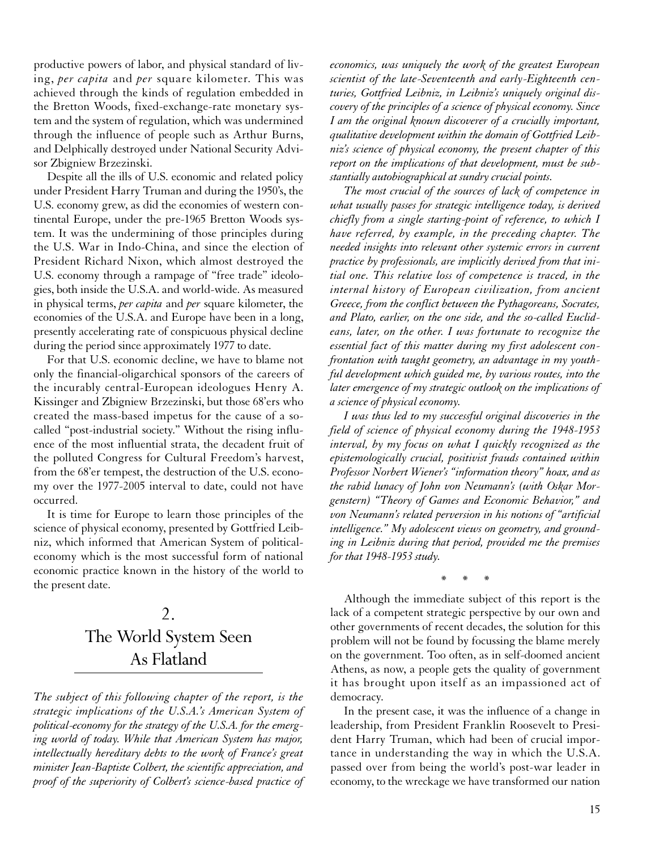productive powers of labor, and physical standard of living, *per capita* and *per* square kilometer. This was achieved through the kinds of regulation embedded in the Bretton Woods, fixed-exchange-rate monetary system and the system of regulation, which was undermined through the influence of people such as Arthur Burns, and Delphically destroyed under National Security Advisor Zbigniew Brzezinski.

Despite all the ills of U.S. economic and related policy under President Harry Truman and during the 1950's, the U.S. economy grew, as did the economies of western continental Europe, under the pre-1965 Bretton Woods system. It was the undermining of those principles during the U.S. War in Indo-China, and since the election of President Richard Nixon, which almost destroyed the U.S. economy through a rampage of "free trade" ideologies, both inside the U.S.A. and world-wide. As measured in physical terms, *per capita* and *per* square kilometer, the economies of the U.S.A. and Europe have been in a long, presently accelerating rate of conspicuous physical decline during the period since approximately 1977 to date.

For that U.S. economic decline, we have to blame not only the financial-oligarchical sponsors of the careers of the incurably central-European ideologues Henry A. Kissinger and Zbigniew Brzezinski, but those 68'ers who created the mass-based impetus for the cause of a socalled "post-industrial society." Without the rising influence of the most influential strata, the decadent fruit of the polluted Congress for Cultural Freedom's harvest, from the 68'er tempest, the destruction of the U.S. economy over the 1977-2005 interval to date, could not have occurred.

It is time for Europe to learn those principles of the science of physical economy, presented by Gottfried Leibniz, which informed that American System of politicaleconomy which is the most successful form of national economic practice known in the history of the world to the present date.

# 2. The World System Seen As Flatland

*The subject of this following chapter of the report, is the strategic implications of the U.S.A.'s American System of political-economy for the strategy of the U.S.A. for the emerging world of today. While that American System has major, intellectually hereditary debts to the work of France's great minister Jean-Baptiste Colbert, the scientific appreciation, and proof of the superiority of Colbert's science-based practice of* *economics, was uniquely the work of the greatest European scientist of the late-Seventeenth and early-Eighteenth centuries, Gottfried Leibniz, in Leibniz's uniquely original discovery of the principles of a science of physical economy. Since I am the original known discoverer of a crucially important, qualitative development within the domain of Gottfried Leibniz's science of physical economy, the present chapter of this report on the implications of that development, must be substantially autobiographical at sundry crucial points.*

*The most crucial of the sources of lack of competence in what usually passes for strategic intelligence today, is derived chiefly from a single starting-point of reference, to which I have referred, by example, in the preceding chapter. The needed insights into relevant other systemic errors in current practice by professionals, are implicitly derived from that initial one. This relative loss of competence is traced, in the internal history of European civilization, from ancient Greece, from the conflict between the Pythagoreans, Socrates, and Plato, earlier, on the one side, and the so-called Euclideans, later, on the other. I was fortunate to recognize the essential fact of this matter during my first adolescent confrontation with taught geometry, an advantage in my youthful development which guided me, by various routes, into the later emergence of my strategic outlook on the implications of a science of physical economy.*

*I was thus led to my successful original discoveries in the field of science of physical economy during the 1948-1953 interval, by my focus on what I quickly recognized as the epistemologically crucial, positivist frauds contained within Professor Norbert Wiener's "information theory" hoax, and as the rabid lunacy of John von Neumann's (with Oskar Morgenstern) "Theory of Games and Economic Behavior," and von Neumann's related perversion in his notions of "artificial intelligence." My adolescent views on geometry, and grounding in Leibniz during that period, provided me the premises for that 1948-1953 study.*

\*\*\*

Although the immediate subject of this report is the lack of a competent strategic perspective by our own and other governments of recent decades, the solution for this problem will not be found by focussing the blame merely on the government. Too often, as in self-doomed ancient Athens, as now, a people gets the quality of government it has brought upon itself as an impassioned act of democracy.

In the present case, it was the influence of a change in leadership, from President Franklin Roosevelt to President Harry Truman, which had been of crucial importance in understanding the way in which the U.S.A. passed over from being the world's post-war leader in economy, to the wreckage we have transformed our nation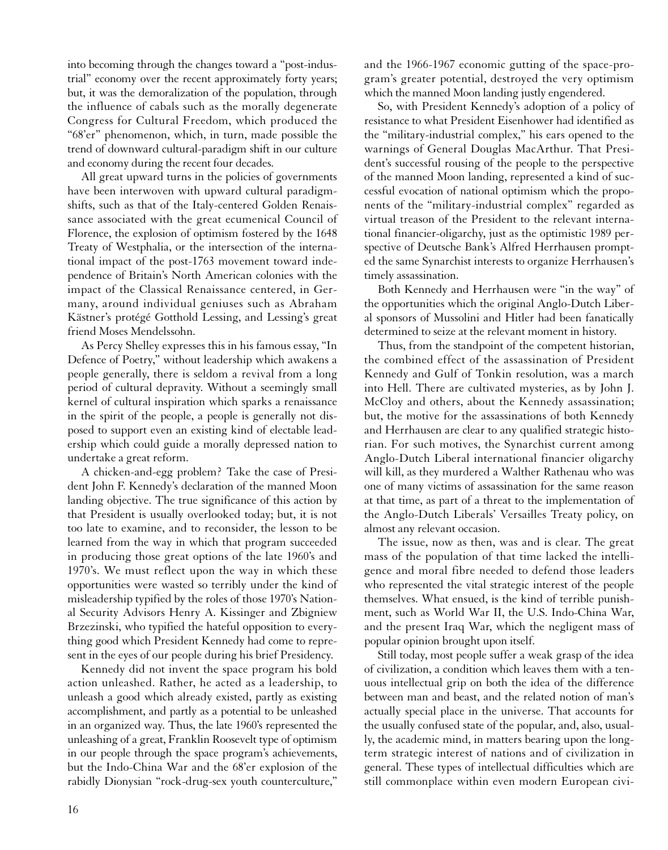into becoming through the changes toward a "post-industrial" economy over the recent approximately forty years; but, it was the demoralization of the population, through the influence of cabals such as the morally degenerate Congress for Cultural Freedom, which produced the "68'er" phenomenon, which, in turn, made possible the trend of downward cultural-paradigm shift in our culture and economy during the recent four decades.

All great upward turns in the policies of governments have been interwoven with upward cultural paradigmshifts, such as that of the Italy-centered Golden Renaissance associated with the great ecumenical Council of Florence, the explosion of optimism fostered by the 1648 Treaty of Westphalia, or the intersection of the international impact of the post-1763 movement toward independence of Britain's North American colonies with the impact of the Classical Renaissance centered, in Germany, around individual geniuses such as Abraham Kästner's protégé Gotthold Lessing, and Lessing's great friend Moses Mendelssohn.

As Percy Shelley expresses this in his famous essay, "In Defence of Poetry," without leadership which awakens a people generally, there is seldom a revival from a long period of cultural depravity. Without a seemingly small kernel of cultural inspiration which sparks a renaissance in the spirit of the people, a people is generally not disposed to support even an existing kind of electable leadership which could guide a morally depressed nation to undertake a great reform.

A chicken-and-egg problem? Take the case of President John F. Kennedy's declaration of the manned Moon landing objective. The true significance of this action by that President is usually overlooked today; but, it is not too late to examine, and to reconsider, the lesson to be learned from the way in which that program succeeded in producing those great options of the late 1960's and 1970's. We must reflect upon the way in which these opportunities were wasted so terribly under the kind of misleadership typified by the roles of those 1970's National Security Advisors Henry A. Kissinger and Zbigniew Brzezinski, who typified the hateful opposition to everything good which President Kennedy had come to represent in the eyes of our people during his brief Presidency.

Kennedy did not invent the space program his bold action unleashed. Rather, he acted as a leadership, to unleash a good which already existed, partly as existing accomplishment, and partly as a potential to be unleashed in an organized way. Thus, the late 1960's represented the unleashing of a great, Franklin Roosevelt type of optimism in our people through the space program's achievements, but the Indo-China War and the 68'er explosion of the rabidly Dionysian "rock-drug-sex youth counterculture," and the 1966-1967 economic gutting of the space-program's greater potential, destroyed the very optimism which the manned Moon landing justly engendered.

So, with President Kennedy's adoption of a policy of resistance to what President Eisenhower had identified as the "military-industrial complex," his ears opened to the warnings of General Douglas MacArthur. That President's successful rousing of the people to the perspective of the manned Moon landing, represented a kind of successful evocation of national optimism which the proponents of the "military-industrial complex" regarded as virtual treason of the President to the relevant international financier-oligarchy, just as the optimistic 1989 perspective of Deutsche Bank's Alfred Herrhausen prompted the same Synarchist interests to organize Herrhausen's timely assassination.

Both Kennedy and Herrhausen were "in the way" of the opportunities which the original Anglo-Dutch Liberal sponsors of Mussolini and Hitler had been fanatically determined to seize at the relevant moment in history.

Thus, from the standpoint of the competent historian, the combined effect of the assassination of President Kennedy and Gulf of Tonkin resolution, was a march into Hell. There are cultivated mysteries, as by John J. McCloy and others, about the Kennedy assassination; but, the motive for the assassinations of both Kennedy and Herrhausen are clear to any qualified strategic historian. For such motives, the Synarchist current among Anglo-Dutch Liberal international financier oligarchy will kill, as they murdered a Walther Rathenau who was one of many victims of assassination for the same reason at that time, as part of a threat to the implementation of the Anglo-Dutch Liberals' Versailles Treaty policy, on almost any relevant occasion.

The issue, now as then, was and is clear. The great mass of the population of that time lacked the intelligence and moral fibre needed to defend those leaders who represented the vital strategic interest of the people themselves. What ensued, is the kind of terrible punishment, such as World War II, the U.S. Indo-China War, and the present Iraq War, which the negligent mass of popular opinion brought upon itself.

Still today, most people suffer a weak grasp of the idea of civilization, a condition which leaves them with a tenuous intellectual grip on both the idea of the difference between man and beast, and the related notion of man's actually special place in the universe. That accounts for the usually confused state of the popular, and, also, usually, the academic mind, in matters bearing upon the longterm strategic interest of nations and of civilization in general. These types of intellectual difficulties which are still commonplace within even modern European civi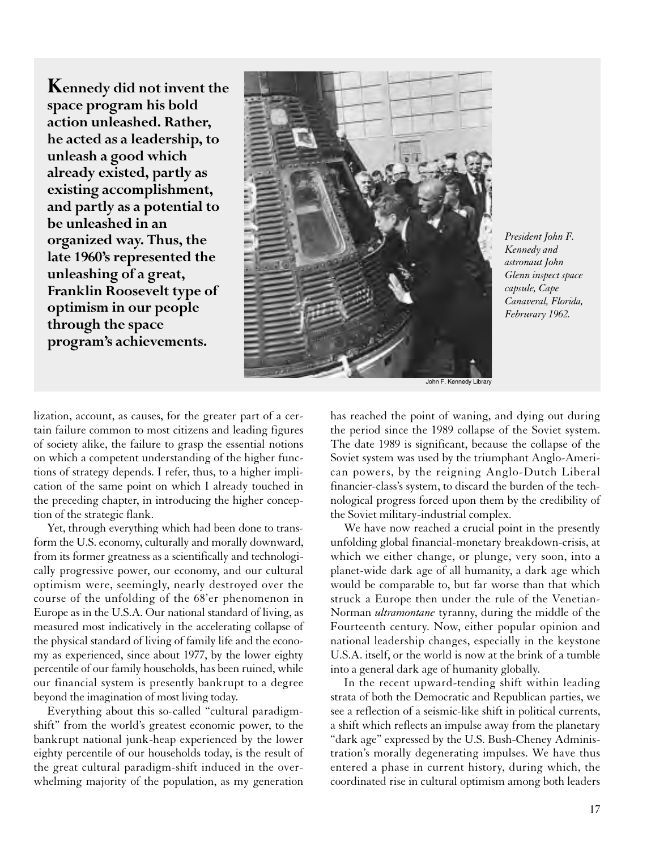**Kennedy did not invent the space program his bold action unleashed. Rather, he acted as a leadership, to unleash a good which already existed, partly as existing accomplishment, and partly as a potential to be unleashed in an organized way. Thus, the late 1960's represented the unleashing of a great, Franklin Roosevelt type of optimism in our people through the space program's achievements.**



*President John F. Kennedy and astronaut John Glenn inspect space capsule, Cape Canaveral, Florida, Februrary 1962.*

John F. Kennedy Library

lization, account, as causes, for the greater part of a certain failure common to most citizens and leading figures of society alike, the failure to grasp the essential notions on which a competent understanding of the higher functions of strategy depends. I refer, thus, to a higher implication of the same point on which I already touched in the preceding chapter, in introducing the higher conception of the strategic flank.

Yet, through everything which had been done to transform the U.S. economy, culturally and morally downward, from its former greatness as a scientifically and technologically progressive power, our economy, and our cultural optimism were, seemingly, nearly destroyed over the course of the unfolding of the 68'er phenomenon in Europe as in the U.S.A. Our national standard of living, as measured most indicatively in the accelerating collapse of the physical standard of living of family life and the economy as experienced, since about 1977, by the lower eighty percentile of our family households, has been ruined, while our financial system is presently bankrupt to a degree beyond the imagination of most living today.

Everything about this so-called "cultural paradigmshift" from the world's greatest economic power, to the bankrupt national junk-heap experienced by the lower eighty percentile of our households today, is the result of the great cultural paradigm-shift induced in the overwhelming majority of the population, as my generation

has reached the point of waning, and dying out during the period since the 1989 collapse of the Soviet system. The date 1989 is significant, because the collapse of the Soviet system was used by the triumphant Anglo-American powers, by the reigning Anglo-Dutch Liberal financier-class's system, to discard the burden of the technological progress forced upon them by the credibility of the Soviet military-industrial complex.

We have now reached a crucial point in the presently unfolding global financial-monetary breakdown-crisis, at which we either change, or plunge, very soon, into a planet-wide dark age of all humanity, a dark age which would be comparable to, but far worse than that which struck a Europe then under the rule of the Venetian-Norman *ultramontane* tyranny, during the middle of the Fourteenth century. Now, either popular opinion and national leadership changes, especially in the keystone U.S.A. itself, or the world is now at the brink of a tumble into a general dark age of humanity globally.

In the recent upward-tending shift within leading strata of both the Democratic and Republican parties, we see a reflection of a seismic-like shift in political currents, a shift which reflects an impulse away from the planetary "dark age" expressed by the U.S. Bush-Cheney Administration's morally degenerating impulses. We have thus entered a phase in current history, during which, the coordinated rise in cultural optimism among both leaders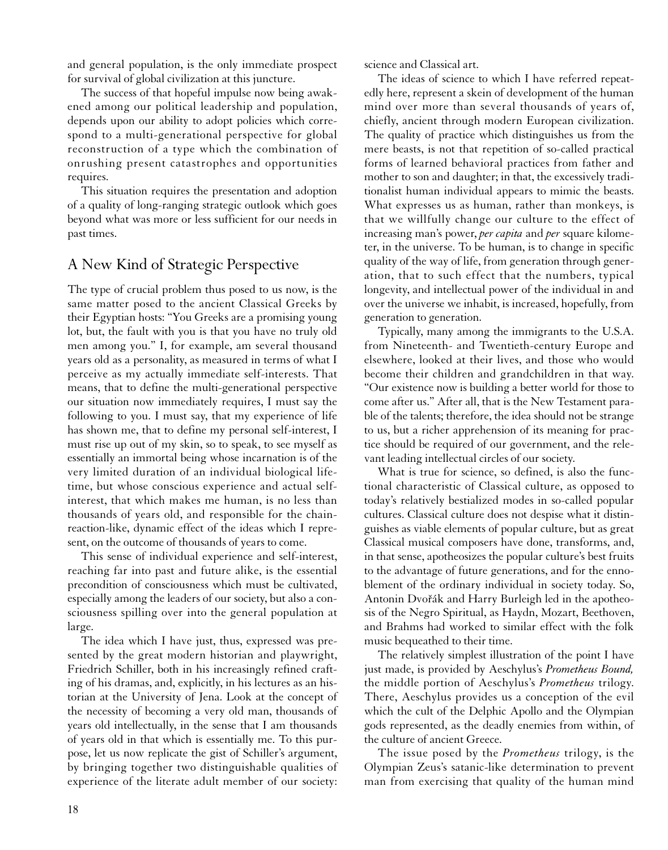and general population, is the only immediate prospect for survival of global civilization at this juncture.

The success of that hopeful impulse now being awakened among our political leadership and population, depends upon our ability to adopt policies which correspond to a multi-generational perspective for global reconstruction of a type which the combination of onrushing present catastrophes and opportunities requires.

This situation requires the presentation and adoption of a quality of long-ranging strategic outlook which goes beyond what was more or less sufficient for our needs in past times.

## A New Kind of Strategic Perspective

The type of crucial problem thus posed to us now, is the same matter posed to the ancient Classical Greeks by their Egyptian hosts: "You Greeks are a promising young lot, but, the fault with you is that you have no truly old men among you." I, for example, am several thousand years old as a personality, as measured in terms of what I perceive as my actually immediate self-interests. That means, that to define the multi-generational perspective our situation now immediately requires, I must say the following to you. I must say, that my experience of life has shown me, that to define my personal self-interest, I must rise up out of my skin, so to speak, to see myself as essentially an immortal being whose incarnation is of the very limited duration of an individual biological lifetime, but whose conscious experience and actual selfinterest, that which makes me human, is no less than thousands of years old, and responsible for the chainreaction-like, dynamic effect of the ideas which I represent, on the outcome of thousands of years to come.

This sense of individual experience and self-interest, reaching far into past and future alike, is the essential precondition of consciousness which must be cultivated, especially among the leaders of our society, but also a consciousness spilling over into the general population at large.

The idea which I have just, thus, expressed was presented by the great modern historian and playwright, Friedrich Schiller, both in his increasingly refined crafting of his dramas, and, explicitly, in his lectures as an historian at the University of Jena. Look at the concept of the necessity of becoming a very old man, thousands of years old intellectually, in the sense that I am thousands of years old in that which is essentially me. To this purpose, let us now replicate the gist of Schiller's argument, by bringing together two distinguishable qualities of experience of the literate adult member of our society:

science and Classical art.

The ideas of science to which I have referred repeatedly here, represent a skein of development of the human mind over more than several thousands of years of, chiefly, ancient through modern European civilization. The quality of practice which distinguishes us from the mere beasts, is not that repetition of so-called practical forms of learned behavioral practices from father and mother to son and daughter; in that, the excessively traditionalist human individual appears to mimic the beasts. What expresses us as human, rather than monkeys, is that we willfully change our culture to the effect of increasing man's power, *per capita* and *per* square kilometer, in the universe. To be human, is to change in specific quality of the way of life, from generation through generation, that to such effect that the numbers, typical longevity, and intellectual power of the individual in and over the universe we inhabit, is increased, hopefully, from generation to generation.

Typically, many among the immigrants to the U.S.A. from Nineteenth- and Twentieth-century Europe and elsewhere, looked at their lives, and those who would become their children and grandchildren in that way. "Our existence now is building a better world for those to come after us." After all, that is the New Testament parable of the talents; therefore, the idea should not be strange to us, but a richer apprehension of its meaning for practice should be required of our government, and the relevant leading intellectual circles of our society.

What is true for science, so defined, is also the functional characteristic of Classical culture, as opposed to today's relatively bestialized modes in so-called popular cultures. Classical culture does not despise what it distinguishes as viable elements of popular culture, but as great Classical musical composers have done, transforms, and, in that sense, apotheosizes the popular culture's best fruits to the advantage of future generations, and for the ennoblement of the ordinary individual in society today. So, Antonin Dvořák and Harry Burleigh led in the apotheosis of the Negro Spiritual, as Haydn, Mozart, Beethoven, and Brahms had worked to similar effect with the folk music bequeathed to their time.

The relatively simplest illustration of the point I have just made, is provided by Aeschylus's *Prometheus Bound,* the middle portion of Aeschylus's *Prometheus* trilogy. There, Aeschylus provides us a conception of the evil which the cult of the Delphic Apollo and the Olympian gods represented, as the deadly enemies from within, of the culture of ancient Greece.

The issue posed by the *Prometheus* trilogy, is the Olympian Zeus's satanic-like determination to prevent man from exercising that quality of the human mind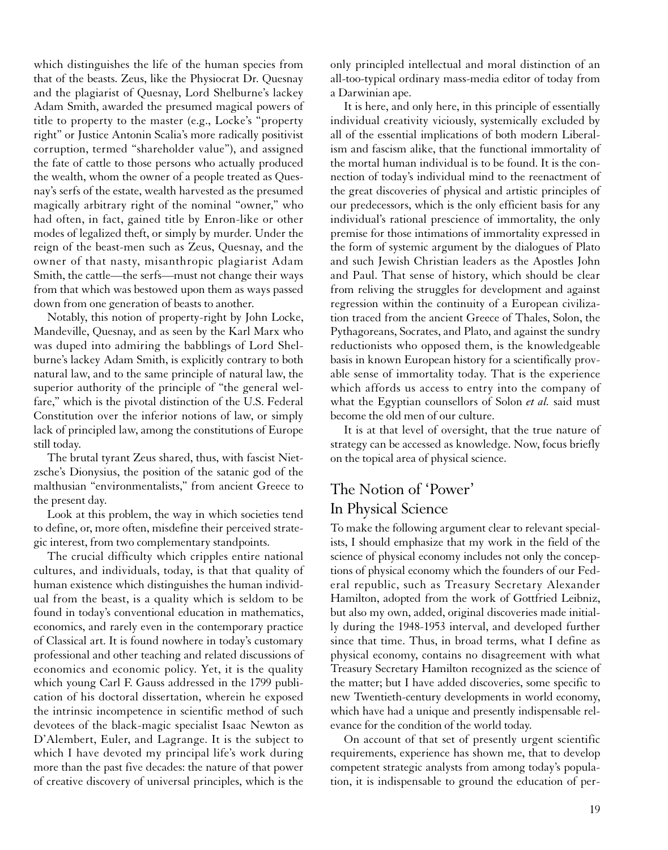which distinguishes the life of the human species from that of the beasts. Zeus, like the Physiocrat Dr. Quesnay and the plagiarist of Quesnay, Lord Shelburne's lackey Adam Smith, awarded the presumed magical powers of title to property to the master (e.g., Locke's "property right" or Justice Antonin Scalia's more radically positivist corruption, termed "shareholder value"), and assigned the fate of cattle to those persons who actually produced the wealth, whom the owner of a people treated as Quesnay's serfs of the estate, wealth harvested as the presumed magically arbitrary right of the nominal "owner," who had often, in fact, gained title by Enron-like or other modes of legalized theft, or simply by murder. Under the reign of the beast-men such as Zeus, Quesnay, and the owner of that nasty, misanthropic plagiarist Adam Smith, the cattle—the serfs—must not change their ways from that which was bestowed upon them as ways passed down from one generation of beasts to another.

Notably, this notion of property-right by John Locke, Mandeville, Quesnay, and as seen by the Karl Marx who was duped into admiring the babblings of Lord Shelburne's lackey Adam Smith, is explicitly contrary to both natural law, and to the same principle of natural law, the superior authority of the principle of "the general welfare," which is the pivotal distinction of the U.S. Federal Constitution over the inferior notions of law, or simply lack of principled law, among the constitutions of Europe still today.

The brutal tyrant Zeus shared, thus, with fascist Nietzsche's Dionysius, the position of the satanic god of the malthusian "environmentalists," from ancient Greece to the present day.

Look at this problem, the way in which societies tend to define, or, more often, misdefine their perceived strategic interest, from two complementary standpoints.

The crucial difficulty which cripples entire national cultures, and individuals, today, is that that quality of human existence which distinguishes the human individual from the beast, is a quality which is seldom to be found in today's conventional education in mathematics, economics, and rarely even in the contemporary practice of Classical art. It is found nowhere in today's customary professional and other teaching and related discussions of economics and economic policy. Yet, it is the quality which young Carl F. Gauss addressed in the 1799 publication of his doctoral dissertation, wherein he exposed the intrinsic incompetence in scientific method of such devotees of the black-magic specialist Isaac Newton as D'Alembert, Euler, and Lagrange. It is the subject to which I have devoted my principal life's work during more than the past five decades: the nature of that power of creative discovery of universal principles, which is the

only principled intellectual and moral distinction of an all-too-typical ordinary mass-media editor of today from a Darwinian ape.

It is here, and only here, in this principle of essentially individual creativity viciously, systemically excluded by all of the essential implications of both modern Liberalism and fascism alike, that the functional immortality of the mortal human individual is to be found. It is the connection of today's individual mind to the reenactment of the great discoveries of physical and artistic principles of our predecessors, which is the only efficient basis for any individual's rational prescience of immortality, the only premise for those intimations of immortality expressed in the form of systemic argument by the dialogues of Plato and such Jewish Christian leaders as the Apostles John and Paul. That sense of history, which should be clear from reliving the struggles for development and against regression within the continuity of a European civilization traced from the ancient Greece of Thales, Solon, the Pythagoreans, Socrates, and Plato, and against the sundry reductionists who opposed them, is the knowledgeable basis in known European history for a scientifically provable sense of immortality today. That is the experience which affords us access to entry into the company of what the Egyptian counsellors of Solon *et al.* said must become the old men of our culture.

It is at that level of oversight, that the true nature of strategy can be accessed as knowledge. Now, focus briefly on the topical area of physical science.

## The Notion of 'Power' In Physical Science

To make the following argument clear to relevant specialists, I should emphasize that my work in the field of the science of physical economy includes not only the conceptions of physical economy which the founders of our Federal republic, such as Treasury Secretary Alexander Hamilton, adopted from the work of Gottfried Leibniz, but also my own, added, original discoveries made initially during the 1948-1953 interval, and developed further since that time. Thus, in broad terms, what I define as physical economy, contains no disagreement with what Treasury Secretary Hamilton recognized as the science of the matter; but I have added discoveries, some specific to new Twentieth-century developments in world economy, which have had a unique and presently indispensable relevance for the condition of the world today.

On account of that set of presently urgent scientific requirements, experience has shown me, that to develop competent strategic analysts from among today's population, it is indispensable to ground the education of per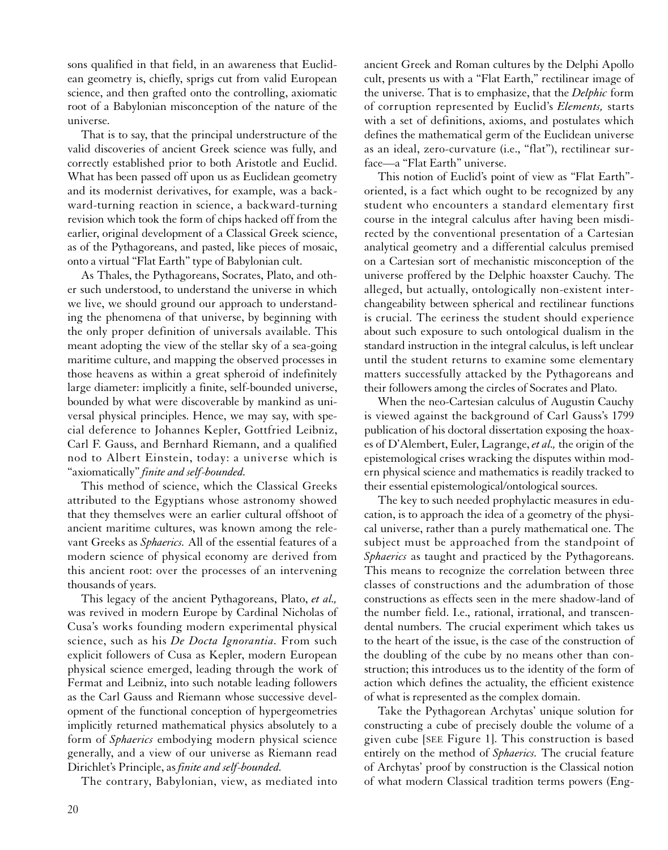sons qualified in that field, in an awareness that Euclidean geometry is, chiefly, sprigs cut from valid European science, and then grafted onto the controlling, axiomatic root of a Babylonian misconception of the nature of the universe.

That is to say, that the principal understructure of the valid discoveries of ancient Greek science was fully, and correctly established prior to both Aristotle and Euclid. What has been passed off upon us as Euclidean geometry and its modernist derivatives, for example, was a backward-turning reaction in science, a backward-turning revision which took the form of chips hacked off from the earlier, original development of a Classical Greek science, as of the Pythagoreans, and pasted, like pieces of mosaic, onto a virtual "Flat Earth" type of Babylonian cult.

As Thales, the Pythagoreans, Socrates, Plato, and other such understood, to understand the universe in which we live, we should ground our approach to understanding the phenomena of that universe, by beginning with the only proper definition of universals available. This meant adopting the view of the stellar sky of a sea-going maritime culture, and mapping the observed processes in those heavens as within a great spheroid of indefinitely large diameter: implicitly a finite, self-bounded universe, bounded by what were discoverable by mankind as universal physical principles. Hence, we may say, with special deference to Johannes Kepler, Gottfried Leibniz, Carl F. Gauss, and Bernhard Riemann, and a qualified nod to Albert Einstein, today: a universe which is "axiomatically" *finite and self-bounded.*

This method of science, which the Classical Greeks attributed to the Egyptians whose astronomy showed that they themselves were an earlier cultural offshoot of ancient maritime cultures, was known among the relevant Greeks as *Sphaerics.* All of the essential features of a modern science of physical economy are derived from this ancient root: over the processes of an intervening thousands of years.

This legacy of the ancient Pythagoreans, Plato, *et al.,* was revived in modern Europe by Cardinal Nicholas of Cusa's works founding modern experimental physical science, such as his *De Docta Ignorantia.* From such explicit followers of Cusa as Kepler, modern European physical science emerged, leading through the work of Fermat and Leibniz, into such notable leading followers as the Carl Gauss and Riemann whose successive development of the functional conception of hypergeometries implicitly returned mathematical physics absolutely to a form of *Sphaerics* embodying modern physical science generally, and a view of our universe as Riemann read Dirichlet's Principle, as *finite and self-bounded.*

The contrary, Babylonian, view, as mediated into

ancient Greek and Roman cultures by the Delphi Apollo cult, presents us with a "Flat Earth," rectilinear image of the universe. That is to emphasize, that the *Delphic* form of corruption represented by Euclid's *Elements,* starts with a set of definitions, axioms, and postulates which defines the mathematical germ of the Euclidean universe as an ideal, zero-curvature (i.e., "flat"), rectilinear surface—a "Flat Earth" universe.

This notion of Euclid's point of view as "Flat Earth" oriented, is a fact which ought to be recognized by any student who encounters a standard elementary first course in the integral calculus after having been misdirected by the conventional presentation of a Cartesian analytical geometry and a differential calculus premised on a Cartesian sort of mechanistic misconception of the universe proffered by the Delphic hoaxster Cauchy. The alleged, but actually, ontologically non-existent interchangeability between spherical and rectilinear functions is crucial. The eeriness the student should experience about such exposure to such ontological dualism in the standard instruction in the integral calculus, is left unclear until the student returns to examine some elementary matters successfully attacked by the Pythagoreans and their followers among the circles of Socrates and Plato.

When the neo-Cartesian calculus of Augustin Cauchy is viewed against the background of Carl Gauss's 1799 publication of his doctoral dissertation exposing the hoaxes of D'Alembert, Euler, Lagrange, *et al.,* the origin of the epistemological crises wracking the disputes within modern physical science and mathematics is readily tracked to their essential epistemological/ontological sources.

The key to such needed prophylactic measures in education, is to approach the idea of a geometry of the physical universe, rather than a purely mathematical one. The subject must be approached from the standpoint of *Sphaerics* as taught and practiced by the Pythagoreans. This means to recognize the correlation between three classes of constructions and the adumbration of those constructions as effects seen in the mere shadow-land of the number field. I.e., rational, irrational, and transcendental numbers. The crucial experiment which takes us to the heart of the issue, is the case of the construction of the doubling of the cube by no means other than construction; this introduces us to the identity of the form of action which defines the actuality, the efficient existence of what is represented as the complex domain.

Take the Pythagorean Archytas' unique solution for constructing a cube of precisely double the volume of a given cube [SEE Figure 1]. This construction is based entirely on the method of *Sphaerics.* The crucial feature of Archytas' proof by construction is the Classical notion of what modern Classical tradition terms powers (Eng-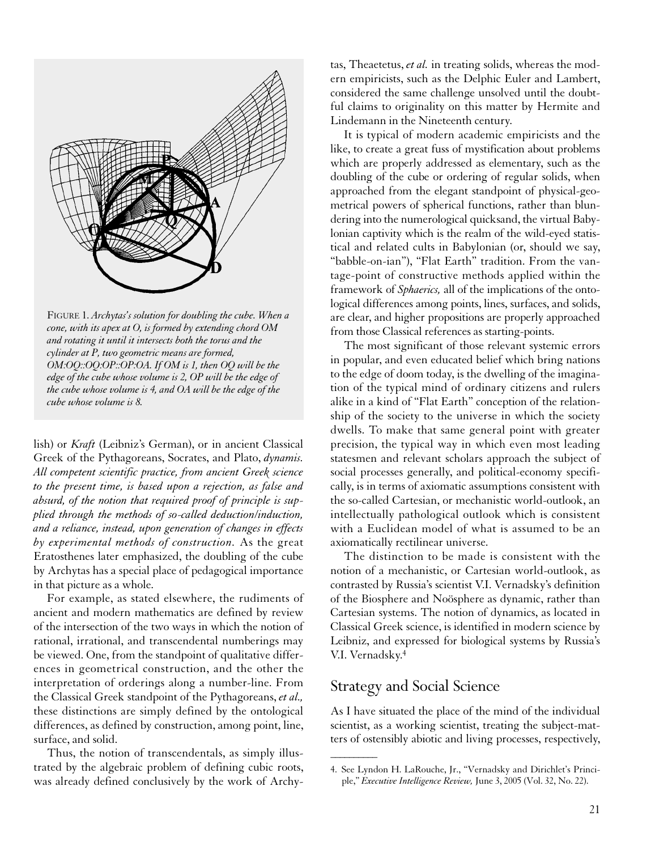

FIGURE 1. *Archytas's solution for doubling the cube. When a cone, with its apex at O, is formed by extending chord OM and rotating it until it intersects both the torus and the cylinder at P, two geometric means are formed, OM:OQ::OQ:OP::OP:OA. If OM is 1, then OQ will be the edge of the cube whose volume is 2, OP will be the edge of the cube whose volume is 4, and OA will be the edge of the cube whose volume is 8.*

lish) or *Kraft* (Leibniz's German), or in ancient Classical Greek of the Pythagoreans, Socrates, and Plato, *dynamis. All competent scientific practice, from ancient Greek science to the present time, is based upon a rejection, as false and absurd, of the notion that required proof of principle is supplied through the methods of so-called deduction/induction, and a reliance, instead, upon generation of changes in effects by experimental methods of construction.* As the great Eratosthenes later emphasized, the doubling of the cube by Archytas has a special place of pedagogical importance in that picture as a whole.

For example, as stated elsewhere, the rudiments of ancient and modern mathematics are defined by review of the intersection of the two ways in which the notion of rational, irrational, and transcendental numberings may be viewed. One, from the standpoint of qualitative differences in geometrical construction, and the other the interpretation of orderings along a number-line. From the Classical Greek standpoint of the Pythagoreans, *et al.,* these distinctions are simply defined by the ontological differences, as defined by construction, among point, line, surface, and solid.

Thus, the notion of transcendentals, as simply illustrated by the algebraic problem of defining cubic roots, was already defined conclusively by the work of Archytas, Theaetetus, *et al.* in treating solids, whereas the modern empiricists, such as the Delphic Euler and Lambert, considered the same challenge unsolved until the doubtful claims to originality on this matter by Hermite and Lindemann in the Nineteenth century.

It is typical of modern academic empiricists and the like, to create a great fuss of mystification about problems which are properly addressed as elementary, such as the doubling of the cube or ordering of regular solids, when approached from the elegant standpoint of physical-geometrical powers of spherical functions, rather than blundering into the numerological quicksand, the virtual Babylonian captivity which is the realm of the wild-eyed statistical and related cults in Babylonian (or, should we say, "babble-on-ian"), "Flat Earth" tradition. From the vantage-point of constructive methods applied within the framework of *Sphaerics,* all of the implications of the ontological differences among points, lines, surfaces, and solids, are clear, and higher propositions are properly approached from those Classical references as starting-points.

The most significant of those relevant systemic errors in popular, and even educated belief which bring nations to the edge of doom today, is the dwelling of the imagination of the typical mind of ordinary citizens and rulers alike in a kind of "Flat Earth" conception of the relationship of the society to the universe in which the society dwells. To make that same general point with greater precision, the typical way in which even most leading statesmen and relevant scholars approach the subject of social processes generally, and political-economy specifically, is in terms of axiomatic assumptions consistent with the so-called Cartesian, or mechanistic world-outlook, an intellectually pathological outlook which is consistent with a Euclidean model of what is assumed to be an axiomatically rectilinear universe.

The distinction to be made is consistent with the notion of a mechanistic, or Cartesian world-outlook, as contrasted by Russia's scientist V.I. Vernadsky's definition of the Biosphere and Noösphere as dynamic, rather than Cartesian systems. The notion of dynamics, as located in Classical Greek science, is identified in modern science by Leibniz, and expressed for biological systems by Russia's V.I. Vernadsky.4

#### Strategy and Social Science

 $\overline{\phantom{a}}$ 

As I have situated the place of the mind of the individual scientist, as a working scientist, treating the subject-matters of ostensibly abiotic and living processes, respectively,

<sup>4.</sup> See Lyndon H. LaRouche, Jr., "Vernadsky and Dirichlet's Principle," *Executive Intelligence Review,* June 3, 2005 (Vol. 32, No. 22).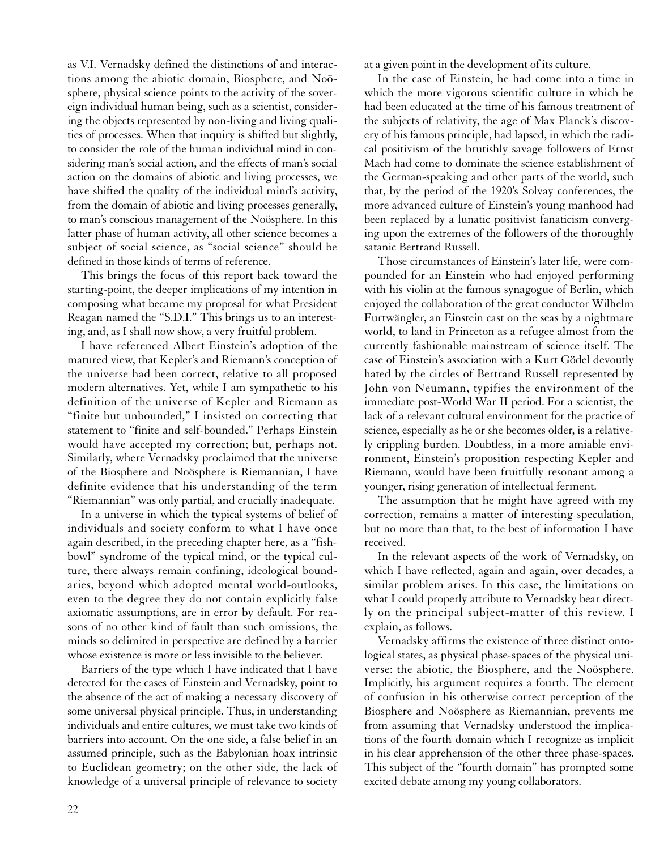as V.I. Vernadsky defined the distinctions of and interactions among the abiotic domain, Biosphere, and Noösphere, physical science points to the activity of the sovereign individual human being, such as a scientist, considering the objects represented by non-living and living qualities of processes. When that inquiry is shifted but slightly, to consider the role of the human individual mind in considering man's social action, and the effects of man's social action on the domains of abiotic and living processes, we have shifted the quality of the individual mind's activity, from the domain of abiotic and living processes generally, to man's conscious management of the Noösphere. In this latter phase of human activity, all other science becomes a subject of social science, as "social science" should be defined in those kinds of terms of reference.

This brings the focus of this report back toward the starting-point, the deeper implications of my intention in composing what became my proposal for what President Reagan named the "S.D.I." This brings us to an interesting, and, as I shall now show, a very fruitful problem.

I have referenced Albert Einstein's adoption of the matured view, that Kepler's and Riemann's conception of the universe had been correct, relative to all proposed modern alternatives. Yet, while I am sympathetic to his definition of the universe of Kepler and Riemann as "finite but unbounded," I insisted on correcting that statement to "finite and self-bounded." Perhaps Einstein would have accepted my correction; but, perhaps not. Similarly, where Vernadsky proclaimed that the universe of the Biosphere and Noösphere is Riemannian, I have definite evidence that his understanding of the term "Riemannian" was only partial, and crucially inadequate.

In a universe in which the typical systems of belief of individuals and society conform to what I have once again described, in the preceding chapter here, as a "fishbowl" syndrome of the typical mind, or the typical culture, there always remain confining, ideological boundaries, beyond which adopted mental world-outlooks, even to the degree they do not contain explicitly false axiomatic assumptions, are in error by default. For reasons of no other kind of fault than such omissions, the minds so delimited in perspective are defined by a barrier whose existence is more or less invisible to the believer.

Barriers of the type which I have indicated that I have detected for the cases of Einstein and Vernadsky, point to the absence of the act of making a necessary discovery of some universal physical principle. Thus, in understanding individuals and entire cultures, we must take two kinds of barriers into account. On the one side, a false belief in an assumed principle, such as the Babylonian hoax intrinsic to Euclidean geometry; on the other side, the lack of knowledge of a universal principle of relevance to society at a given point in the development of its culture.

In the case of Einstein, he had come into a time in which the more vigorous scientific culture in which he had been educated at the time of his famous treatment of the subjects of relativity, the age of Max Planck's discovery of his famous principle, had lapsed, in which the radical positivism of the brutishly savage followers of Ernst Mach had come to dominate the science establishment of the German-speaking and other parts of the world, such that, by the period of the 1920's Solvay conferences, the more advanced culture of Einstein's young manhood had been replaced by a lunatic positivist fanaticism converging upon the extremes of the followers of the thoroughly satanic Bertrand Russell.

Those circumstances of Einstein's later life, were compounded for an Einstein who had enjoyed performing with his violin at the famous synagogue of Berlin, which enjoyed the collaboration of the great conductor Wilhelm Furtwängler, an Einstein cast on the seas by a nightmare world, to land in Princeton as a refugee almost from the currently fashionable mainstream of science itself. The case of Einstein's association with a Kurt Gödel devoutly hated by the circles of Bertrand Russell represented by John von Neumann, typifies the environment of the immediate post-World War II period. For a scientist, the lack of a relevant cultural environment for the practice of science, especially as he or she becomes older, is a relatively crippling burden. Doubtless, in a more amiable environment, Einstein's proposition respecting Kepler and Riemann, would have been fruitfully resonant among a younger, rising generation of intellectual ferment.

The assumption that he might have agreed with my correction, remains a matter of interesting speculation, but no more than that, to the best of information I have received.

In the relevant aspects of the work of Vernadsky, on which I have reflected, again and again, over decades, a similar problem arises. In this case, the limitations on what I could properly attribute to Vernadsky bear directly on the principal subject-matter of this review. I explain, as follows.

Vernadsky affirms the existence of three distinct ontological states, as physical phase-spaces of the physical universe: the abiotic, the Biosphere, and the Noösphere. Implicitly, his argument requires a fourth. The element of confusion in his otherwise correct perception of the Biosphere and Noösphere as Riemannian, prevents me from assuming that Vernadsky understood the implications of the fourth domain which I recognize as implicit in his clear apprehension of the other three phase-spaces. This subject of the "fourth domain" has prompted some excited debate among my young collaborators.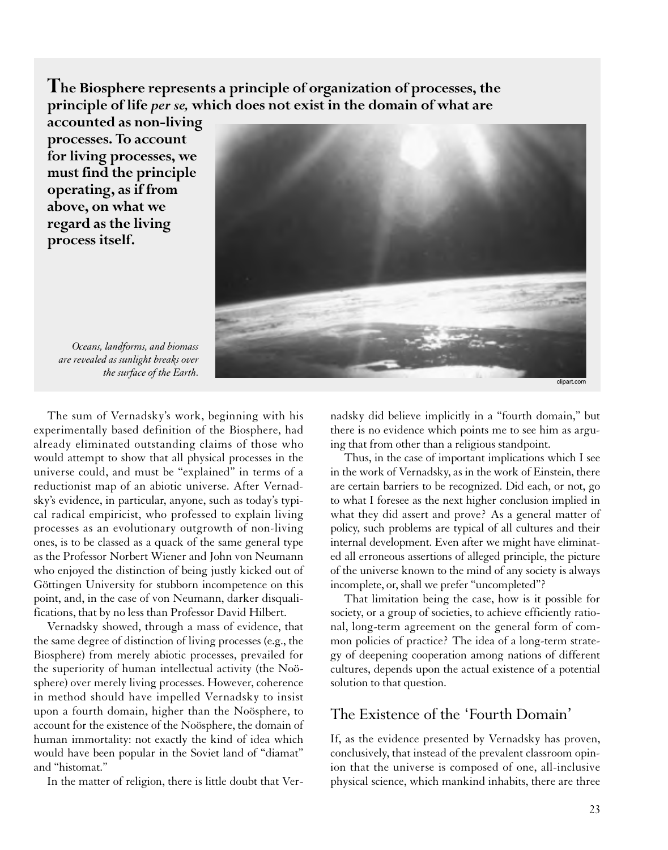**The Biosphere represents a principle of organization of processes, the principle of life** *per se,* **which does not exist in the domain of what are**

**accounted as non-living processes. To account for living processes, we must find the principle operating, as if from above, on what we regard as the living process itself.**



*Oceans, landforms, and biomass are revealed as sunlight breaks over the surface of the Earth.*

The sum of Vernadsky's work, beginning with his experimentally based definition of the Biosphere, had already eliminated outstanding claims of those who would attempt to show that all physical processes in the universe could, and must be "explained" in terms of a reductionist map of an abiotic universe. After Vernadsky's evidence, in particular, anyone, such as today's typical radical empiricist, who professed to explain living processes as an evolutionary outgrowth of non-living ones, is to be classed as a quack of the same general type as the Professor Norbert Wiener and John von Neumann who enjoyed the distinction of being justly kicked out of Göttingen University for stubborn incompetence on this point, and, in the case of von Neumann, darker disqualifications, that by no less than Professor David Hilbert.

Vernadsky showed, through a mass of evidence, that the same degree of distinction of living processes (e.g., the Biosphere) from merely abiotic processes, prevailed for the superiority of human intellectual activity (the Noösphere) over merely living processes. However, coherence in method should have impelled Vernadsky to insist upon a fourth domain, higher than the Noösphere, to account for the existence of the Noösphere, the domain of human immortality: not exactly the kind of idea which would have been popular in the Soviet land of "diamat" and "histomat."

In the matter of religion, there is little doubt that Ver-

nadsky did believe implicitly in a "fourth domain," but there is no evidence which points me to see him as arguing that from other than a religious standpoint.

Thus, in the case of important implications which I see in the work of Vernadsky, as in the work of Einstein, there are certain barriers to be recognized. Did each, or not, go to what I foresee as the next higher conclusion implied in what they did assert and prove? As a general matter of policy, such problems are typical of all cultures and their internal development. Even after we might have eliminated all erroneous assertions of alleged principle, the picture of the universe known to the mind of any society is always incomplete, or, shall we prefer "uncompleted"?

That limitation being the case, how is it possible for society, or a group of societies, to achieve efficiently rational, long-term agreement on the general form of common policies of practice? The idea of a long-term strategy of deepening cooperation among nations of different cultures, depends upon the actual existence of a potential solution to that question.

#### The Existence of the 'Fourth Domain'

If, as the evidence presented by Vernadsky has proven, conclusively, that instead of the prevalent classroom opinion that the universe is composed of one, all-inclusive physical science, which mankind inhabits, there are three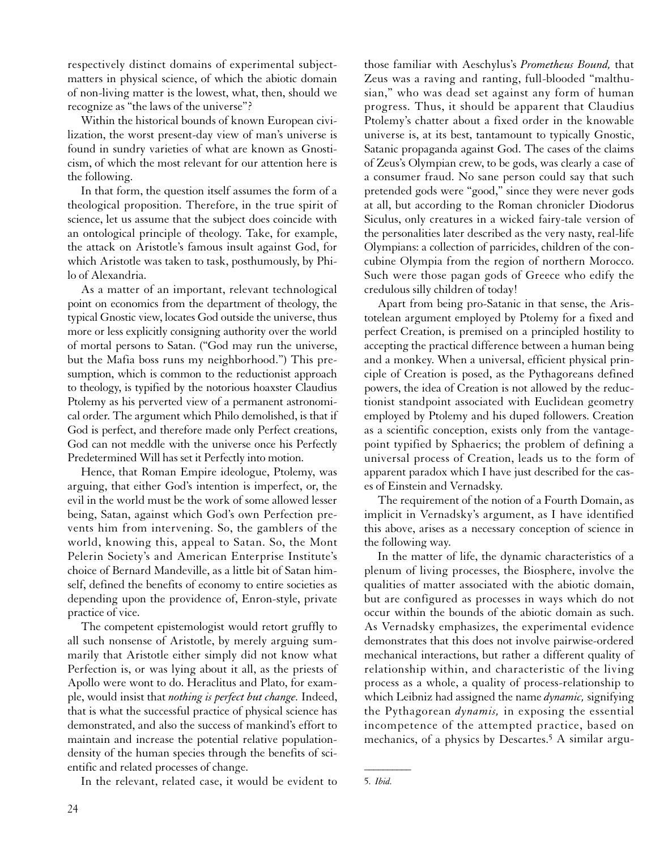respectively distinct domains of experimental subjectmatters in physical science, of which the abiotic domain of non-living matter is the lowest, what, then, should we recognize as "the laws of the universe"?

Within the historical bounds of known European civilization, the worst present-day view of man's universe is found in sundry varieties of what are known as Gnosticism, of which the most relevant for our attention here is the following.

In that form, the question itself assumes the form of a theological proposition. Therefore, in the true spirit of science, let us assume that the subject does coincide with an ontological principle of theology. Take, for example, the attack on Aristotle's famous insult against God, for which Aristotle was taken to task, posthumously, by Philo of Alexandria.

As a matter of an important, relevant technological point on economics from the department of theology, the typical Gnostic view, locates God outside the universe, thus more or less explicitly consigning authority over the world of mortal persons to Satan. ("God may run the universe, but the Mafia boss runs my neighborhood.") This presumption, which is common to the reductionist approach to theology, is typified by the notorious hoaxster Claudius Ptolemy as his perverted view of a permanent astronomical order. The argument which Philo demolished, is that if God is perfect, and therefore made only Perfect creations, God can not meddle with the universe once his Perfectly Predetermined Will has set it Perfectly into motion.

Hence, that Roman Empire ideologue, Ptolemy, was arguing, that either God's intention is imperfect, or, the evil in the world must be the work of some allowed lesser being, Satan, against which God's own Perfection prevents him from intervening. So, the gamblers of the world, knowing this, appeal to Satan. So, the Mont Pelerin Society's and American Enterprise Institute's choice of Bernard Mandeville, as a little bit of Satan himself, defined the benefits of economy to entire societies as depending upon the providence of, Enron-style, private practice of vice.

The competent epistemologist would retort gruffly to all such nonsense of Aristotle, by merely arguing summarily that Aristotle either simply did not know what Perfection is, or was lying about it all, as the priests of Apollo were wont to do. Heraclitus and Plato, for example, would insist that *nothing is perfect but change.* Indeed, that is what the successful practice of physical science has demonstrated, and also the success of mankind's effort to maintain and increase the potential relative populationdensity of the human species through the benefits of scientific and related processes of change.

In the relevant, related case, it would be evident to

those familiar with Aeschylus's *Prometheus Bound,* that Zeus was a raving and ranting, full-blooded "malthusian," who was dead set against any form of human progress. Thus, it should be apparent that Claudius Ptolemy's chatter about a fixed order in the knowable universe is, at its best, tantamount to typically Gnostic, Satanic propaganda against God. The cases of the claims of Zeus's Olympian crew, to be gods, was clearly a case of a consumer fraud. No sane person could say that such pretended gods were "good," since they were never gods at all, but according to the Roman chronicler Diodorus Siculus, only creatures in a wicked fairy-tale version of the personalities later described as the very nasty, real-life Olympians: a collection of parricides, children of the concubine Olympia from the region of northern Morocco. Such were those pagan gods of Greece who edify the credulous silly children of today!

Apart from being pro-Satanic in that sense, the Aristotelean argument employed by Ptolemy for a fixed and perfect Creation, is premised on a principled hostility to accepting the practical difference between a human being and a monkey. When a universal, efficient physical principle of Creation is posed, as the Pythagoreans defined powers, the idea of Creation is not allowed by the reductionist standpoint associated with Euclidean geometry employed by Ptolemy and his duped followers. Creation as a scientific conception, exists only from the vantagepoint typified by Sphaerics; the problem of defining a universal process of Creation, leads us to the form of apparent paradox which I have just described for the cases of Einstein and Vernadsky.

The requirement of the notion of a Fourth Domain, as implicit in Vernadsky's argument, as I have identified this above, arises as a necessary conception of science in the following way.

In the matter of life, the dynamic characteristics of a plenum of living processes, the Biosphere, involve the qualities of matter associated with the abiotic domain, but are configured as processes in ways which do not occur within the bounds of the abiotic domain as such. As Vernadsky emphasizes, the experimental evidence demonstrates that this does not involve pairwise-ordered mechanical interactions, but rather a different quality of relationship within, and characteristic of the living process as a whole, a quality of process-relationship to which Leibniz had assigned the name *dynamic,* signifying the Pythagorean *dynamis,* in exposing the essential incompetence of the attempted practice, based on mechanics, of a physics by Descartes.5 A similar argu-

5. *Ibid.*

 $\overline{\phantom{a}}$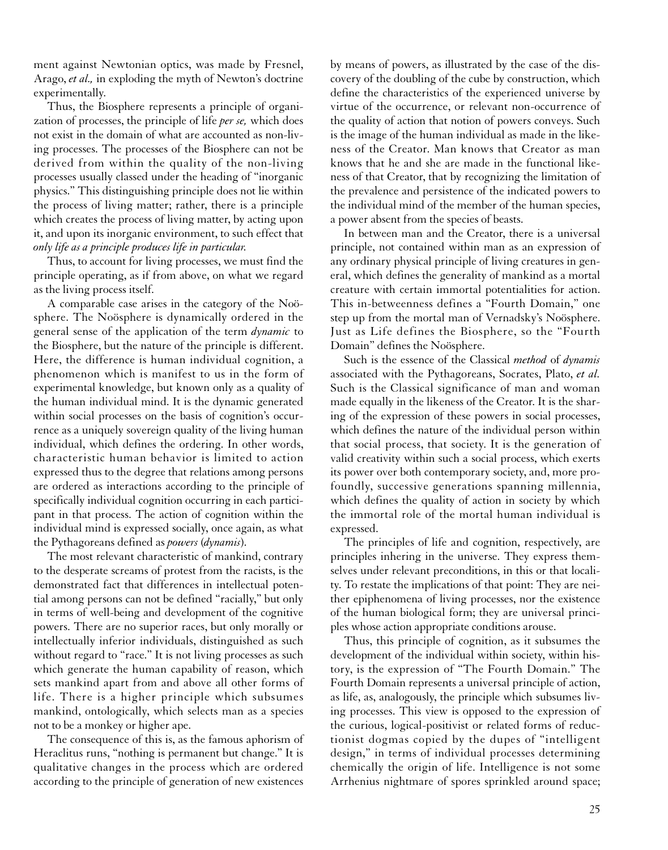ment against Newtonian optics, was made by Fresnel, Arago, *et al.,* in exploding the myth of Newton's doctrine experimentally.

Thus, the Biosphere represents a principle of organization of processes, the principle of life *per se,* which does not exist in the domain of what are accounted as non-living processes. The processes of the Biosphere can not be derived from within the quality of the non-living processes usually classed under the heading of "inorganic physics." This distinguishing principle does not lie within the process of living matter; rather, there is a principle which creates the process of living matter, by acting upon it, and upon its inorganic environment, to such effect that *only life as a principle produces life in particular.*

Thus, to account for living processes, we must find the principle operating, as if from above, on what we regard as the living process itself.

A comparable case arises in the category of the Noösphere. The Noösphere is dynamically ordered in the general sense of the application of the term *dynamic* to the Biosphere, but the nature of the principle is different. Here, the difference is human individual cognition, a phenomenon which is manifest to us in the form of experimental knowledge, but known only as a quality of the human individual mind. It is the dynamic generated within social processes on the basis of cognition's occurrence as a uniquely sovereign quality of the living human individual, which defines the ordering. In other words, characteristic human behavior is limited to action expressed thus to the degree that relations among persons are ordered as interactions according to the principle of specifically individual cognition occurring in each participant in that process. The action of cognition within the individual mind is expressed socially, once again, as what the Pythagoreans defined as *powers* (*dynamis*).

The most relevant characteristic of mankind, contrary to the desperate screams of protest from the racists, is the demonstrated fact that differences in intellectual potential among persons can not be defined "racially," but only in terms of well-being and development of the cognitive powers. There are no superior races, but only morally or intellectually inferior individuals, distinguished as such without regard to "race." It is not living processes as such which generate the human capability of reason, which sets mankind apart from and above all other forms of life. There is a higher principle which subsumes mankind, ontologically, which selects man as a species not to be a monkey or higher ape.

The consequence of this is, as the famous aphorism of Heraclitus runs, "nothing is permanent but change." It is qualitative changes in the process which are ordered according to the principle of generation of new existences by means of powers, as illustrated by the case of the discovery of the doubling of the cube by construction, which define the characteristics of the experienced universe by virtue of the occurrence, or relevant non-occurrence of the quality of action that notion of powers conveys. Such is the image of the human individual as made in the likeness of the Creator. Man knows that Creator as man knows that he and she are made in the functional likeness of that Creator, that by recognizing the limitation of the prevalence and persistence of the indicated powers to the individual mind of the member of the human species, a power absent from the species of beasts.

In between man and the Creator, there is a universal principle, not contained within man as an expression of any ordinary physical principle of living creatures in general, which defines the generality of mankind as a mortal creature with certain immortal potentialities for action. This in-betweenness defines a "Fourth Domain," one step up from the mortal man of Vernadsky's Noösphere. Just as Life defines the Biosphere, so the "Fourth Domain" defines the Noösphere.

Such is the essence of the Classical *method* of *dynamis* associated with the Pythagoreans, Socrates, Plato, *et al.* Such is the Classical significance of man and woman made equally in the likeness of the Creator. It is the sharing of the expression of these powers in social processes, which defines the nature of the individual person within that social process, that society. It is the generation of valid creativity within such a social process, which exerts its power over both contemporary society, and, more profoundly, successive generations spanning millennia, which defines the quality of action in society by which the immortal role of the mortal human individual is expressed.

The principles of life and cognition, respectively, are principles inhering in the universe. They express themselves under relevant preconditions, in this or that locality. To restate the implications of that point: They are neither epiphenomena of living processes, nor the existence of the human biological form; they are universal principles whose action appropriate conditions arouse.

Thus, this principle of cognition, as it subsumes the development of the individual within society, within history, is the expression of "The Fourth Domain." The Fourth Domain represents a universal principle of action, as life, as, analogously, the principle which subsumes living processes. This view is opposed to the expression of the curious, logical-positivist or related forms of reductionist dogmas copied by the dupes of "intelligent design," in terms of individual processes determining chemically the origin of life. Intelligence is not some Arrhenius nightmare of spores sprinkled around space;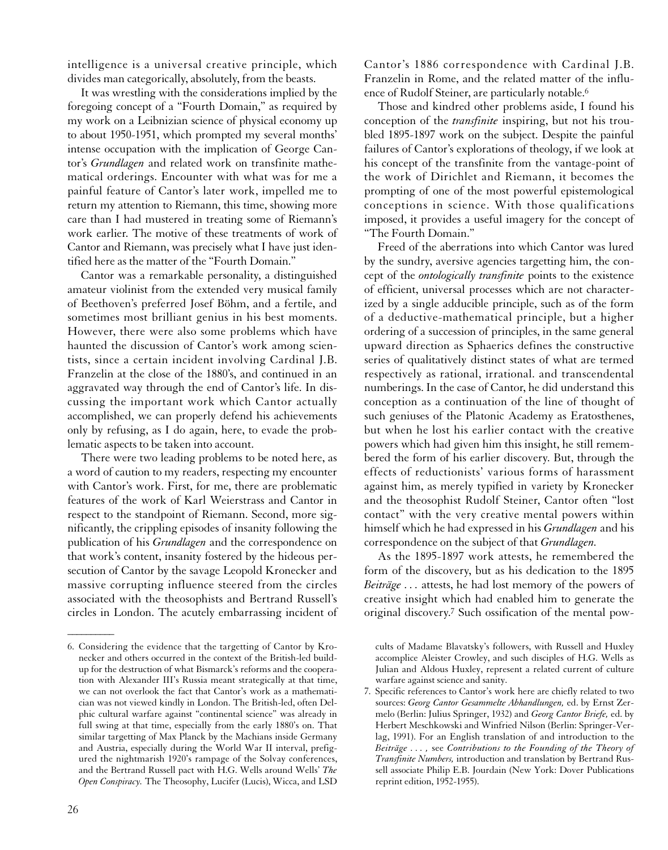intelligence is a universal creative principle, which divides man categorically, absolutely, from the beasts.

It was wrestling with the considerations implied by the foregoing concept of a "Fourth Domain," as required by my work on a Leibnizian science of physical economy up to about 1950-1951, which prompted my several months' intense occupation with the implication of George Cantor's *Grundlagen* and related work on transfinite mathematical orderings. Encounter with what was for me a painful feature of Cantor's later work, impelled me to return my attention to Riemann, this time, showing more care than I had mustered in treating some of Riemann's work earlier. The motive of these treatments of work of Cantor and Riemann, was precisely what I have just identified here as the matter of the "Fourth Domain."

Cantor was a remarkable personality, a distinguished amateur violinist from the extended very musical family of Beethoven's preferred Josef Böhm, and a fertile, and sometimes most brilliant genius in his best moments. However, there were also some problems which have haunted the discussion of Cantor's work among scientists, since a certain incident involving Cardinal J.B. Franzelin at the close of the 1880's, and continued in an aggravated way through the end of Cantor's life. In discussing the important work which Cantor actually accomplished, we can properly defend his achievements only by refusing, as I do again, here, to evade the problematic aspects to be taken into account.

There were two leading problems to be noted here, as a word of caution to my readers, respecting my encounter with Cantor's work. First, for me, there are problematic features of the work of Karl Weierstrass and Cantor in respect to the standpoint of Riemann. Second, more significantly, the crippling episodes of insanity following the publication of his *Grundlagen* and the correspondence on that work's content, insanity fostered by the hideous persecution of Cantor by the savage Leopold Kronecker and massive corrupting influence steered from the circles associated with the theosophists and Bertrand Russell's circles in London. The acutely embarrassing incident of

26

 $\overline{\phantom{a}}$ 

Cantor's 1886 correspondence with Cardinal J.B. Franzelin in Rome, and the related matter of the influence of Rudolf Steiner, are particularly notable.6

Those and kindred other problems aside, I found his conception of the *transfinite* inspiring, but not his troubled 1895-1897 work on the subject. Despite the painful failures of Cantor's explorations of theology, if we look at his concept of the transfinite from the vantage-point of the work of Dirichlet and Riemann, it becomes the prompting of one of the most powerful epistemological conceptions in science. With those qualifications imposed, it provides a useful imagery for the concept of "The Fourth Domain."

Freed of the aberrations into which Cantor was lured by the sundry, aversive agencies targetting him, the concept of the *ontologically transfinite* points to the existence of efficient, universal processes which are not characterized by a single adducible principle, such as of the form of a deductive-mathematical principle, but a higher ordering of a succession of principles, in the same general upward direction as Sphaerics defines the constructive series of qualitatively distinct states of what are termed respectively as rational, irrational. and transcendental numberings. In the case of Cantor, he did understand this conception as a continuation of the line of thought of such geniuses of the Platonic Academy as Eratosthenes, but when he lost his earlier contact with the creative powers which had given him this insight, he still remembered the form of his earlier discovery. But, through the effects of reductionists' various forms of harassment against him, as merely typified in variety by Kronecker and the theosophist Rudolf Steiner, Cantor often "lost contact" with the very creative mental powers within himself which he had expressed in his *Grundlagen* and his correspondence on the subject of that *Grundlagen.*

As the 1895-1897 work attests, he remembered the form of the discovery, but as his dedication to the 1895 *Beiträge . . .* attests, he had lost memory of the powers of creative insight which had enabled him to generate the original discovery.7 Such ossification of the mental pow-

cults of Madame Blavatsky's followers, with Russell and Huxley accomplice Aleister Crowley, and such disciples of H.G. Wells as Julian and Aldous Huxley, represent a related current of culture warfare against science and sanity.

7. Specific references to Cantor's work here are chiefly related to two sources: *Georg Cantor Gesammelte Abhandlungen,* ed. by Ernst Zermelo (Berlin: Julius Springer, 1932) and *Georg Cantor Briefe,* ed. by Herbert Meschkowski and Winfried Nilson (Berlin: Springer-Verlag, 1991). For an English translation of and introduction to the *Beiträge . . . ,* see *Contributions to the Founding of the Theory of Transfinite Numbers,* introduction and translation by Bertrand Russell associate Philip E.B. Jourdain (New York: Dover Publications reprint edition, 1952-1955).

<sup>6.</sup> Considering the evidence that the targetting of Cantor by Kronecker and others occurred in the context of the British-led buildup for the destruction of what Bismarck's reforms and the cooperation with Alexander III's Russia meant strategically at that time, we can not overlook the fact that Cantor's work as a mathematician was not viewed kindly in London. The British-led, often Delphic cultural warfare against "continental science" was already in full swing at that time, especially from the early 1880's on. That similar targetting of Max Planck by the Machians inside Germany and Austria, especially during the World War II interval, prefigured the nightmarish 1920's rampage of the Solvay conferences, and the Bertrand Russell pact with H.G. Wells around Wells' *The Open Conspiracy.* The Theosophy, Lucifer (Lucis), Wicca, and LSD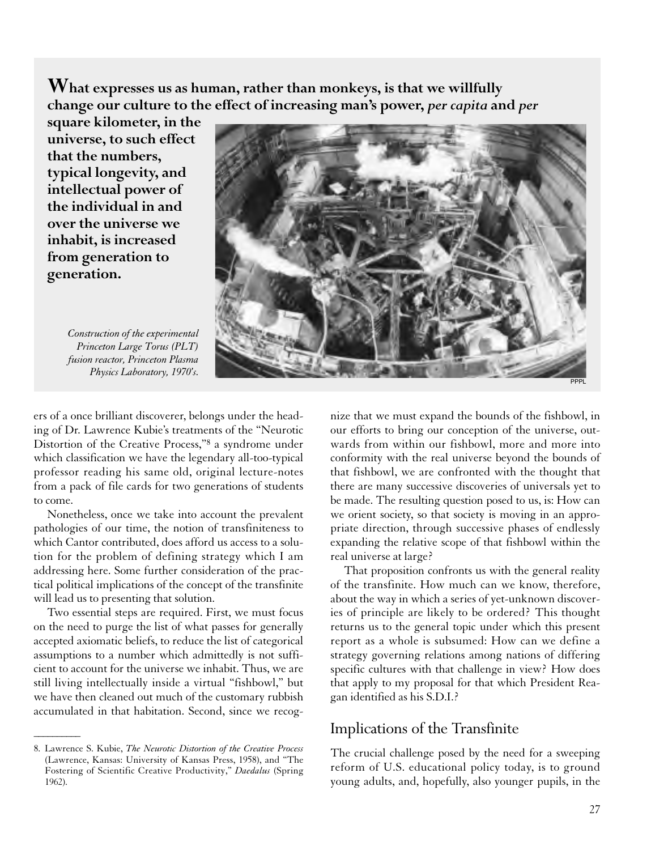**What expresses us as human, rather than monkeys, is that we willfully change our culture to the effect of increasing man's power,** *per capita* **and** *per*

**square kilometer, in the universe, to such effect that the numbers, typical longevity, and intellectual power of the individual in and over the universe we inhabit, is increased from generation to generation.**





ers of a once brilliant discoverer, belongs under the heading of Dr. Lawrence Kubie's treatments of the "Neurotic Distortion of the Creative Process,"8 a syndrome under which classification we have the legendary all-too-typical professor reading his same old, original lecture-notes from a pack of file cards for two generations of students to come.

Nonetheless, once we take into account the prevalent pathologies of our time, the notion of transfiniteness to which Cantor contributed, does afford us access to a solution for the problem of defining strategy which I am addressing here. Some further consideration of the practical political implications of the concept of the transfinite will lead us to presenting that solution.

Two essential steps are required. First, we must focus on the need to purge the list of what passes for generally accepted axiomatic beliefs, to reduce the list of categorical assumptions to a number which admittedly is not sufficient to account for the universe we inhabit. Thus, we are still living intellectually inside a virtual "fishbowl," but we have then cleaned out much of the customary rubbish accumulated in that habitation. Second, since we recog-

 $\overline{\phantom{a}}$ 

nize that we must expand the bounds of the fishbowl, in our efforts to bring our conception of the universe, outwards from within our fishbowl, more and more into conformity with the real universe beyond the bounds of that fishbowl, we are confronted with the thought that there are many successive discoveries of universals yet to be made. The resulting question posed to us, is: How can we orient society, so that society is moving in an appropriate direction, through successive phases of endlessly expanding the relative scope of that fishbowl within the real universe at large?

That proposition confronts us with the general reality of the transfinite. How much can we know, therefore, about the way in which a series of yet-unknown discoveries of principle are likely to be ordered? This thought returns us to the general topic under which this present report as a whole is subsumed: How can we define a strategy governing relations among nations of differing specific cultures with that challenge in view? How does that apply to my proposal for that which President Reagan identified as his S.D.I.?

### Implications of the Transfinite

The crucial challenge posed by the need for a sweeping reform of U.S. educational policy today, is to ground young adults, and, hopefully, also younger pupils, in the

<sup>8.</sup> Lawrence S. Kubie, *The Neurotic Distortion of the Creative Process* (Lawrence, Kansas: University of Kansas Press, 1958), and "The Fostering of Scientific Creative Productivity," *Daedalus* (Spring 1962).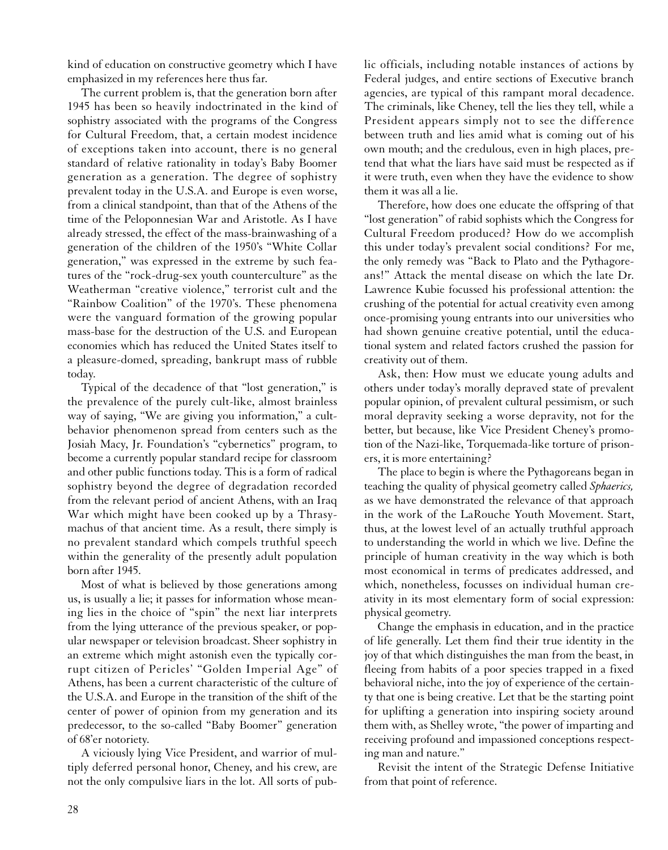kind of education on constructive geometry which I have emphasized in my references here thus far.

The current problem is, that the generation born after 1945 has been so heavily indoctrinated in the kind of sophistry associated with the programs of the Congress for Cultural Freedom, that, a certain modest incidence of exceptions taken into account, there is no general standard of relative rationality in today's Baby Boomer generation as a generation. The degree of sophistry prevalent today in the U.S.A. and Europe is even worse, from a clinical standpoint, than that of the Athens of the time of the Peloponnesian War and Aristotle. As I have already stressed, the effect of the mass-brainwashing of a generation of the children of the 1950's "White Collar generation," was expressed in the extreme by such features of the "rock-drug-sex youth counterculture" as the Weatherman "creative violence," terrorist cult and the "Rainbow Coalition" of the 1970's. These phenomena were the vanguard formation of the growing popular mass-base for the destruction of the U.S. and European economies which has reduced the United States itself to a pleasure-domed, spreading, bankrupt mass of rubble today.

Typical of the decadence of that "lost generation," is the prevalence of the purely cult-like, almost brainless way of saying, "We are giving you information," a cultbehavior phenomenon spread from centers such as the Josiah Macy, Jr. Foundation's "cybernetics" program, to become a currently popular standard recipe for classroom and other public functions today. This is a form of radical sophistry beyond the degree of degradation recorded from the relevant period of ancient Athens, with an Iraq War which might have been cooked up by a Thrasymachus of that ancient time. As a result, there simply is no prevalent standard which compels truthful speech within the generality of the presently adult population born after 1945.

Most of what is believed by those generations among us, is usually a lie; it passes for information whose meaning lies in the choice of "spin" the next liar interprets from the lying utterance of the previous speaker, or popular newspaper or television broadcast. Sheer sophistry in an extreme which might astonish even the typically corrupt citizen of Pericles' "Golden Imperial Age" of Athens, has been a current characteristic of the culture of the U.S.A. and Europe in the transition of the shift of the center of power of opinion from my generation and its predecessor, to the so-called "Baby Boomer" generation of 68'er notoriety.

A viciously lying Vice President, and warrior of multiply deferred personal honor, Cheney, and his crew, are not the only compulsive liars in the lot. All sorts of public officials, including notable instances of actions by Federal judges, and entire sections of Executive branch agencies, are typical of this rampant moral decadence. The criminals, like Cheney, tell the lies they tell, while a President appears simply not to see the difference between truth and lies amid what is coming out of his own mouth; and the credulous, even in high places, pretend that what the liars have said must be respected as if it were truth, even when they have the evidence to show them it was all a lie.

Therefore, how does one educate the offspring of that "lost generation" of rabid sophists which the Congress for Cultural Freedom produced? How do we accomplish this under today's prevalent social conditions? For me, the only remedy was "Back to Plato and the Pythagoreans!" Attack the mental disease on which the late Dr. Lawrence Kubie focussed his professional attention: the crushing of the potential for actual creativity even among once-promising young entrants into our universities who had shown genuine creative potential, until the educational system and related factors crushed the passion for creativity out of them.

Ask, then: How must we educate young adults and others under today's morally depraved state of prevalent popular opinion, of prevalent cultural pessimism, or such moral depravity seeking a worse depravity, not for the better, but because, like Vice President Cheney's promotion of the Nazi-like, Torquemada-like torture of prisoners, it is more entertaining?

The place to begin is where the Pythagoreans began in teaching the quality of physical geometry called *Sphaerics,* as we have demonstrated the relevance of that approach in the work of the LaRouche Youth Movement. Start, thus, at the lowest level of an actually truthful approach to understanding the world in which we live. Define the principle of human creativity in the way which is both most economical in terms of predicates addressed, and which, nonetheless, focusses on individual human creativity in its most elementary form of social expression: physical geometry.

Change the emphasis in education, and in the practice of life generally. Let them find their true identity in the joy of that which distinguishes the man from the beast, in fleeing from habits of a poor species trapped in a fixed behavioral niche, into the joy of experience of the certainty that one is being creative. Let that be the starting point for uplifting a generation into inspiring society around them with, as Shelley wrote, "the power of imparting and receiving profound and impassioned conceptions respecting man and nature."

Revisit the intent of the Strategic Defense Initiative from that point of reference.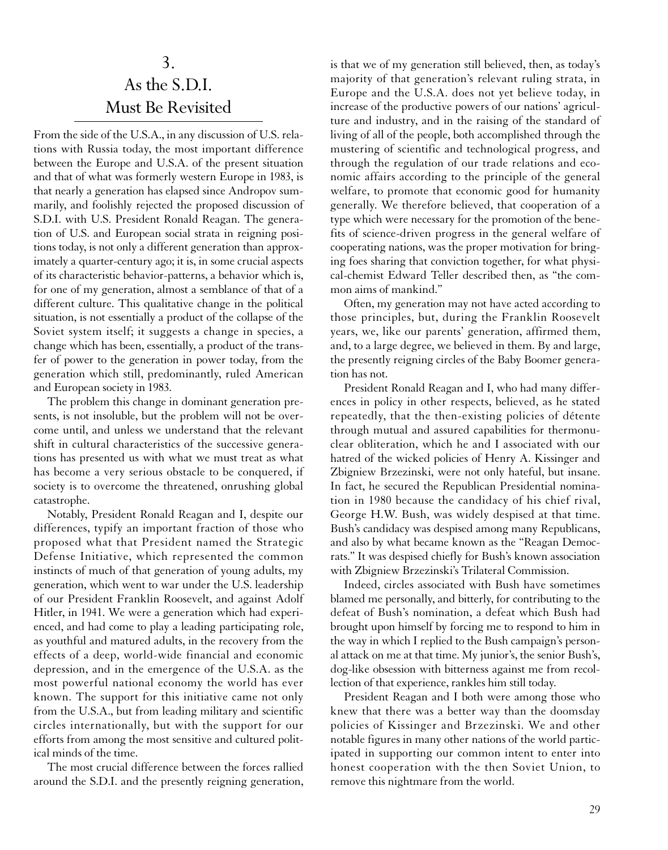# 3. As the S.D.I. Must Be Revisited

From the side of the U.S.A., in any discussion of U.S. relations with Russia today, the most important difference between the Europe and U.S.A. of the present situation and that of what was formerly western Europe in 1983, is that nearly a generation has elapsed since Andropov summarily, and foolishly rejected the proposed discussion of S.D.I. with U.S. President Ronald Reagan. The generation of U.S. and European social strata in reigning positions today, is not only a different generation than approximately a quarter-century ago; it is, in some crucial aspects of its characteristic behavior-patterns, a behavior which is, for one of my generation, almost a semblance of that of a different culture. This qualitative change in the political situation, is not essentially a product of the collapse of the Soviet system itself; it suggests a change in species, a change which has been, essentially, a product of the transfer of power to the generation in power today, from the generation which still, predominantly, ruled American and European society in 1983.

The problem this change in dominant generation presents, is not insoluble, but the problem will not be overcome until, and unless we understand that the relevant shift in cultural characteristics of the successive generations has presented us with what we must treat as what has become a very serious obstacle to be conquered, if society is to overcome the threatened, onrushing global catastrophe.

Notably, President Ronald Reagan and I, despite our differences, typify an important fraction of those who proposed what that President named the Strategic Defense Initiative, which represented the common instincts of much of that generation of young adults, my generation, which went to war under the U.S. leadership of our President Franklin Roosevelt, and against Adolf Hitler, in 1941. We were a generation which had experienced, and had come to play a leading participating role, as youthful and matured adults, in the recovery from the effects of a deep, world-wide financial and economic depression, and in the emergence of the U.S.A. as the most powerful national economy the world has ever known. The support for this initiative came not only from the U.S.A., but from leading military and scientific circles internationally, but with the support for our efforts from among the most sensitive and cultured political minds of the time.

The most crucial difference between the forces rallied around the S.D.I. and the presently reigning generation, is that we of my generation still believed, then, as today's majority of that generation's relevant ruling strata, in Europe and the U.S.A. does not yet believe today, in increase of the productive powers of our nations' agriculture and industry, and in the raising of the standard of living of all of the people, both accomplished through the mustering of scientific and technological progress, and through the regulation of our trade relations and economic affairs according to the principle of the general welfare, to promote that economic good for humanity generally. We therefore believed, that cooperation of a type which were necessary for the promotion of the benefits of science-driven progress in the general welfare of cooperating nations, was the proper motivation for bringing foes sharing that conviction together, for what physical-chemist Edward Teller described then, as "the common aims of mankind."

Often, my generation may not have acted according to those principles, but, during the Franklin Roosevelt years, we, like our parents' generation, affirmed them, and, to a large degree, we believed in them. By and large, the presently reigning circles of the Baby Boomer generation has not.

President Ronald Reagan and I, who had many differences in policy in other respects, believed, as he stated repeatedly, that the then-existing policies of détente through mutual and assured capabilities for thermonuclear obliteration, which he and I associated with our hatred of the wicked policies of Henry A. Kissinger and Zbigniew Brzezinski, were not only hateful, but insane. In fact, he secured the Republican Presidential nomination in 1980 because the candidacy of his chief rival, George H.W. Bush, was widely despised at that time. Bush's candidacy was despised among many Republicans, and also by what became known as the "Reagan Democrats." It was despised chiefly for Bush's known association with Zbigniew Brzezinski's Trilateral Commission.

Indeed, circles associated with Bush have sometimes blamed me personally, and bitterly, for contributing to the defeat of Bush's nomination, a defeat which Bush had brought upon himself by forcing me to respond to him in the way in which I replied to the Bush campaign's personal attack on me at that time. My junior's, the senior Bush's, dog-like obsession with bitterness against me from recollection of that experience, rankles him still today.

President Reagan and I both were among those who knew that there was a better way than the doomsday policies of Kissinger and Brzezinski. We and other notable figures in many other nations of the world participated in supporting our common intent to enter into honest cooperation with the then Soviet Union, to remove this nightmare from the world.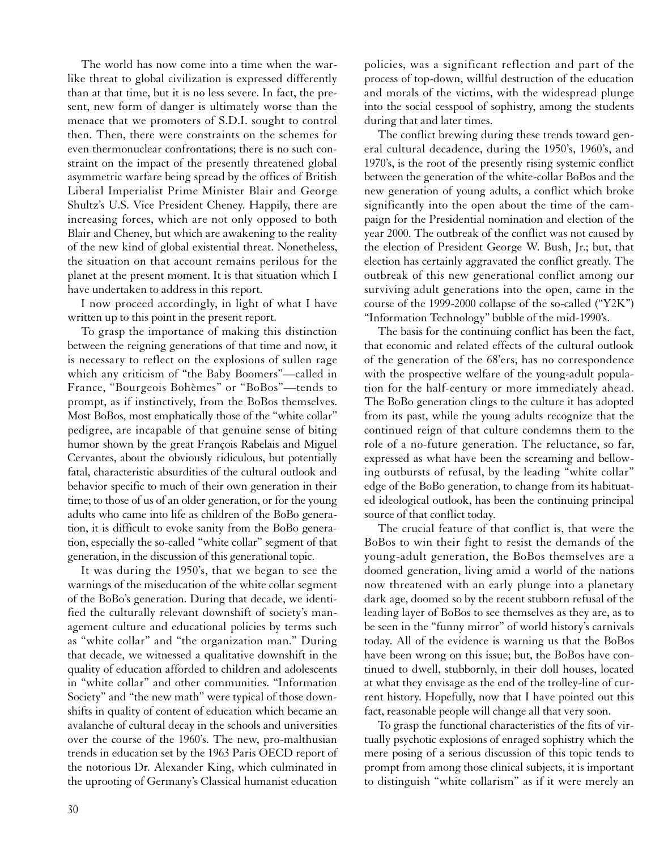The world has now come into a time when the warlike threat to global civilization is expressed differently than at that time, but it is no less severe. In fact, the present, new form of danger is ultimately worse than the menace that we promoters of S.D.I. sought to control then. Then, there were constraints on the schemes for even thermonuclear confrontations; there is no such constraint on the impact of the presently threatened global asymmetric warfare being spread by the offices of British Liberal Imperialist Prime Minister Blair and George Shultz's U.S. Vice President Cheney. Happily, there are increasing forces, which are not only opposed to both Blair and Cheney, but which are awakening to the reality of the new kind of global existential threat. Nonetheless, the situation on that account remains perilous for the planet at the present moment. It is that situation which I have undertaken to address in this report.

I now proceed accordingly, in light of what I have written up to this point in the present report.

To grasp the importance of making this distinction between the reigning generations of that time and now, it is necessary to reflect on the explosions of sullen rage which any criticism of "the Baby Boomers"—called in France, "Bourgeois Bohèmes" or "BoBos"—tends to prompt, as if instinctively, from the BoBos themselves. Most BoBos, most emphatically those of the "white collar" pedigree, are incapable of that genuine sense of biting humor shown by the great François Rabelais and Miguel Cervantes, about the obviously ridiculous, but potentially fatal, characteristic absurdities of the cultural outlook and behavior specific to much of their own generation in their time; to those of us of an older generation, or for the young adults who came into life as children of the BoBo generation, it is difficult to evoke sanity from the BoBo generation, especially the so-called "white collar" segment of that generation, in the discussion of this generational topic.

It was during the 1950's, that we began to see the warnings of the miseducation of the white collar segment of the BoBo's generation. During that decade, we identified the culturally relevant downshift of society's management culture and educational policies by terms such as "white collar" and "the organization man." During that decade, we witnessed a qualitative downshift in the quality of education afforded to children and adolescents in "white collar" and other communities. "Information Society" and "the new math" were typical of those downshifts in quality of content of education which became an avalanche of cultural decay in the schools and universities over the course of the 1960's. The new, pro-malthusian trends in education set by the 1963 Paris OECD report of the notorious Dr. Alexander King, which culminated in the uprooting of Germany's Classical humanist education

policies, was a significant reflection and part of the process of top-down, willful destruction of the education and morals of the victims, with the widespread plunge into the social cesspool of sophistry, among the students during that and later times.

The conflict brewing during these trends toward general cultural decadence, during the 1950's, 1960's, and 1970's, is the root of the presently rising systemic conflict between the generation of the white-collar BoBos and the new generation of young adults, a conflict which broke significantly into the open about the time of the campaign for the Presidential nomination and election of the year 2000. The outbreak of the conflict was not caused by the election of President George W. Bush, Jr.; but, that election has certainly aggravated the conflict greatly. The outbreak of this new generational conflict among our surviving adult generations into the open, came in the course of the 1999-2000 collapse of the so-called ("Y2K") "Information Technology" bubble of the mid-1990's.

The basis for the continuing conflict has been the fact, that economic and related effects of the cultural outlook of the generation of the 68'ers, has no correspondence with the prospective welfare of the young-adult population for the half-century or more immediately ahead. The BoBo generation clings to the culture it has adopted from its past, while the young adults recognize that the continued reign of that culture condemns them to the role of a no-future generation. The reluctance, so far, expressed as what have been the screaming and bellowing outbursts of refusal, by the leading "white collar" edge of the BoBo generation, to change from its habituated ideological outlook, has been the continuing principal source of that conflict today.

The crucial feature of that conflict is, that were the BoBos to win their fight to resist the demands of the young-adult generation, the BoBos themselves are a doomed generation, living amid a world of the nations now threatened with an early plunge into a planetary dark age, doomed so by the recent stubborn refusal of the leading layer of BoBos to see themselves as they are, as to be seen in the "funny mirror" of world history's carnivals today. All of the evidence is warning us that the BoBos have been wrong on this issue; but, the BoBos have continued to dwell, stubbornly, in their doll houses, located at what they envisage as the end of the trolley-line of current history. Hopefully, now that I have pointed out this fact, reasonable people will change all that very soon.

To grasp the functional characteristics of the fits of virtually psychotic explosions of enraged sophistry which the mere posing of a serious discussion of this topic tends to prompt from among those clinical subjects, it is important to distinguish "white collarism" as if it were merely an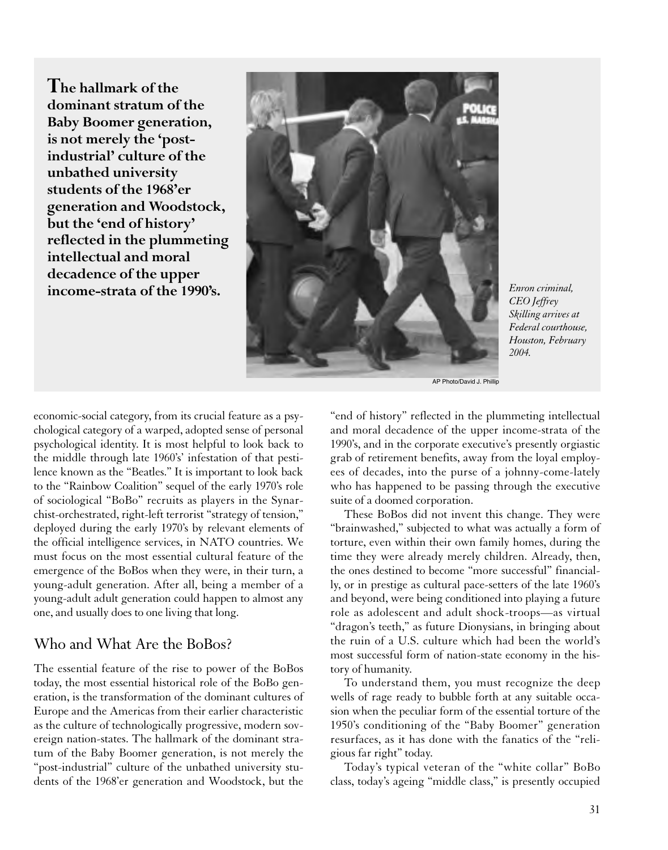**The hallmark of the dominant stratum of the Baby Boomer generation, is not merely the 'postindustrial' culture of the unbathed university students of the 1968'er generation and Woodstock, but the 'end of history' reflected in the plummeting intellectual and moral decadence of the upper income-strata of the 1990's.**



*Enron criminal, CEO Jeffrey Skilling arrives at Federal courthouse, Houston, February 2004.*

AP Photo/David J. Phillip

economic-social category, from its crucial feature as a psychological category of a warped, adopted sense of personal psychological identity. It is most helpful to look back to the middle through late 1960's' infestation of that pestilence known as the "Beatles." It is important to look back to the "Rainbow Coalition" sequel of the early 1970's role of sociological "BoBo" recruits as players in the Synarchist-orchestrated, right-left terrorist "strategy of tension," deployed during the early 1970's by relevant elements of the official intelligence services, in NATO countries. We must focus on the most essential cultural feature of the emergence of the BoBos when they were, in their turn, a young-adult generation. After all, being a member of a young-adult adult generation could happen to almost any one, and usually does to one living that long.

## Who and What Are the BoBos?

The essential feature of the rise to power of the BoBos today, the most essential historical role of the BoBo generation, is the transformation of the dominant cultures of Europe and the Americas from their earlier characteristic as the culture of technologically progressive, modern sovereign nation-states. The hallmark of the dominant stratum of the Baby Boomer generation, is not merely the "post-industrial" culture of the unbathed university students of the 1968'er generation and Woodstock, but the "end of history" reflected in the plummeting intellectual and moral decadence of the upper income-strata of the 1990's, and in the corporate executive's presently orgiastic grab of retirement benefits, away from the loyal employees of decades, into the purse of a johnny-come-lately who has happened to be passing through the executive suite of a doomed corporation.

These BoBos did not invent this change. They were "brainwashed," subjected to what was actually a form of torture, even within their own family homes, during the time they were already merely children. Already, then, the ones destined to become "more successful" financially, or in prestige as cultural pace-setters of the late 1960's and beyond, were being conditioned into playing a future role as adolescent and adult shock-troops—as virtual "dragon's teeth," as future Dionysians, in bringing about the ruin of a U.S. culture which had been the world's most successful form of nation-state economy in the history of humanity.

To understand them, you must recognize the deep wells of rage ready to bubble forth at any suitable occasion when the peculiar form of the essential torture of the 1950's conditioning of the "Baby Boomer" generation resurfaces, as it has done with the fanatics of the "religious far right" today.

Today's typical veteran of the "white collar" BoBo class, today's ageing "middle class," is presently occupied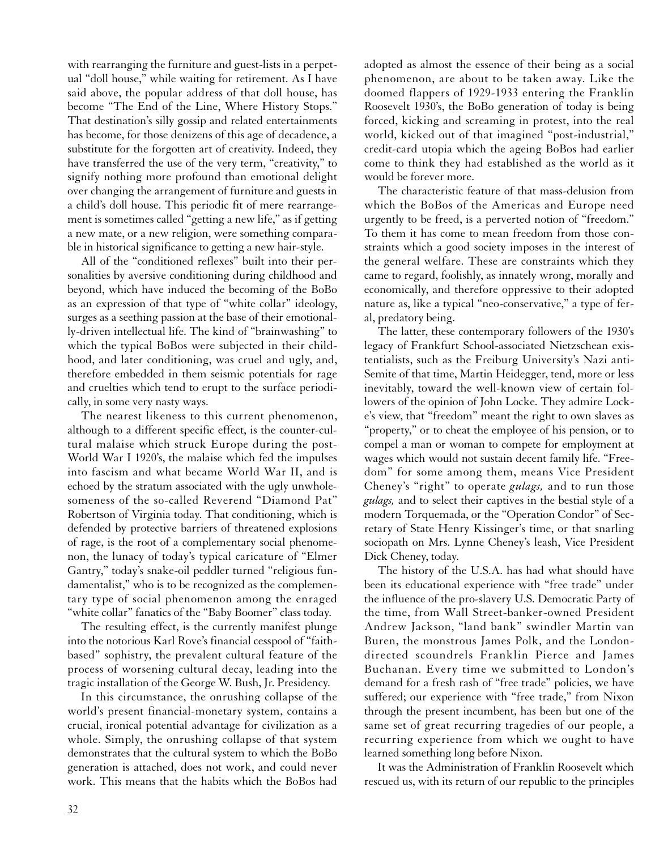with rearranging the furniture and guest-lists in a perpetual "doll house," while waiting for retirement. As I have said above, the popular address of that doll house, has become "The End of the Line, Where History Stops." That destination's silly gossip and related entertainments has become, for those denizens of this age of decadence, a substitute for the forgotten art of creativity. Indeed, they have transferred the use of the very term, "creativity," to signify nothing more profound than emotional delight over changing the arrangement of furniture and guests in a child's doll house. This periodic fit of mere rearrangement is sometimes called "getting a new life," as if getting a new mate, or a new religion, were something comparable in historical significance to getting a new hair-style.

All of the "conditioned reflexes" built into their personalities by aversive conditioning during childhood and beyond, which have induced the becoming of the BoBo as an expression of that type of "white collar" ideology, surges as a seething passion at the base of their emotionally-driven intellectual life. The kind of "brainwashing" to which the typical BoBos were subjected in their childhood, and later conditioning, was cruel and ugly, and, therefore embedded in them seismic potentials for rage and cruelties which tend to erupt to the surface periodically, in some very nasty ways.

The nearest likeness to this current phenomenon, although to a different specific effect, is the counter-cultural malaise which struck Europe during the post-World War I 1920's, the malaise which fed the impulses into fascism and what became World War II, and is echoed by the stratum associated with the ugly unwholesomeness of the so-called Reverend "Diamond Pat" Robertson of Virginia today. That conditioning, which is defended by protective barriers of threatened explosions of rage, is the root of a complementary social phenomenon, the lunacy of today's typical caricature of "Elmer Gantry," today's snake-oil peddler turned "religious fundamentalist," who is to be recognized as the complementary type of social phenomenon among the enraged "white collar" fanatics of the "Baby Boomer" class today.

The resulting effect, is the currently manifest plunge into the notorious Karl Rove's financial cesspool of "faithbased" sophistry, the prevalent cultural feature of the process of worsening cultural decay, leading into the tragic installation of the George W. Bush, Jr. Presidency.

In this circumstance, the onrushing collapse of the world's present financial-monetary system, contains a crucial, ironical potential advantage for civilization as a whole. Simply, the onrushing collapse of that system demonstrates that the cultural system to which the BoBo generation is attached, does not work, and could never work. This means that the habits which the BoBos had adopted as almost the essence of their being as a social phenomenon, are about to be taken away. Like the doomed flappers of 1929-1933 entering the Franklin Roosevelt 1930's, the BoBo generation of today is being forced, kicking and screaming in protest, into the real world, kicked out of that imagined "post-industrial," credit-card utopia which the ageing BoBos had earlier come to think they had established as the world as it would be forever more.

The characteristic feature of that mass-delusion from which the BoBos of the Americas and Europe need urgently to be freed, is a perverted notion of "freedom." To them it has come to mean freedom from those constraints which a good society imposes in the interest of the general welfare. These are constraints which they came to regard, foolishly, as innately wrong, morally and economically, and therefore oppressive to their adopted nature as, like a typical "neo-conservative," a type of feral, predatory being.

The latter, these contemporary followers of the 1930's legacy of Frankfurt School-associated Nietzschean existentialists, such as the Freiburg University's Nazi anti-Semite of that time, Martin Heidegger, tend, more or less inevitably, toward the well-known view of certain followers of the opinion of John Locke. They admire Locke's view, that "freedom" meant the right to own slaves as "property," or to cheat the employee of his pension, or to compel a man or woman to compete for employment at wages which would not sustain decent family life. "Freedom" for some among them, means Vice President Cheney's "right" to operate *gulags,* and to run those *gulags,* and to select their captives in the bestial style of a modern Torquemada, or the "Operation Condor" of Secretary of State Henry Kissinger's time, or that snarling sociopath on Mrs. Lynne Cheney's leash, Vice President Dick Cheney, today.

The history of the U.S.A. has had what should have been its educational experience with "free trade" under the influence of the pro-slavery U.S. Democratic Party of the time, from Wall Street-banker-owned President Andrew Jackson, "land bank" swindler Martin van Buren, the monstrous James Polk, and the Londondirected scoundrels Franklin Pierce and James Buchanan. Every time we submitted to London's demand for a fresh rash of "free trade" policies, we have suffered; our experience with "free trade," from Nixon through the present incumbent, has been but one of the same set of great recurring tragedies of our people, a recurring experience from which we ought to have learned something long before Nixon.

It was the Administration of Franklin Roosevelt which rescued us, with its return of our republic to the principles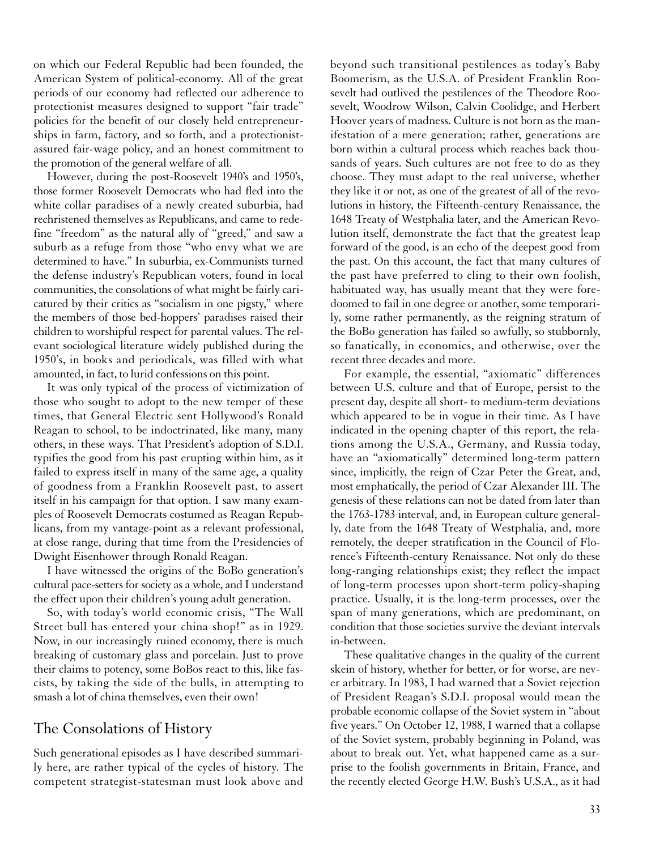on which our Federal Republic had been founded, the American System of political-economy. All of the great periods of our economy had reflected our adherence to protectionist measures designed to support "fair trade" policies for the benefit of our closely held entrepreneurships in farm, factory, and so forth, and a protectionistassured fair-wage policy, and an honest commitment to the promotion of the general welfare of all.

However, during the post-Roosevelt 1940's and 1950's, those former Roosevelt Democrats who had fled into the white collar paradises of a newly created suburbia, had rechristened themselves as Republicans, and came to redefine "freedom" as the natural ally of "greed," and saw a suburb as a refuge from those "who envy what we are determined to have." In suburbia, ex-Communists turned the defense industry's Republican voters, found in local communities, the consolations of what might be fairly caricatured by their critics as "socialism in one pigsty," where the members of those bed-hoppers' paradises raised their children to worshipful respect for parental values. The relevant sociological literature widely published during the 1950's, in books and periodicals, was filled with what amounted, in fact, to lurid confessions on this point.

It was only typical of the process of victimization of those who sought to adopt to the new temper of these times, that General Electric sent Hollywood's Ronald Reagan to school, to be indoctrinated, like many, many others, in these ways. That President's adoption of S.D.I. typifies the good from his past erupting within him, as it failed to express itself in many of the same age, a quality of goodness from a Franklin Roosevelt past, to assert itself in his campaign for that option. I saw many examples of Roosevelt Democrats costumed as Reagan Republicans, from my vantage-point as a relevant professional, at close range, during that time from the Presidencies of Dwight Eisenhower through Ronald Reagan.

I have witnessed the origins of the BoBo generation's cultural pace-setters for society as a whole, and I understand the effect upon their children's young adult generation.

So, with today's world economic crisis, "The Wall Street bull has entered your china shop!" as in 1929. Now, in our increasingly ruined economy, there is much breaking of customary glass and porcelain. Just to prove their claims to potency, some BoBos react to this, like fascists, by taking the side of the bulls, in attempting to smash a lot of china themselves, even their own!

#### The Consolations of History

Such generational episodes as I have described summarily here, are rather typical of the cycles of history. The competent strategist-statesman must look above and beyond such transitional pestilences as today's Baby Boomerism, as the U.S.A. of President Franklin Roosevelt had outlived the pestilences of the Theodore Roosevelt, Woodrow Wilson, Calvin Coolidge, and Herbert Hoover years of madness. Culture is not born as the manifestation of a mere generation; rather, generations are born within a cultural process which reaches back thousands of years. Such cultures are not free to do as they choose. They must adapt to the real universe, whether they like it or not, as one of the greatest of all of the revolutions in history, the Fifteenth-century Renaissance, the 1648 Treaty of Westphalia later, and the American Revolution itself, demonstrate the fact that the greatest leap forward of the good, is an echo of the deepest good from the past. On this account, the fact that many cultures of the past have preferred to cling to their own foolish, habituated way, has usually meant that they were foredoomed to fail in one degree or another, some temporarily, some rather permanently, as the reigning stratum of the BoBo generation has failed so awfully, so stubbornly, so fanatically, in economics, and otherwise, over the recent three decades and more.

For example, the essential, "axiomatic" differences between U.S. culture and that of Europe, persist to the present day, despite all short- to medium-term deviations which appeared to be in vogue in their time. As I have indicated in the opening chapter of this report, the relations among the U.S.A., Germany, and Russia today, have an "axiomatically" determined long-term pattern since, implicitly, the reign of Czar Peter the Great, and, most emphatically, the period of Czar Alexander III. The genesis of these relations can not be dated from later than the 1763-1783 interval, and, in European culture generally, date from the 1648 Treaty of Westphalia, and, more remotely, the deeper stratification in the Council of Florence's Fifteenth-century Renaissance. Not only do these long-ranging relationships exist; they reflect the impact of long-term processes upon short-term policy-shaping practice. Usually, it is the long-term processes, over the span of many generations, which are predominant, on condition that those societies survive the deviant intervals in-between.

These qualitative changes in the quality of the current skein of history, whether for better, or for worse, are never arbitrary. In 1983, I had warned that a Soviet rejection of President Reagan's S.D.I. proposal would mean the probable economic collapse of the Soviet system in "about five years." On October 12, 1988, I warned that a collapse of the Soviet system, probably beginning in Poland, was about to break out. Yet, what happened came as a surprise to the foolish governments in Britain, France, and the recently elected George H.W. Bush's U.S.A., as it had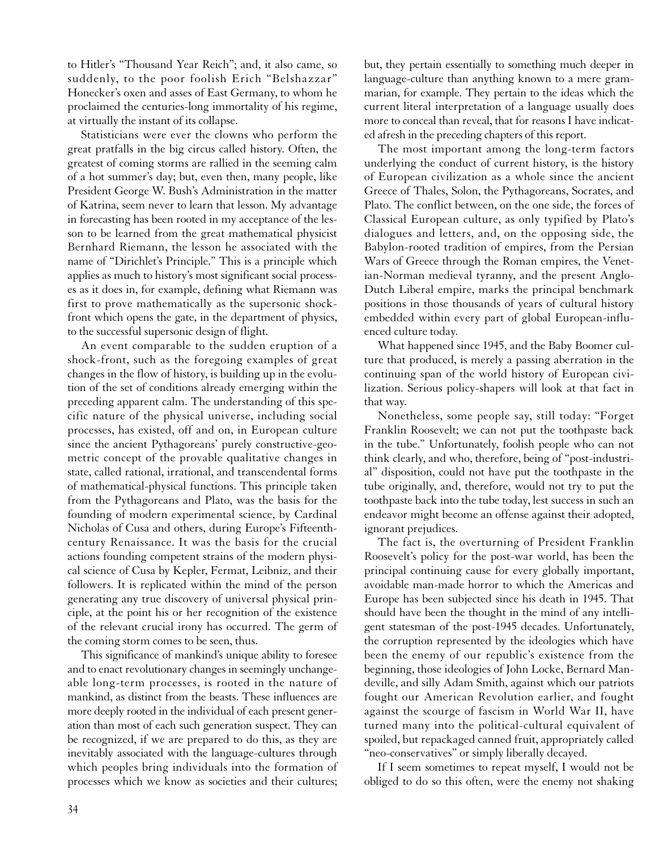to Hitler's "Thousand Year Reich"; and, it also came, so suddenly, to the poor foolish Erich "Belshazzar" Honecker's oxen and asses of East Germany, to whom he proclaimed the centuries-long immortality of his regime, at virtually the instant of its collapse.

Statisticians were ever the clowns who perform the great pratfalls in the big circus called history. Often, the greatest of coming storms are rallied in the seeming calm of a hot summer's day; but, even then, many people, like President George W. Bush's Administration in the matter of Katrina, seem never to learn that lesson. My advantage in forecasting has been rooted in my acceptance of the lesson to be learned from the great mathematical physicist Bernhard Riemann, the lesson he associated with the name of "Dirichlet's Principle." This is a principle which applies as much to history's most significant social processes as it does in, for example, defining what Riemann was first to prove mathematically as the supersonic shockfront which opens the gate, in the department of physics, to the successful supersonic design of flight.

An event comparable to the sudden eruption of a shock-front, such as the foregoing examples of great changes in the flow of history, is building up in the evolution of the set of conditions already emerging within the preceding apparent calm. The understanding of this specific nature of the physical universe, including social processes, has existed, off and on, in European culture since the ancient Pythagoreans' purely constructive-geometric concept of the provable qualitative changes in state, called rational, irrational, and transcendental forms of mathematical-physical functions. This principle taken from the Pythagoreans and Plato, was the basis for the founding of modern experimental science, by Cardinal Nicholas of Cusa and others, during Europe's Fifteenthcentury Renaissance. It was the basis for the crucial actions founding competent strains of the modern physical science of Cusa by Kepler, Fermat, Leibniz, and their followers. It is replicated within the mind of the person generating any true discovery of universal physical principle, at the point his or her recognition of the existence of the relevant crucial irony has occurred. The germ of the coming storm comes to be seen, thus.

This significance of mankind's unique ability to foresee and to enact revolutionary changes in seemingly unchangeable long-term processes, is rooted in the nature of mankind, as distinct from the beasts. These influences are more deeply rooted in the individual of each present generation than most of each such generation suspect. They can be recognized, if we are prepared to do this, as they are inevitably associated with the language-cultures through which peoples bring individuals into the formation of processes which we know as societies and their cultures;

but, they pertain essentially to something much deeper in language-culture than anything known to a mere grammarian, for example. They pertain to the ideas which the current literal interpretation of a language usually does more to conceal than reveal, that for reasons I have indicated afresh in the preceding chapters of this report.

The most important among the long-term factors underlying the conduct of current history, is the history of European civilization as a whole since the ancient Greece of Thales, Solon, the Pythagoreans, Socrates, and Plato. The conflict between, on the one side, the forces of Classical European culture, as only typified by Plato's dialogues and letters, and, on the opposing side, the Babylon-rooted tradition of empires, from the Persian Wars of Greece through the Roman empires, the Venetian-Norman medieval tyranny, and the present Anglo-Dutch Liberal empire, marks the principal benchmark positions in those thousands of years of cultural history embedded within every part of global European-influenced culture today.

What happened since 1945, and the Baby Boomer culture that produced, is merely a passing aberration in the continuing span of the world history of European civilization. Serious policy-shapers will look at that fact in that way.

Nonetheless, some people say, still today: "Forget Franklin Roosevelt; we can not put the toothpaste back in the tube." Unfortunately, foolish people who can not think clearly, and who, therefore, being of "post-industrial" disposition, could not have put the toothpaste in the tube originally, and, therefore, would not try to put the toothpaste back into the tube today, lest success in such an endeavor might become an offense against their adopted, ignorant prejudices.

The fact is, the overturning of President Franklin Roosevelt's policy for the post-war world, has been the principal continuing cause for every globally important, avoidable man-made horror to which the Americas and Europe has been subjected since his death in 1945. That should have been the thought in the mind of any intelligent statesman of the post-1945 decades. Unfortunately, the corruption represented by the ideologies which have been the enemy of our republic's existence from the beginning, those ideologies of John Locke, Bernard Mandeville, and silly Adam Smith, against which our patriots fought our American Revolution earlier, and fought against the scourge of fascism in World War II, have turned many into the political-cultural equivalent of spoiled, but repackaged canned fruit, appropriately called "neo-conservatives" or simply liberally decayed.

If I seem sometimes to repeat myself, I would not be obliged to do so this often, were the enemy not shaking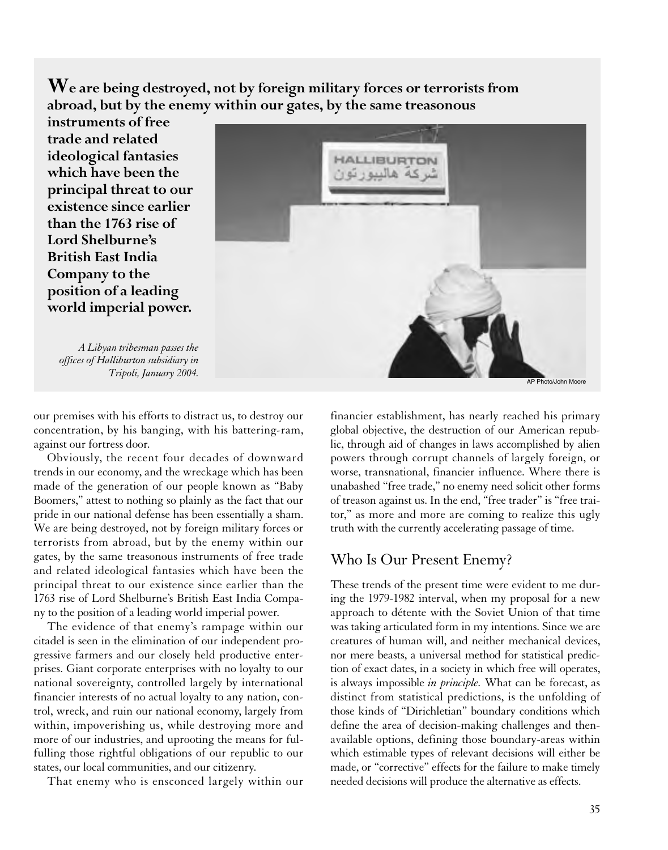**We are being destroyed, not by foreign military forces or terrorists from abroad, but by the enemy within our gates, by the same treasonous**

**instruments of free trade and related ideological fantasies which have been the principal threat to our existence since earlier than the 1763 rise of Lord Shelburne's British East India Company to the position of a leading world imperial power.**

*A Libyan tribesman passes the offices of Halliburton subsidiary in*

our premises with his efforts to distract us, to destroy our concentration, by his banging, with his battering-ram, against our fortress door.

Obviously, the recent four decades of downward trends in our economy, and the wreckage which has been made of the generation of our people known as "Baby Boomers," attest to nothing so plainly as the fact that our pride in our national defense has been essentially a sham. We are being destroyed, not by foreign military forces or terrorists from abroad, but by the enemy within our gates, by the same treasonous instruments of free trade and related ideological fantasies which have been the principal threat to our existence since earlier than the 1763 rise of Lord Shelburne's British East India Company to the position of a leading world imperial power.

The evidence of that enemy's rampage within our citadel is seen in the elimination of our independent progressive farmers and our closely held productive enterprises. Giant corporate enterprises with no loyalty to our national sovereignty, controlled largely by international financier interests of no actual loyalty to any nation, control, wreck, and ruin our national economy, largely from within, impoverishing us, while destroying more and more of our industries, and uprooting the means for fulfulling those rightful obligations of our republic to our states, our local communities, and our citizenry.

That enemy who is ensconced largely within our

financier establishment, has nearly reached his primary global objective, the destruction of our American republic, through aid of changes in laws accomplished by alien powers through corrupt channels of largely foreign, or worse, transnational, financier influence. Where there is unabashed "free trade," no enemy need solicit other forms of treason against us. In the end, "free trader" is "free traitor," as more and more are coming to realize this ugly truth with the currently accelerating passage of time.

#### Who Is Our Present Enemy?

These trends of the present time were evident to me during the 1979-1982 interval, when my proposal for a new approach to détente with the Soviet Union of that time was taking articulated form in my intentions. Since we are creatures of human will, and neither mechanical devices, nor mere beasts, a universal method for statistical prediction of exact dates, in a society in which free will operates, is always impossible *in principle.* What can be forecast, as distinct from statistical predictions, is the unfolding of those kinds of "Dirichletian" boundary conditions which define the area of decision-making challenges and thenavailable options, defining those boundary-areas within which estimable types of relevant decisions will either be made, or "corrective" effects for the failure to make timely needed decisions will produce the alternative as effects.

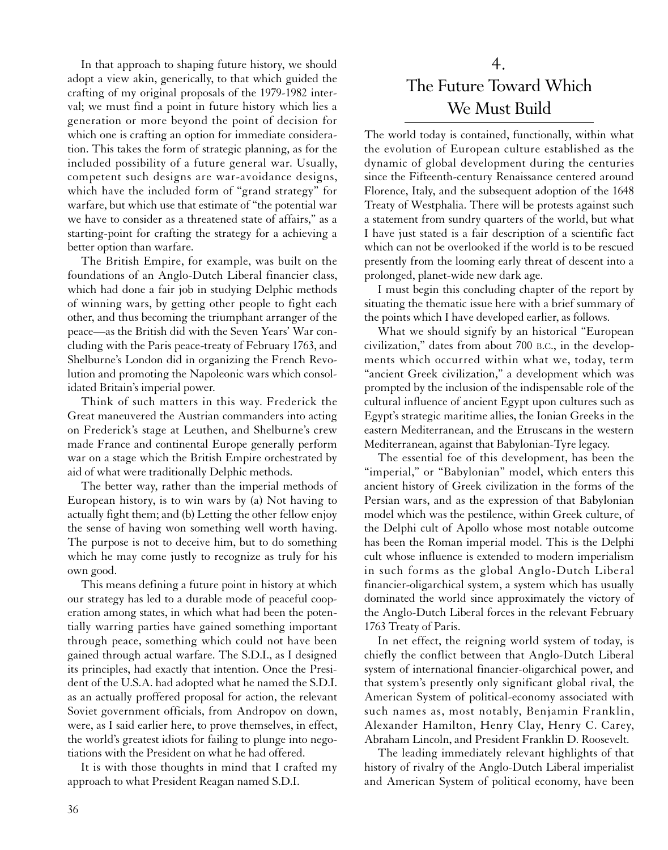In that approach to shaping future history, we should adopt a view akin, generically, to that which guided the crafting of my original proposals of the 1979-1982 interval; we must find a point in future history which lies a generation or more beyond the point of decision for which one is crafting an option for immediate consideration. This takes the form of strategic planning, as for the included possibility of a future general war. Usually, competent such designs are war-avoidance designs, which have the included form of "grand strategy" for warfare, but which use that estimate of "the potential war we have to consider as a threatened state of affairs," as a starting-point for crafting the strategy for a achieving a better option than warfare.

The British Empire, for example, was built on the foundations of an Anglo-Dutch Liberal financier class, which had done a fair job in studying Delphic methods of winning wars, by getting other people to fight each other, and thus becoming the triumphant arranger of the peace—as the British did with the Seven Years' War concluding with the Paris peace-treaty of February 1763, and Shelburne's London did in organizing the French Revolution and promoting the Napoleonic wars which consolidated Britain's imperial power.

Think of such matters in this way. Frederick the Great maneuvered the Austrian commanders into acting on Frederick's stage at Leuthen, and Shelburne's crew made France and continental Europe generally perform war on a stage which the British Empire orchestrated by aid of what were traditionally Delphic methods.

The better way, rather than the imperial methods of European history, is to win wars by (a) Not having to actually fight them; and (b) Letting the other fellow enjoy the sense of having won something well worth having. The purpose is not to deceive him, but to do something which he may come justly to recognize as truly for his own good.

This means defining a future point in history at which our strategy has led to a durable mode of peaceful cooperation among states, in which what had been the potentially warring parties have gained something important through peace, something which could not have been gained through actual warfare. The S.D.I., as I designed its principles, had exactly that intention. Once the President of the U.S.A. had adopted what he named the S.D.I. as an actually proffered proposal for action, the relevant Soviet government officials, from Andropov on down, were, as I said earlier here, to prove themselves, in effect, the world's greatest idiots for failing to plunge into negotiations with the President on what he had offered.

It is with those thoughts in mind that I crafted my approach to what President Reagan named S.D.I.

# 4. The Future Toward Which We Must Build

The world today is contained, functionally, within what the evolution of European culture established as the dynamic of global development during the centuries since the Fifteenth-century Renaissance centered around Florence, Italy, and the subsequent adoption of the 1648 Treaty of Westphalia. There will be protests against such a statement from sundry quarters of the world, but what I have just stated is a fair description of a scientific fact which can not be overlooked if the world is to be rescued presently from the looming early threat of descent into a prolonged, planet-wide new dark age.

I must begin this concluding chapter of the report by situating the thematic issue here with a brief summary of the points which I have developed earlier, as follows.

What we should signify by an historical "European civilization," dates from about 700 B.C., in the developments which occurred within what we, today, term "ancient Greek civilization," a development which was prompted by the inclusion of the indispensable role of the cultural influence of ancient Egypt upon cultures such as Egypt's strategic maritime allies, the Ionian Greeks in the eastern Mediterranean, and the Etruscans in the western Mediterranean, against that Babylonian-Tyre legacy.

The essential foe of this development, has been the "imperial," or "Babylonian" model, which enters this ancient history of Greek civilization in the forms of the Persian wars, and as the expression of that Babylonian model which was the pestilence, within Greek culture, of the Delphi cult of Apollo whose most notable outcome has been the Roman imperial model. This is the Delphi cult whose influence is extended to modern imperialism in such forms as the global Anglo-Dutch Liberal financier-oligarchical system, a system which has usually dominated the world since approximately the victory of the Anglo-Dutch Liberal forces in the relevant February 1763 Treaty of Paris.

In net effect, the reigning world system of today, is chiefly the conflict between that Anglo-Dutch Liberal system of international financier-oligarchical power, and that system's presently only significant global rival, the American System of political-economy associated with such names as, most notably, Benjamin Franklin, Alexander Hamilton, Henry Clay, Henry C. Carey, Abraham Lincoln, and President Franklin D. Roosevelt.

The leading immediately relevant highlights of that history of rivalry of the Anglo-Dutch Liberal imperialist and American System of political economy, have been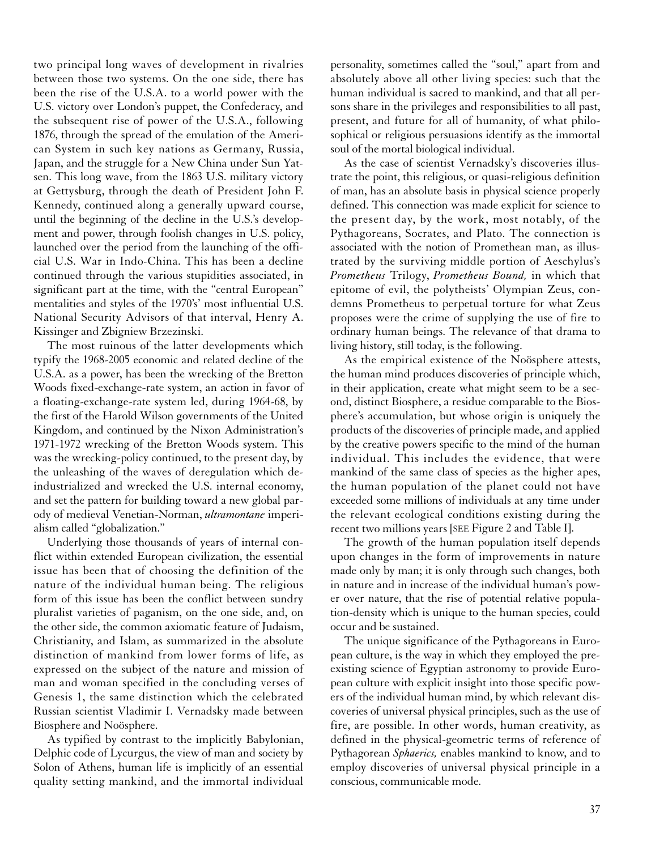two principal long waves of development in rivalries between those two systems. On the one side, there has been the rise of the U.S.A. to a world power with the U.S. victory over London's puppet, the Confederacy, and the subsequent rise of power of the U.S.A., following 1876, through the spread of the emulation of the American System in such key nations as Germany, Russia, Japan, and the struggle for a New China under Sun Yatsen. This long wave, from the 1863 U.S. military victory at Gettysburg, through the death of President John F. Kennedy, continued along a generally upward course, until the beginning of the decline in the U.S.'s development and power, through foolish changes in U.S. policy, launched over the period from the launching of the official U.S. War in Indo-China. This has been a decline continued through the various stupidities associated, in significant part at the time, with the "central European" mentalities and styles of the 1970's' most influential U.S. National Security Advisors of that interval, Henry A. Kissinger and Zbigniew Brzezinski.

The most ruinous of the latter developments which typify the 1968-2005 economic and related decline of the U.S.A. as a power, has been the wrecking of the Bretton Woods fixed-exchange-rate system, an action in favor of a floating-exchange-rate system led, during 1964-68, by the first of the Harold Wilson governments of the United Kingdom, and continued by the Nixon Administration's 1971-1972 wrecking of the Bretton Woods system. This was the wrecking-policy continued, to the present day, by the unleashing of the waves of deregulation which deindustrialized and wrecked the U.S. internal economy, and set the pattern for building toward a new global parody of medieval Venetian-Norman, *ultramontane* imperialism called "globalization."

Underlying those thousands of years of internal conflict within extended European civilization, the essential issue has been that of choosing the definition of the nature of the individual human being. The religious form of this issue has been the conflict between sundry pluralist varieties of paganism, on the one side, and, on the other side, the common axiomatic feature of Judaism, Christianity, and Islam, as summarized in the absolute distinction of mankind from lower forms of life, as expressed on the subject of the nature and mission of man and woman specified in the concluding verses of Genesis 1, the same distinction which the celebrated Russian scientist Vladimir I. Vernadsky made between Biosphere and Noösphere.

As typified by contrast to the implicitly Babylonian, Delphic code of Lycurgus, the view of man and society by Solon of Athens, human life is implicitly of an essential quality setting mankind, and the immortal individual personality, sometimes called the "soul," apart from and absolutely above all other living species: such that the human individual is sacred to mankind, and that all persons share in the privileges and responsibilities to all past, present, and future for all of humanity, of what philosophical or religious persuasions identify as the immortal soul of the mortal biological individual.

As the case of scientist Vernadsky's discoveries illustrate the point, this religious, or quasi-religious definition of man, has an absolute basis in physical science properly defined. This connection was made explicit for science to the present day, by the work, most notably, of the Pythagoreans, Socrates, and Plato. The connection is associated with the notion of Promethean man, as illustrated by the surviving middle portion of Aeschylus's *Prometheus* Trilogy, *Prometheus Bound,* in which that epitome of evil, the polytheists' Olympian Zeus, condemns Prometheus to perpetual torture for what Zeus proposes were the crime of supplying the use of fire to ordinary human beings. The relevance of that drama to living history, still today, is the following.

As the empirical existence of the Noösphere attests, the human mind produces discoveries of principle which, in their application, create what might seem to be a second, distinct Biosphere, a residue comparable to the Biosphere's accumulation, but whose origin is uniquely the products of the discoveries of principle made, and applied by the creative powers specific to the mind of the human individual. This includes the evidence, that were mankind of the same class of species as the higher apes, the human population of the planet could not have exceeded some millions of individuals at any time under the relevant ecological conditions existing during the recent two millions years [SEE Figure 2 and Table I].

The growth of the human population itself depends upon changes in the form of improvements in nature made only by man; it is only through such changes, both in nature and in increase of the individual human's power over nature, that the rise of potential relative population-density which is unique to the human species, could occur and be sustained.

The unique significance of the Pythagoreans in European culture, is the way in which they employed the preexisting science of Egyptian astronomy to provide European culture with explicit insight into those specific powers of the individual human mind, by which relevant discoveries of universal physical principles, such as the use of fire, are possible. In other words, human creativity, as defined in the physical-geometric terms of reference of Pythagorean *Sphaerics,* enables mankind to know, and to employ discoveries of universal physical principle in a conscious, communicable mode.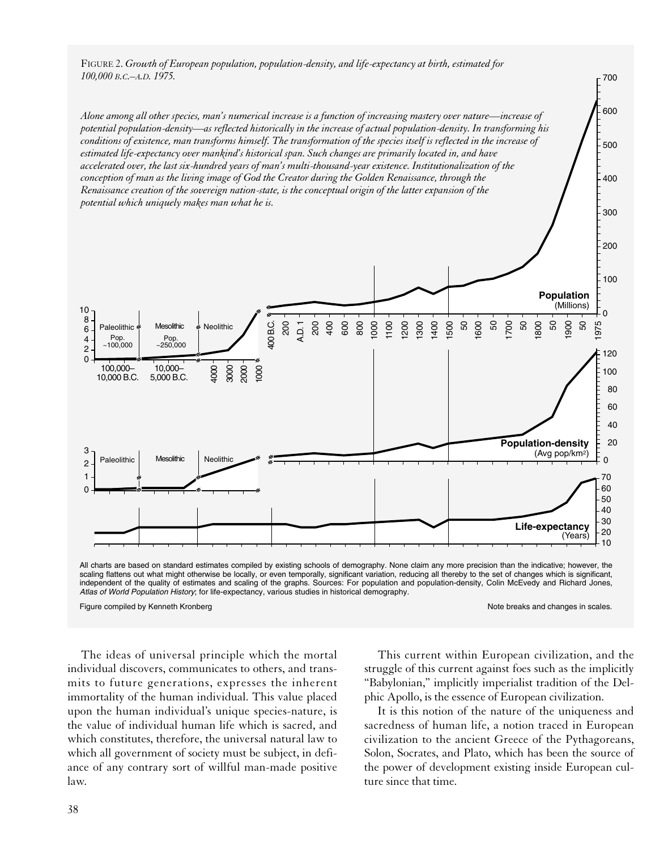FIGURE 2. *Growth of European population, population-density, and life-expectancy at birth, estimated for 100,000 B.C.–A.D. 1975.*

*Alone among all other species, man's numerical increase is a function of increasing mastery over nature—increase of potential population-density—as reflected historically in the increase of actual population-density. In transforming his conditions of existence, man transforms himself. The transformation of the species itself is reflected in the increase of estimated life-expectancy over mankind's historical span. Such changes are primarily located in, and have accelerated over, the last six-hundred years of man's multi-thousand-year existence. Institutionalization of the conception of man as the living image of God the Creator during the Golden Renaissance, through the Renaissance creation of the sovereign nation-state, is the conceptual origin of the latter expansion of the potential which uniquely makes man what he is.*



All charts are based on standard estimates compiled by existing schools of demography. None claim any more precision than the indicative; however, the scaling flattens out what might otherwise be locally, or even temporally, significant variation, reducing all thereby to the set of changes which is significant, independent of the quality of estimates and scaling of the graphs. Sources: For population and population-density, Colin McEvedy and Richard Jones, *Atlas of World Population History*; for life-expectancy, various studies in historical demography.

Figure compiled by Kenneth Kronberg Note breaks and changes in scales.

300

400

500

600

 $-700$ 

The ideas of universal principle which the mortal individual discovers, communicates to others, and transmits to future generations, expresses the inherent immortality of the human individual. This value placed upon the human individual's unique species-nature, is the value of individual human life which is sacred, and which constitutes, therefore, the universal natural law to which all government of society must be subject, in defiance of any contrary sort of willful man-made positive law.

This current within European civilization, and the struggle of this current against foes such as the implicitly "Babylonian," implicitly imperialist tradition of the Delphic Apollo, is the essence of European civilization.

It is this notion of the nature of the uniqueness and sacredness of human life, a notion traced in European civilization to the ancient Greece of the Pythagoreans, Solon, Socrates, and Plato, which has been the source of the power of development existing inside European culture since that time.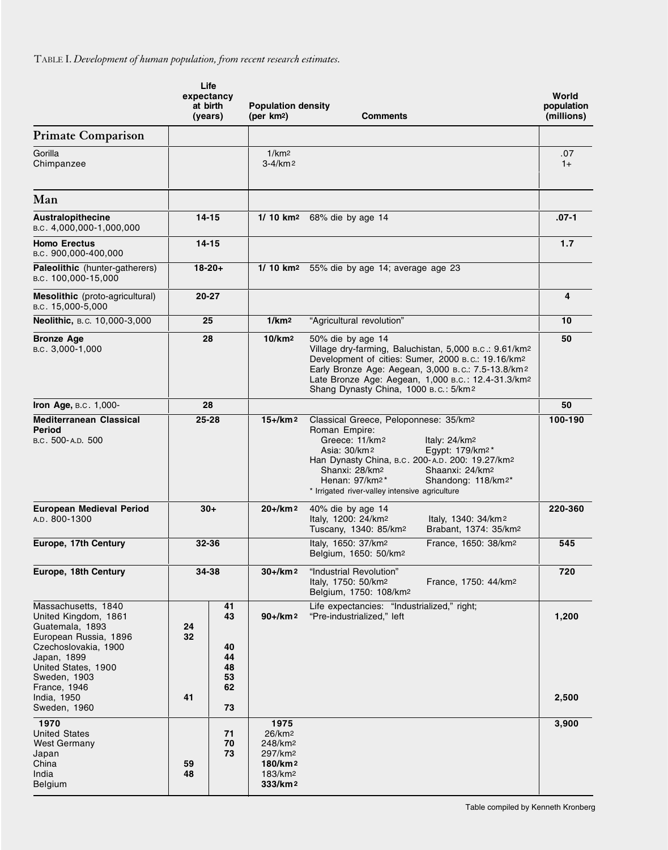TABLE I. *Development of human population, from recent research estimates.*

|                                                                                                                                                                                                      | Life<br>expectancy<br>at birth<br>(years) |                                        | <b>Population density</b><br>(per km2)<br>Comments                                |                                                                                                                                                                                                                                                                                                                                          | World<br>population<br>(millions) |
|------------------------------------------------------------------------------------------------------------------------------------------------------------------------------------------------------|-------------------------------------------|----------------------------------------|-----------------------------------------------------------------------------------|------------------------------------------------------------------------------------------------------------------------------------------------------------------------------------------------------------------------------------------------------------------------------------------------------------------------------------------|-----------------------------------|
| <b>Primate Comparison</b>                                                                                                                                                                            |                                           |                                        |                                                                                   |                                                                                                                                                                                                                                                                                                                                          |                                   |
| Gorilla<br>Chimpanzee                                                                                                                                                                                |                                           |                                        | 1/km <sub>2</sub><br>$3 - 4/km$ 2                                                 |                                                                                                                                                                                                                                                                                                                                          | .07<br>$1+$                       |
| Man                                                                                                                                                                                                  |                                           |                                        |                                                                                   |                                                                                                                                                                                                                                                                                                                                          |                                   |
| <b>Australopithecine</b><br>в.с. 4,000,000-1,000,000                                                                                                                                                 | $14 - 15$                                 |                                        |                                                                                   | 1/ 10 km <sup>2</sup> 68% die by age 14                                                                                                                                                                                                                                                                                                  | $.07-1$                           |
| <b>Homo Erectus</b><br>B.C. 900,000-400,000                                                                                                                                                          | $14 - 15$                                 |                                        |                                                                                   |                                                                                                                                                                                                                                                                                                                                          | 1.7                               |
| Paleolithic (hunter-gatherers)<br>B.C. 100,000-15,000                                                                                                                                                | $18 - 20 +$                               |                                        |                                                                                   | 1/ 10 km <sup>2</sup> 55% die by age 14; average age 23                                                                                                                                                                                                                                                                                  |                                   |
| Mesolithic (proto-agricultural)<br>B.C. 15,000-5,000                                                                                                                                                 | $20 - 27$                                 |                                        |                                                                                   |                                                                                                                                                                                                                                                                                                                                          | $\overline{\mathbf{4}}$           |
| Neolithic, B.C. 10,000-3,000                                                                                                                                                                         | 25                                        |                                        | 1/km <sup>2</sup>                                                                 | "Agricultural revolution"                                                                                                                                                                                                                                                                                                                | 10                                |
| <b>Bronze Age</b><br>B.C. 3,000-1,000                                                                                                                                                                | 28                                        |                                        | 10/km <sup>2</sup>                                                                | 50% die by age 14<br>Village dry-farming, Baluchistan, 5,000 B.C.: 9.61/km2<br>Development of cities: Sumer, 2000 B.C.: 19.16/km2<br>Early Bronze Age: Aegean, 3,000 B.C.: 7.5-13.8/km2<br>Late Bronze Age: Aegean, 1,000 B.c.: 12.4-31.3/km2<br>Shang Dynasty China, 1000 B.C.: 5/km2                                                   | 50                                |
| Iron Age, B.C. 1,000-                                                                                                                                                                                | 28                                        |                                        |                                                                                   |                                                                                                                                                                                                                                                                                                                                          | 50                                |
| <b>Mediterranean Classical</b><br>Period<br>B.C. 500-A.D. 500                                                                                                                                        | $25 - 28$                                 |                                        | $15 +$ /km <sup>2</sup>                                                           | Classical Greece, Peloponnese: 35/km2<br>Roman Empire:<br>Greece: 11/km2<br>Italy: $24/km2$<br>Asia: 30/km2<br>Egypt: 179/km <sup>2*</sup><br>Han Dynasty China, B.c. 200-A.D. 200: 19.27/km2<br>Shanxi: 28/km2<br>Shaanxi: 24/km2<br>Henan: 97/km2*<br>Shandong: 118/km <sup>2*</sup><br>* Irrigated river-valley intensive agriculture | 100-190                           |
| <b>European Medieval Period</b><br>A.D. 800-1300                                                                                                                                                     | $30+$                                     |                                        | $20+/km^2$                                                                        | 40% die by age 14<br>Italy, 1200: 24/km <sup>2</sup><br>Italy, 1340: 34/km <sup>2</sup><br>Tuscany, 1340: 85/km <sup>2</sup><br>Brabant, 1374: 35/km <sup>2</sup>                                                                                                                                                                        | 220-360                           |
| Europe, 17th Century                                                                                                                                                                                 | $32 - 36$                                 |                                        |                                                                                   | Italy, 1650: 37/km <sup>2</sup><br>France, 1650: 38/km <sup>2</sup><br>Belgium, 1650: 50/km <sup>2</sup>                                                                                                                                                                                                                                 | 545                               |
| Europe, 18th Century                                                                                                                                                                                 | 34-38                                     |                                        | $30 + / km 2$                                                                     | "Industrial Revolution"<br>Italy, 1750: 50/km <sup>2</sup><br>France, 1750: 44/km2<br>Belgium, 1750: 108/km2                                                                                                                                                                                                                             | 720                               |
| Massachusetts, 1840<br>United Kingdom, 1861<br>Guatemala, 1893<br>European Russia, 1896<br>Czechoslovakia, 1900<br>Japan, 1899<br>United States, 1900<br>Sweden, 1903<br>France, 1946<br>India, 1950 | 24<br>32<br>41                            | 41<br>43<br>40<br>44<br>48<br>53<br>62 | $90 + / km2$                                                                      | Life expectancies: "Industrialized," right;<br>"Pre-industrialized," left                                                                                                                                                                                                                                                                | 1,200<br>2,500                    |
| Sweden, 1960                                                                                                                                                                                         |                                           | 73                                     |                                                                                   |                                                                                                                                                                                                                                                                                                                                          |                                   |
| 1970<br><b>United States</b><br>West Germany<br>Japan<br>China<br>India<br>Belgium                                                                                                                   | 59<br>48                                  | 71<br>70<br>73                         | 1975<br>26/km <sup>2</sup><br>248/km2<br>297/km2<br>180/km2<br>183/km2<br>333/km2 |                                                                                                                                                                                                                                                                                                                                          | 3,900                             |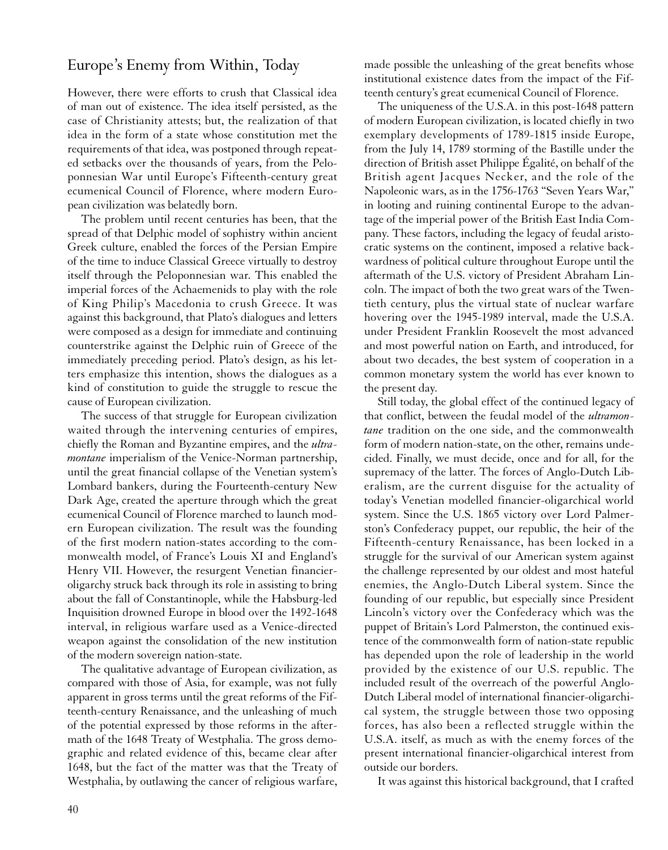## Europe's Enemy from Within, Today

However, there were efforts to crush that Classical idea of man out of existence. The idea itself persisted, as the case of Christianity attests; but, the realization of that idea in the form of a state whose constitution met the requirements of that idea, was postponed through repeated setbacks over the thousands of years, from the Peloponnesian War until Europe's Fifteenth-century great ecumenical Council of Florence, where modern European civilization was belatedly born.

The problem until recent centuries has been, that the spread of that Delphic model of sophistry within ancient Greek culture, enabled the forces of the Persian Empire of the time to induce Classical Greece virtually to destroy itself through the Peloponnesian war. This enabled the imperial forces of the Achaemenids to play with the role of King Philip's Macedonia to crush Greece. It was against this background, that Plato's dialogues and letters were composed as a design for immediate and continuing counterstrike against the Delphic ruin of Greece of the immediately preceding period. Plato's design, as his letters emphasize this intention, shows the dialogues as a kind of constitution to guide the struggle to rescue the cause of European civilization.

The success of that struggle for European civilization waited through the intervening centuries of empires, chiefly the Roman and Byzantine empires, and the *ultramontane* imperialism of the Venice-Norman partnership, until the great financial collapse of the Venetian system's Lombard bankers, during the Fourteenth-century New Dark Age, created the aperture through which the great ecumenical Council of Florence marched to launch modern European civilization. The result was the founding of the first modern nation-states according to the commonwealth model, of France's Louis XI and England's Henry VII. However, the resurgent Venetian financieroligarchy struck back through its role in assisting to bring about the fall of Constantinople, while the Habsburg-led Inquisition drowned Europe in blood over the 1492-1648 interval, in religious warfare used as a Venice-directed weapon against the consolidation of the new institution of the modern sovereign nation-state.

The qualitative advantage of European civilization, as compared with those of Asia, for example, was not fully apparent in gross terms until the great reforms of the Fifteenth-century Renaissance, and the unleashing of much of the potential expressed by those reforms in the aftermath of the 1648 Treaty of Westphalia. The gross demographic and related evidence of this, became clear after 1648, but the fact of the matter was that the Treaty of Westphalia, by outlawing the cancer of religious warfare,

made possible the unleashing of the great benefits whose institutional existence dates from the impact of the Fifteenth century's great ecumenical Council of Florence.

The uniqueness of the U.S.A. in this post-1648 pattern of modern European civilization, is located chiefly in two exemplary developments of 1789-1815 inside Europe, from the July 14, 1789 storming of the Bastille under the direction of British asset Philippe Égalité, on behalf of the British agent Jacques Necker, and the role of the Napoleonic wars, as in the 1756-1763 "Seven Years War," in looting and ruining continental Europe to the advantage of the imperial power of the British East India Company. These factors, including the legacy of feudal aristocratic systems on the continent, imposed a relative backwardness of political culture throughout Europe until the aftermath of the U.S. victory of President Abraham Lincoln. The impact of both the two great wars of the Twentieth century, plus the virtual state of nuclear warfare hovering over the 1945-1989 interval, made the U.S.A. under President Franklin Roosevelt the most advanced and most powerful nation on Earth, and introduced, for about two decades, the best system of cooperation in a common monetary system the world has ever known to the present day.

Still today, the global effect of the continued legacy of that conflict, between the feudal model of the *ultramontane* tradition on the one side, and the commonwealth form of modern nation-state, on the other, remains undecided. Finally, we must decide, once and for all, for the supremacy of the latter. The forces of Anglo-Dutch Liberalism, are the current disguise for the actuality of today's Venetian modelled financier-oligarchical world system. Since the U.S. 1865 victory over Lord Palmerston's Confederacy puppet, our republic, the heir of the Fifteenth-century Renaissance, has been locked in a struggle for the survival of our American system against the challenge represented by our oldest and most hateful enemies, the Anglo-Dutch Liberal system. Since the founding of our republic, but especially since President Lincoln's victory over the Confederacy which was the puppet of Britain's Lord Palmerston, the continued existence of the commonwealth form of nation-state republic has depended upon the role of leadership in the world provided by the existence of our U.S. republic. The included result of the overreach of the powerful Anglo-Dutch Liberal model of international financier-oligarchical system, the struggle between those two opposing forces, has also been a reflected struggle within the U.S.A. itself, as much as with the enemy forces of the present international financier-oligarchical interest from outside our borders.

It was against this historical background, that I crafted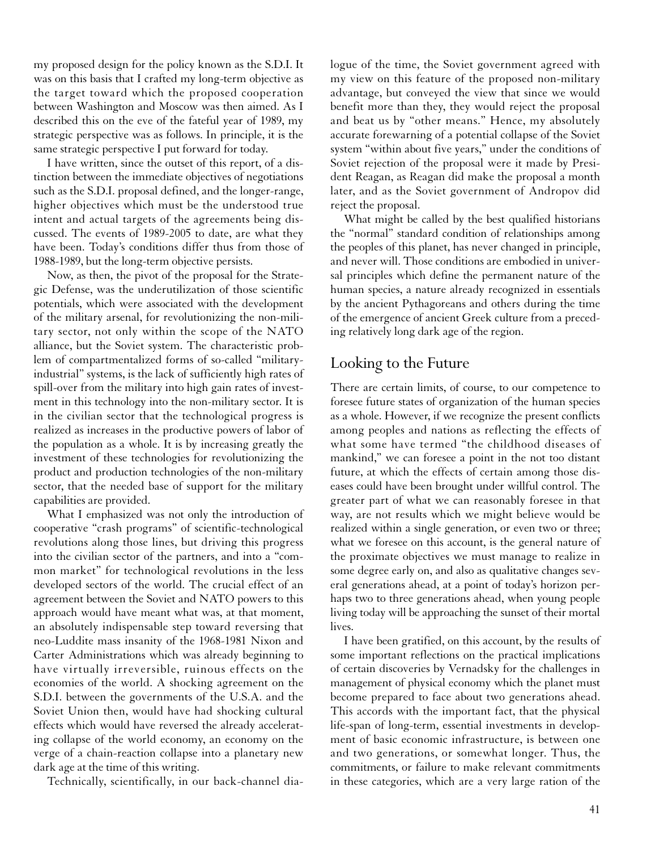my proposed design for the policy known as the S.D.I. It was on this basis that I crafted my long-term objective as the target toward which the proposed cooperation between Washington and Moscow was then aimed. As I described this on the eve of the fateful year of 1989, my strategic perspective was as follows. In principle, it is the same strategic perspective I put forward for today.

I have written, since the outset of this report, of a distinction between the immediate objectives of negotiations such as the S.D.I. proposal defined, and the longer-range, higher objectives which must be the understood true intent and actual targets of the agreements being discussed. The events of 1989-2005 to date, are what they have been. Today's conditions differ thus from those of 1988-1989, but the long-term objective persists.

Now, as then, the pivot of the proposal for the Strategic Defense, was the underutilization of those scientific potentials, which were associated with the development of the military arsenal, for revolutionizing the non-military sector, not only within the scope of the NATO alliance, but the Soviet system. The characteristic problem of compartmentalized forms of so-called "militaryindustrial" systems, is the lack of sufficiently high rates of spill-over from the military into high gain rates of investment in this technology into the non-military sector. It is in the civilian sector that the technological progress is realized as increases in the productive powers of labor of the population as a whole. It is by increasing greatly the investment of these technologies for revolutionizing the product and production technologies of the non-military sector, that the needed base of support for the military capabilities are provided.

What I emphasized was not only the introduction of cooperative "crash programs" of scientific-technological revolutions along those lines, but driving this progress into the civilian sector of the partners, and into a "common market" for technological revolutions in the less developed sectors of the world. The crucial effect of an agreement between the Soviet and NATO powers to this approach would have meant what was, at that moment, an absolutely indispensable step toward reversing that neo-Luddite mass insanity of the 1968-1981 Nixon and Carter Administrations which was already beginning to have virtually irreversible, ruinous effects on the economies of the world. A shocking agreement on the S.D.I. between the governments of the U.S.A. and the Soviet Union then, would have had shocking cultural effects which would have reversed the already accelerating collapse of the world economy, an economy on the verge of a chain-reaction collapse into a planetary new dark age at the time of this writing.

Technically, scientifically, in our back-channel dia-

logue of the time, the Soviet government agreed with my view on this feature of the proposed non-military advantage, but conveyed the view that since we would benefit more than they, they would reject the proposal and beat us by "other means." Hence, my absolutely accurate forewarning of a potential collapse of the Soviet system "within about five years," under the conditions of Soviet rejection of the proposal were it made by President Reagan, as Reagan did make the proposal a month later, and as the Soviet government of Andropov did reject the proposal.

What might be called by the best qualified historians the "normal" standard condition of relationships among the peoples of this planet, has never changed in principle, and never will. Those conditions are embodied in universal principles which define the permanent nature of the human species, a nature already recognized in essentials by the ancient Pythagoreans and others during the time of the emergence of ancient Greek culture from a preceding relatively long dark age of the region.

## Looking to the Future

There are certain limits, of course, to our competence to foresee future states of organization of the human species as a whole. However, if we recognize the present conflicts among peoples and nations as reflecting the effects of what some have termed "the childhood diseases of mankind," we can foresee a point in the not too distant future, at which the effects of certain among those diseases could have been brought under willful control. The greater part of what we can reasonably foresee in that way, are not results which we might believe would be realized within a single generation, or even two or three; what we foresee on this account, is the general nature of the proximate objectives we must manage to realize in some degree early on, and also as qualitative changes several generations ahead, at a point of today's horizon perhaps two to three generations ahead, when young people living today will be approaching the sunset of their mortal lives.

I have been gratified, on this account, by the results of some important reflections on the practical implications of certain discoveries by Vernadsky for the challenges in management of physical economy which the planet must become prepared to face about two generations ahead. This accords with the important fact, that the physical life-span of long-term, essential investments in development of basic economic infrastructure, is between one and two generations, or somewhat longer. Thus, the commitments, or failure to make relevant commitments in these categories, which are a very large ration of the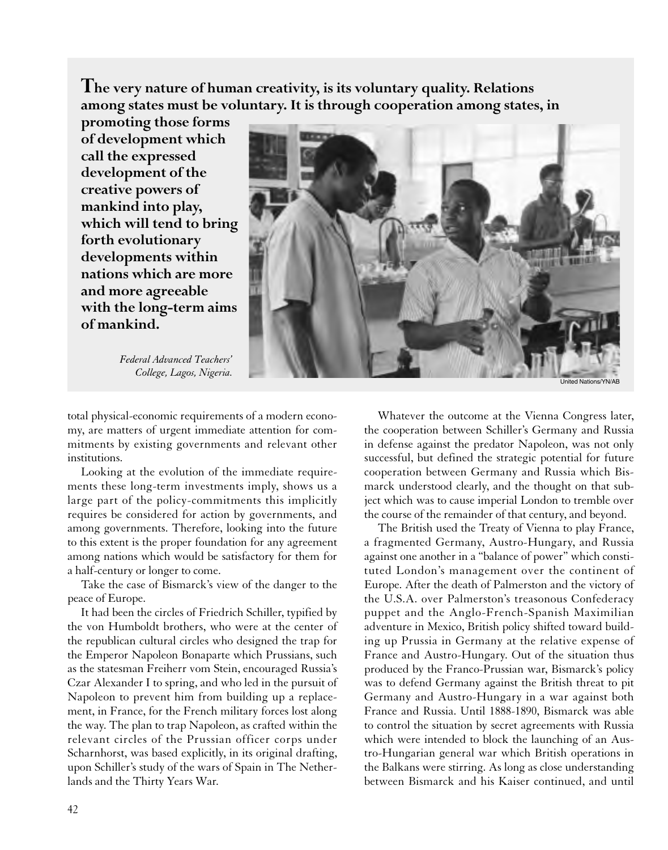**The very nature of human creativity, is its voluntary quality. Relations among states must be voluntary. It is through cooperation among states, in**

**promoting those forms of development which call the expressed development of the creative powers of mankind into play, which will tend to bring forth evolutionary developments within nations which are more and more agreeable with the long-term aims of mankind.**

*Federal Advanced Teachers'* 



total physical-economic requirements of a modern economy, are matters of urgent immediate attention for commitments by existing governments and relevant other institutions.

Looking at the evolution of the immediate requirements these long-term investments imply, shows us a large part of the policy-commitments this implicitly requires be considered for action by governments, and among governments. Therefore, looking into the future to this extent is the proper foundation for any agreement among nations which would be satisfactory for them for a half-century or longer to come.

Take the case of Bismarck's view of the danger to the peace of Europe.

It had been the circles of Friedrich Schiller, typified by the von Humboldt brothers, who were at the center of the republican cultural circles who designed the trap for the Emperor Napoleon Bonaparte which Prussians, such as the statesman Freiherr vom Stein, encouraged Russia's Czar Alexander I to spring, and who led in the pursuit of Napoleon to prevent him from building up a replacement, in France, for the French military forces lost along the way. The plan to trap Napoleon, as crafted within the relevant circles of the Prussian officer corps under Scharnhorst, was based explicitly, in its original drafting, upon Schiller's study of the wars of Spain in The Netherlands and the Thirty Years War.

Whatever the outcome at the Vienna Congress later, the cooperation between Schiller's Germany and Russia in defense against the predator Napoleon, was not only successful, but defined the strategic potential for future cooperation between Germany and Russia which Bismarck understood clearly, and the thought on that subject which was to cause imperial London to tremble over the course of the remainder of that century, and beyond.

The British used the Treaty of Vienna to play France, a fragmented Germany, Austro-Hungary, and Russia against one another in a "balance of power" which constituted London's management over the continent of Europe. After the death of Palmerston and the victory of the U.S.A. over Palmerston's treasonous Confederacy puppet and the Anglo-French-Spanish Maximilian adventure in Mexico, British policy shifted toward building up Prussia in Germany at the relative expense of France and Austro-Hungary. Out of the situation thus produced by the Franco-Prussian war, Bismarck's policy was to defend Germany against the British threat to pit Germany and Austro-Hungary in a war against both France and Russia. Until 1888-1890, Bismarck was able to control the situation by secret agreements with Russia which were intended to block the launching of an Austro-Hungarian general war which British operations in the Balkans were stirring. As long as close understanding between Bismarck and his Kaiser continued, and until